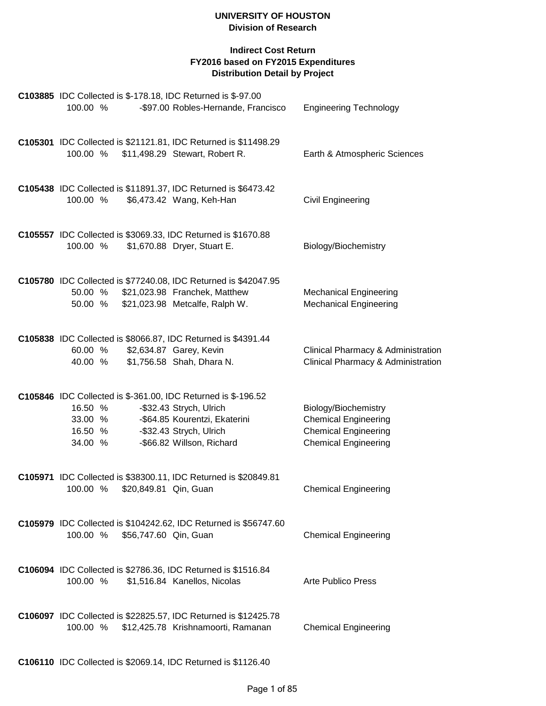| C103885 IDC Collected is \$-178.18, IDC Returned is \$-97.00<br>100.00 %                                  | -\$97.00 Robles-Hernande, Francisco                                                                              | <b>Engineering Technology</b>                                                                                     |
|-----------------------------------------------------------------------------------------------------------|------------------------------------------------------------------------------------------------------------------|-------------------------------------------------------------------------------------------------------------------|
| C105301 IDC Collected is \$21121.81, IDC Returned is \$11498.29<br>100.00 %                               | \$11,498.29 Stewart, Robert R.                                                                                   | Earth & Atmospheric Sciences                                                                                      |
| C105438 IDC Collected is \$11891.37, IDC Returned is \$6473.42<br>100.00 %                                | \$6,473.42 Wang, Keh-Han                                                                                         | Civil Engineering                                                                                                 |
| C105557 IDC Collected is \$3069.33, IDC Returned is \$1670.88<br>100.00 %                                 | \$1,670.88 Dryer, Stuart E.                                                                                      | Biology/Biochemistry                                                                                              |
| C105780 IDC Collected is \$77240.08, IDC Returned is \$42047.95<br>50.00 %<br>50.00 %                     | \$21,023.98 Franchek, Matthew<br>\$21,023.98 Metcalfe, Ralph W.                                                  | <b>Mechanical Engineering</b><br><b>Mechanical Engineering</b>                                                    |
| C105838 IDC Collected is \$8066.87, IDC Returned is \$4391.44<br>60.00 %<br>40.00 %                       | \$2,634.87 Garey, Kevin<br>\$1,756.58 Shah, Dhara N.                                                             | Clinical Pharmacy & Administration<br>Clinical Pharmacy & Administration                                          |
| C105846 IDC Collected is \$-361.00, IDC Returned is \$-196.52<br>16.50 %<br>33.00 %<br>16.50 %<br>34.00 % | -\$32.43 Strych, Ulrich<br>-\$64.85 Kourentzi, Ekaterini<br>-\$32.43 Strych, Ulrich<br>-\$66.82 Willson, Richard | Biology/Biochemistry<br><b>Chemical Engineering</b><br><b>Chemical Engineering</b><br><b>Chemical Engineering</b> |
| C105971 IDC Collected is \$38300.11, IDC Returned is \$20849.81<br>100.00 % \$20,849.81 Qin, Guan         |                                                                                                                  | <b>Chemical Engineering</b>                                                                                       |
| C105979 IDC Collected is \$104242.62, IDC Returned is \$56747.60<br>\$56,747.60 Qin, Guan<br>100.00 %     |                                                                                                                  | <b>Chemical Engineering</b>                                                                                       |
| C106094 IDC Collected is \$2786.36, IDC Returned is \$1516.84<br>100.00 %                                 | \$1,516.84 Kanellos, Nicolas                                                                                     | <b>Arte Publico Press</b>                                                                                         |
| C106097 IDC Collected is \$22825.57, IDC Returned is \$12425.78<br>100.00 %                               | \$12,425.78 Krishnamoorti, Ramanan                                                                               | <b>Chemical Engineering</b>                                                                                       |
| C106110 IDC Collected is \$2069.14, IDC Returned is \$1126.40                                             |                                                                                                                  |                                                                                                                   |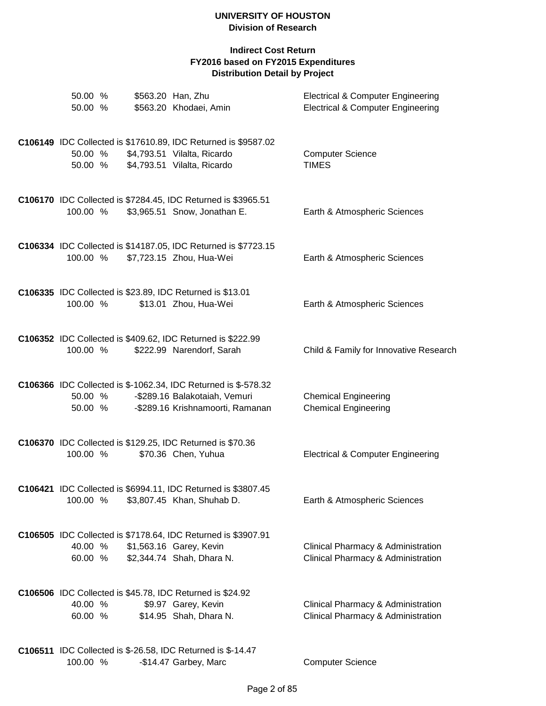| 50.00 %<br>50.00 % |         | \$563.20 Han, Zhu<br>\$563.20 Khodaei, Amin                                                                                         | <b>Electrical &amp; Computer Engineering</b><br><b>Electrical &amp; Computer Engineering</b> |
|--------------------|---------|-------------------------------------------------------------------------------------------------------------------------------------|----------------------------------------------------------------------------------------------|
| 50.00 %<br>50.00 % |         | C106149 IDC Collected is \$17610.89, IDC Returned is \$9587.02<br>\$4,793.51 Vilalta, Ricardo<br>\$4,793.51 Vilalta, Ricardo        | <b>Computer Science</b><br><b>TIMES</b>                                                      |
| 100.00 %           |         | C106170 IDC Collected is \$7284.45, IDC Returned is \$3965.51<br>\$3,965.51 Snow, Jonathan E.                                       | Earth & Atmospheric Sciences                                                                 |
| 100.00 %           |         | C106334 IDC Collected is \$14187.05, IDC Returned is \$7723.15<br>\$7,723.15 Zhou, Hua-Wei                                          | Earth & Atmospheric Sciences                                                                 |
| 100.00 %           |         | C106335 IDC Collected is \$23.89, IDC Returned is \$13.01<br>\$13.01 Zhou, Hua-Wei                                                  | Earth & Atmospheric Sciences                                                                 |
| 100.00 %           |         | C106352 IDC Collected is \$409.62, IDC Returned is \$222.99<br>\$222.99 Narendorf, Sarah                                            | Child & Family for Innovative Research                                                       |
| 50.00 %            | 50.00 % | C106366 IDC Collected is \$-1062.34, IDC Returned is \$-578.32<br>-\$289.16 Balakotaiah, Vemuri<br>-\$289.16 Krishnamoorti, Ramanan | <b>Chemical Engineering</b><br><b>Chemical Engineering</b>                                   |
| 100.00 %           |         | C106370 IDC Collected is \$129.25, IDC Returned is \$70.36<br>\$70.36 Chen, Yuhua                                                   | <b>Electrical &amp; Computer Engineering</b>                                                 |
| 100.00 %           |         | C106421 IDC Collected is \$6994.11, IDC Returned is \$3807.45<br>\$3,807.45 Khan, Shuhab D.                                         | Earth & Atmospheric Sciences                                                                 |
| 40.00 %<br>60.00 % |         | C106505 IDC Collected is \$7178.64, IDC Returned is \$3907.91<br>\$1,563.16 Garey, Kevin<br>\$2,344.74 Shah, Dhara N.               | Clinical Pharmacy & Administration<br>Clinical Pharmacy & Administration                     |
| 40.00 %<br>60.00 % |         | C106506 IDC Collected is \$45.78, IDC Returned is \$24.92<br>\$9.97 Garey, Kevin<br>\$14.95 Shah, Dhara N.                          | Clinical Pharmacy & Administration<br>Clinical Pharmacy & Administration                     |
| 100.00 %           |         | <b>C106511</b> IDC Collected is \$-26.58, IDC Returned is \$-14.47<br>-\$14.47 Garbey, Marc                                         | <b>Computer Science</b>                                                                      |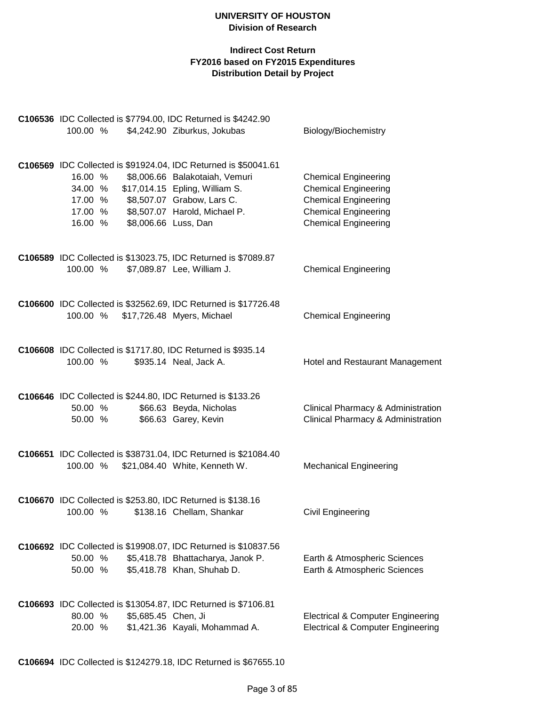# **Indirect Cost Return FY2016 based on FY2015 Expenditures Distribution Detail by Project**

| C106536 IDC Collected is \$7794.00, IDC Returned is \$4242.90<br>100.00 %                                          | \$4,242.90 Ziburkus, Jokubas                                                                                                                                                                                               | Biology/Biochemistry                                                                                                                                    |
|--------------------------------------------------------------------------------------------------------------------|----------------------------------------------------------------------------------------------------------------------------------------------------------------------------------------------------------------------------|---------------------------------------------------------------------------------------------------------------------------------------------------------|
| 16.00 %<br>34.00 %<br>17.00 %<br>17.00 %<br>16.00 %                                                                | C106569 IDC Collected is \$91924.04, IDC Returned is \$50041.61<br>\$8,006.66 Balakotaiah, Vemuri<br>\$17,014.15 Epling, William S.<br>\$8,507.07 Grabow, Lars C.<br>\$8,507.07 Harold, Michael P.<br>\$8,006.66 Luss, Dan | <b>Chemical Engineering</b><br><b>Chemical Engineering</b><br><b>Chemical Engineering</b><br><b>Chemical Engineering</b><br><b>Chemical Engineering</b> |
| C106589 IDC Collected is \$13023.75, IDC Returned is \$7089.87<br>100.00 %                                         | \$7,089.87 Lee, William J.                                                                                                                                                                                                 | <b>Chemical Engineering</b>                                                                                                                             |
| 100.00 %                                                                                                           | C106600 IDC Collected is \$32562.69, IDC Returned is \$17726.48<br>\$17,726.48 Myers, Michael                                                                                                                              | <b>Chemical Engineering</b>                                                                                                                             |
| C106608 IDC Collected is \$1717.80, IDC Returned is \$935.14<br>100.00 %                                           | \$935.14 Neal, Jack A.                                                                                                                                                                                                     | Hotel and Restaurant Management                                                                                                                         |
| C106646 IDC Collected is \$244.80, IDC Returned is \$133.26<br>50.00 %<br>50.00 %                                  | \$66.63 Beyda, Nicholas<br>\$66.63 Garey, Kevin                                                                                                                                                                            | Clinical Pharmacy & Administration<br>Clinical Pharmacy & Administration                                                                                |
| 100.00 %                                                                                                           | C106651 IDC Collected is \$38731.04, IDC Returned is \$21084.40<br>\$21,084.40 White, Kenneth W.                                                                                                                           | <b>Mechanical Engineering</b>                                                                                                                           |
| C106670 IDC Collected is \$253.80, IDC Returned is \$138.16<br>100.00 % \$138.16 Chellam, Shankar                  |                                                                                                                                                                                                                            | <b>Civil Engineering</b>                                                                                                                                |
| 50.00 %<br>50.00 %                                                                                                 | C106692 IDC Collected is \$19908.07, IDC Returned is \$10837.56<br>\$5,418.78 Bhattacharya, Janok P.<br>\$5,418.78 Khan, Shuhab D.                                                                                         | Earth & Atmospheric Sciences<br>Earth & Atmospheric Sciences                                                                                            |
| <b>C106693</b> IDC Collected is \$13054.87, IDC Returned is \$7106.81<br>80.00 %<br>\$5,685.45 Chen, Ji<br>20.00 % | \$1,421.36 Kayali, Mohammad A.                                                                                                                                                                                             | <b>Electrical &amp; Computer Engineering</b><br><b>Electrical &amp; Computer Engineering</b>                                                            |

**C106694** IDC Collected is \$124279.18, IDC Returned is \$67655.10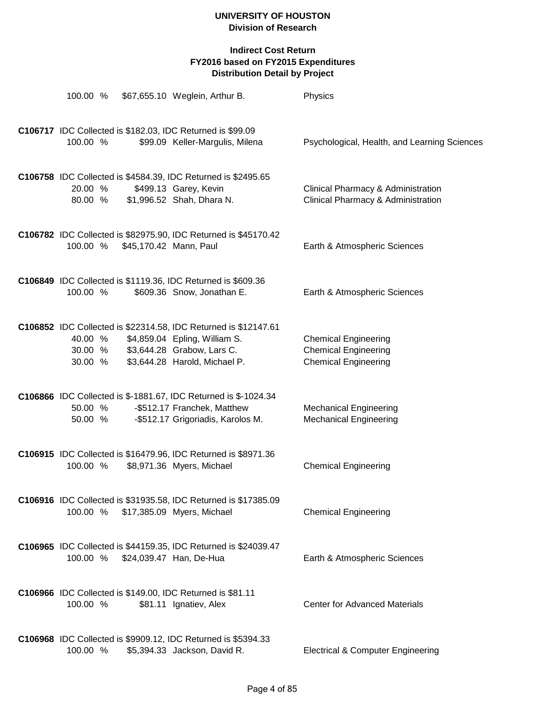| 100.00 %           |                        | \$67,655.10 Weglein, Arthur B.                                                                                                                                          | Physics                                                                                   |
|--------------------|------------------------|-------------------------------------------------------------------------------------------------------------------------------------------------------------------------|-------------------------------------------------------------------------------------------|
| 100.00 %           |                        | C106717 IDC Collected is \$182.03, IDC Returned is \$99.09<br>\$99.09 Keller-Margulis, Milena                                                                           | Psychological, Health, and Learning Sciences                                              |
| 20.00 %<br>80.00 % |                        | C106758 IDC Collected is \$4584.39, IDC Returned is \$2495.65<br>\$499.13 Garey, Kevin<br>\$1,996.52 Shah, Dhara N.                                                     | Clinical Pharmacy & Administration<br>Clinical Pharmacy & Administration                  |
| 100.00 %           | \$45,170.42 Mann, Paul | C106782 IDC Collected is \$82975.90, IDC Returned is \$45170.42                                                                                                         | Earth & Atmospheric Sciences                                                              |
| 100.00 %           |                        | C106849 IDC Collected is \$1119.36, IDC Returned is \$609.36<br>\$609.36 Snow, Jonathan E.                                                                              | Earth & Atmospheric Sciences                                                              |
| 40.00 %<br>30.00 % |                        | C106852 IDC Collected is \$22314.58, IDC Returned is \$12147.61<br>\$4,859.04 Epling, William S.<br>30.00 % \$3,644.28 Grabow, Lars C.<br>\$3,644.28 Harold, Michael P. | <b>Chemical Engineering</b><br><b>Chemical Engineering</b><br><b>Chemical Engineering</b> |
| 50.00 %<br>50.00 % |                        | C106866 IDC Collected is \$-1881.67, IDC Returned is \$-1024.34<br>-\$512.17 Franchek, Matthew<br>-\$512.17 Grigoriadis, Karolos M.                                     | <b>Mechanical Engineering</b><br><b>Mechanical Engineering</b>                            |
| 100.00 %           |                        | C106915 IDC Collected is \$16479.96, IDC Returned is \$8971.36<br>\$8,971.36 Myers, Michael                                                                             | <b>Chemical Engineering</b>                                                               |
| 100.00 %           |                        | <b>C106916</b> IDC Collected is \$31935.58, IDC Returned is \$17385.09<br>\$17,385.09 Myers, Michael                                                                    | <b>Chemical Engineering</b>                                                               |
| 100.00 %           |                        | C106965 IDC Collected is \$44159.35, IDC Returned is \$24039.47<br>\$24,039.47 Han, De-Hua                                                                              | Earth & Atmospheric Sciences                                                              |
| 100.00 %           |                        | C106966 IDC Collected is \$149.00, IDC Returned is \$81.11<br>\$81.11 Ignatiev, Alex                                                                                    | <b>Center for Advanced Materials</b>                                                      |
| 100.00 %           |                        | C106968 IDC Collected is \$9909.12, IDC Returned is \$5394.33<br>\$5,394.33 Jackson, David R.                                                                           | <b>Electrical &amp; Computer Engineering</b>                                              |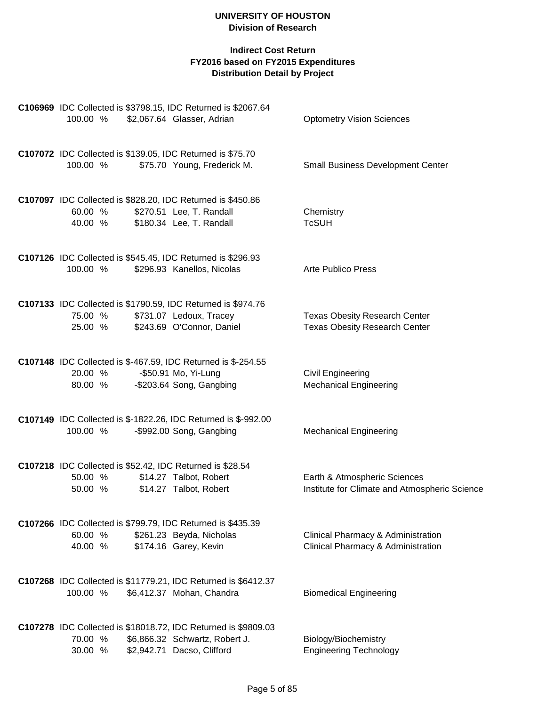|                    |         | C106969 IDC Collected is \$3798.15, IDC Returned is \$2067.64                             |                                                                              |
|--------------------|---------|-------------------------------------------------------------------------------------------|------------------------------------------------------------------------------|
| 100.00 %           |         | \$2,067.64 Glasser, Adrian                                                                | <b>Optometry Vision Sciences</b>                                             |
|                    |         | C107072 IDC Collected is \$139.05, IDC Returned is \$75.70                                |                                                                              |
| 100.00 %           |         | \$75.70 Young, Frederick M.                                                               | <b>Small Business Development Center</b>                                     |
|                    |         | C107097 IDC Collected is \$828.20, IDC Returned is \$450.86                               |                                                                              |
| 60.00 %<br>40.00 % |         | \$270.51 Lee, T. Randall<br>\$180.34 Lee, T. Randall                                      | Chemistry<br><b>TcSUH</b>                                                    |
|                    |         |                                                                                           |                                                                              |
| 100.00 %           |         | C107126 IDC Collected is \$545.45, IDC Returned is \$296.93<br>\$296.93 Kanellos, Nicolas | <b>Arte Publico Press</b>                                                    |
|                    |         |                                                                                           |                                                                              |
|                    |         | C107133 IDC Collected is \$1790.59, IDC Returned is \$974.76                              |                                                                              |
| 75.00 %            | 25.00 % | \$731.07 Ledoux, Tracey<br>\$243.69 O'Connor, Daniel                                      | <b>Texas Obesity Research Center</b><br><b>Texas Obesity Research Center</b> |
|                    |         |                                                                                           |                                                                              |
|                    |         | C107148 IDC Collected is \$-467.59, IDC Returned is \$-254.55                             |                                                                              |
| 20.00 %<br>80.00 % |         | -\$50.91 Mo, Yi-Lung<br>-\$203.64 Song, Gangbing                                          | Civil Engineering<br><b>Mechanical Engineering</b>                           |
|                    |         |                                                                                           |                                                                              |
|                    |         | C107149 IDC Collected is \$-1822.26, IDC Returned is \$-992.00                            |                                                                              |
| 100.00 %           |         | -\$992.00 Song, Gangbing                                                                  | <b>Mechanical Engineering</b>                                                |
|                    |         | C107218 IDC Collected is \$52.42, IDC Returned is \$28.54                                 |                                                                              |
| 50.00 %            |         | \$14.27 Talbot, Robert                                                                    | Earth & Atmospheric Sciences                                                 |
| 50.00 %            |         | \$14.27 Talbot, Robert                                                                    | Institute for Climate and Atmospheric Science                                |
|                    |         | C107266 IDC Collected is \$799.79, IDC Returned is \$435.39                               |                                                                              |
| 60.00 %            |         | \$261.23 Beyda, Nicholas                                                                  | Clinical Pharmacy & Administration                                           |
| 40.00 %            |         | \$174.16 Garey, Kevin                                                                     | Clinical Pharmacy & Administration                                           |
|                    |         | C107268 IDC Collected is \$11779.21, IDC Returned is \$6412.37                            |                                                                              |
| 100.00 %           |         | \$6,412.37 Mohan, Chandra                                                                 | <b>Biomedical Engineering</b>                                                |
|                    |         | C107278 IDC Collected is \$18018.72, IDC Returned is \$9809.03                            |                                                                              |
| 70.00 %            |         | \$6,866.32 Schwartz, Robert J.                                                            | Biology/Biochemistry                                                         |
| 30.00 %            |         | \$2,942.71 Dacso, Clifford                                                                | <b>Engineering Technology</b>                                                |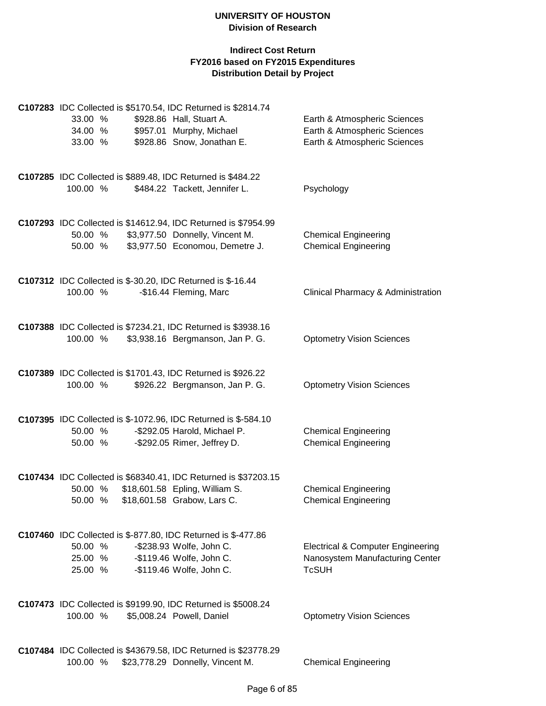|          |                                     | C107283 IDC Collected is \$5170.54, IDC Returned is \$2814.74        |                                                            |
|----------|-------------------------------------|----------------------------------------------------------------------|------------------------------------------------------------|
| 33.00 %  |                                     | \$928.86 Hall, Stuart A.                                             | Earth & Atmospheric Sciences                               |
| 34.00 %  |                                     | \$957.01 Murphy, Michael                                             | Earth & Atmospheric Sciences                               |
| 33.00 %  |                                     | \$928.86 Snow, Jonathan E.                                           | Earth & Atmospheric Sciences                               |
|          |                                     | C107285 IDC Collected is \$889.48, IDC Returned is \$484.22          |                                                            |
| 100.00 % |                                     | \$484.22 Tackett, Jennifer L.                                        | Psychology                                                 |
|          |                                     |                                                                      |                                                            |
|          |                                     | C107293 IDC Collected is \$14612.94, IDC Returned is \$7954.99       |                                                            |
| 50.00 %  |                                     | \$3,977.50 Donnelly, Vincent M.                                      | <b>Chemical Engineering</b>                                |
| 50.00 %  |                                     | \$3,977.50 Economou, Demetre J.                                      | <b>Chemical Engineering</b>                                |
|          |                                     | <b>C107312</b> IDC Collected is \$-30.20, IDC Returned is \$-16.44   |                                                            |
| 100.00 % |                                     | -\$16.44 Fleming, Marc                                               | Clinical Pharmacy & Administration                         |
|          |                                     |                                                                      |                                                            |
|          |                                     | C107388 IDC Collected is \$7234.21, IDC Returned is \$3938.16        |                                                            |
| 100.00 % |                                     | \$3,938.16 Bergmanson, Jan P. G.                                     | <b>Optometry Vision Sciences</b>                           |
|          |                                     |                                                                      |                                                            |
|          |                                     | C107389 IDC Collected is \$1701.43, IDC Returned is \$926.22         |                                                            |
| 100.00 % |                                     | \$926.22 Bergmanson, Jan P. G.                                       | <b>Optometry Vision Sciences</b>                           |
|          |                                     | C107395 IDC Collected is \$-1072.96, IDC Returned is \$-584.10       |                                                            |
| 50.00 %  |                                     | -\$292.05 Harold, Michael P.                                         | <b>Chemical Engineering</b>                                |
| 50.00 %  |                                     | -\$292.05 Rimer, Jeffrey D.                                          | <b>Chemical Engineering</b>                                |
|          |                                     |                                                                      |                                                            |
|          |                                     | C107434 IDC Collected is \$68340.41, IDC Returned is \$37203.15      |                                                            |
| 50.00 %  | 50.00 % \$18,601.58 Grabow, Lars C. | \$18,601.58 Epling, William S.                                       | <b>Chemical Engineering</b><br><b>Chemical Engineering</b> |
|          |                                     |                                                                      |                                                            |
|          |                                     | <b>C107460</b> IDC Collected is \$-877.80, IDC Returned is \$-477.86 |                                                            |
| 50.00 %  |                                     | -\$238.93 Wolfe, John C.                                             | <b>Electrical &amp; Computer Engineering</b>               |
|          | 25.00 %                             | -\$119.46 Wolfe, John C.                                             | Nanosystem Manufacturing Center                            |
| 25.00 %  |                                     | -\$119.46 Wolfe, John C.                                             | <b>TcSUH</b>                                               |
|          |                                     | C107473 IDC Collected is \$9199.90, IDC Returned is \$5008.24        |                                                            |
| 100.00 % |                                     | \$5,008.24 Powell, Daniel                                            | <b>Optometry Vision Sciences</b>                           |
|          |                                     |                                                                      |                                                            |
|          |                                     | C107484 IDC Collected is \$43679.58, IDC Returned is \$23778.29      |                                                            |
| 100.00 % |                                     | \$23,778.29 Donnelly, Vincent M.                                     | <b>Chemical Engineering</b>                                |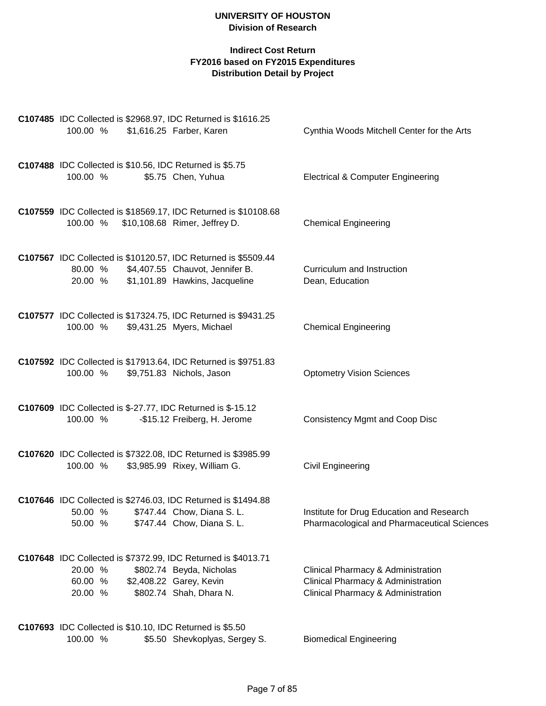# **Indirect Cost Return FY2016 based on FY2015 Expenditures Distribution Detail by Project**

| C107485 IDC Collected is \$2968.97, IDC Returned is \$1616.25<br>100.00 %                                            | \$1,616.25 Farber, Karen                                                       | Cynthia Woods Mitchell Center for the Arts                                                                     |
|----------------------------------------------------------------------------------------------------------------------|--------------------------------------------------------------------------------|----------------------------------------------------------------------------------------------------------------|
| C107488 IDC Collected is \$10.56, IDC Returned is \$5.75<br>100.00 %                                                 | \$5.75 Chen, Yuhua                                                             | <b>Electrical &amp; Computer Engineering</b>                                                                   |
| C107559 IDC Collected is \$18569.17, IDC Returned is \$10108.68<br>100.00 %                                          | \$10,108.68 Rimer, Jeffrey D.                                                  | <b>Chemical Engineering</b>                                                                                    |
| C107567 IDC Collected is \$10120.57, IDC Returned is \$5509.44<br>80.00 % \$4,407.55 Chauvot, Jennifer B.<br>20.00 % | \$1,101.89 Hawkins, Jacqueline                                                 | Curriculum and Instruction<br>Dean, Education                                                                  |
| C107577 IDC Collected is \$17324.75, IDC Returned is \$9431.25<br>100.00 %                                           | \$9,431.25 Myers, Michael                                                      | <b>Chemical Engineering</b>                                                                                    |
| C107592 IDC Collected is \$17913.64, IDC Returned is \$9751.83<br>100.00 %                                           | \$9,751.83 Nichols, Jason                                                      | <b>Optometry Vision Sciences</b>                                                                               |
| <b>C107609</b> IDC Collected is \$-27.77, IDC Returned is \$-15.12<br>100.00 %                                       | -\$15.12 Freiberg, H. Jerome                                                   | <b>Consistency Mgmt and Coop Disc</b>                                                                          |
| C107620 IDC Collected is \$7322.08, IDC Returned is \$3985.99<br>100.00 %                                            | \$3,985.99 Rixey, William G.                                                   | Civil Engineering                                                                                              |
| C107646 IDC Collected is \$2746.03, IDC Returned is \$1494.88<br>50.00 % \$747.44 Chow, Diana S. L.<br>50.00 %       | \$747.44 Chow, Diana S. L.                                                     | Institute for Drug Education and Research<br>Pharmacological and Pharmaceutical Sciences                       |
| C107648 IDC Collected is \$7372.99, IDC Returned is \$4013.71<br>20.00 %<br>60.00 %<br>20.00 %                       | \$802.74 Beyda, Nicholas<br>\$2,408.22 Garey, Kevin<br>\$802.74 Shah, Dhara N. | Clinical Pharmacy & Administration<br>Clinical Pharmacy & Administration<br>Clinical Pharmacy & Administration |
| C107693 IDC Collected is \$10.10, IDC Returned is \$5.50                                                             |                                                                                |                                                                                                                |

100.00 % \$5.50 Shevkoplyas, Sergey S. Biomedical Engineering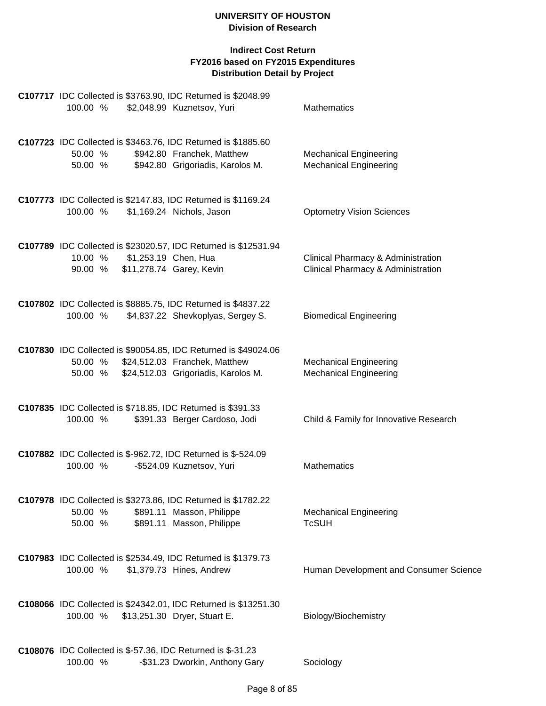| C107717 IDC Collected is \$3763.90, IDC Returned is \$2048.99<br>100.00 %           | \$2,048.99 Kuznetsov, Yuri                                                                                          | <b>Mathematics</b>                                                       |
|-------------------------------------------------------------------------------------|---------------------------------------------------------------------------------------------------------------------|--------------------------------------------------------------------------|
| C107723 IDC Collected is \$3463.76, IDC Returned is \$1885.60<br>50.00 %<br>50.00 % | \$942.80 Franchek, Matthew<br>\$942.80 Grigoriadis, Karolos M.                                                      | <b>Mechanical Engineering</b><br><b>Mechanical Engineering</b>           |
| C107773 IDC Collected is \$2147.83, IDC Returned is \$1169.24<br>100.00 %           | \$1,169.24 Nichols, Jason                                                                                           | <b>Optometry Vision Sciences</b>                                         |
| 10.00 %<br>90.00 %                                                                  | C107789 IDC Collected is \$23020.57, IDC Returned is \$12531.94<br>\$1,253.19 Chen, Hua<br>\$11,278.74 Garey, Kevin | Clinical Pharmacy & Administration<br>Clinical Pharmacy & Administration |
| C107802 IDC Collected is \$8885.75, IDC Returned is \$4837.22<br>100.00 %           | \$4,837.22 Shevkoplyas, Sergey S.                                                                                   | <b>Biomedical Engineering</b>                                            |
| 50.00 % \$24,512.03 Franchek, Matthew<br>50.00 %                                    | C107830 IDC Collected is \$90054.85, IDC Returned is \$49024.06<br>\$24,512.03 Grigoriadis, Karolos M.              | <b>Mechanical Engineering</b><br><b>Mechanical Engineering</b>           |
| C107835 IDC Collected is \$718.85, IDC Returned is \$391.33<br>100.00 %             | \$391.33 Berger Cardoso, Jodi                                                                                       | Child & Family for Innovative Research                                   |
| C107882 IDC Collected is \$-962.72, IDC Returned is \$-524.09<br>100.00 %           | -\$524.09 Kuznetsov, Yuri                                                                                           | <b>Mathematics</b>                                                       |
| C107978 IDC Collected is \$3273.86, IDC Returned is \$1782.22<br>50.00 %<br>50.00 % | \$891.11 Masson, Philippe<br>\$891.11 Masson, Philippe                                                              | <b>Mechanical Engineering</b><br><b>TcSUH</b>                            |
| C107983 IDC Collected is \$2534.49, IDC Returned is \$1379.73<br>100.00 %           | \$1,379.73 Hines, Andrew                                                                                            | Human Development and Consumer Science                                   |
| 100.00 % \$13,251.30 Dryer, Stuart E.                                               | C108066 IDC Collected is \$24342.01, IDC Returned is \$13251.30                                                     | Biology/Biochemistry                                                     |
| C108076 IDC Collected is \$-57.36, IDC Returned is \$-31.23<br>100.00 %             | -\$31.23 Dworkin, Anthony Gary                                                                                      | Sociology                                                                |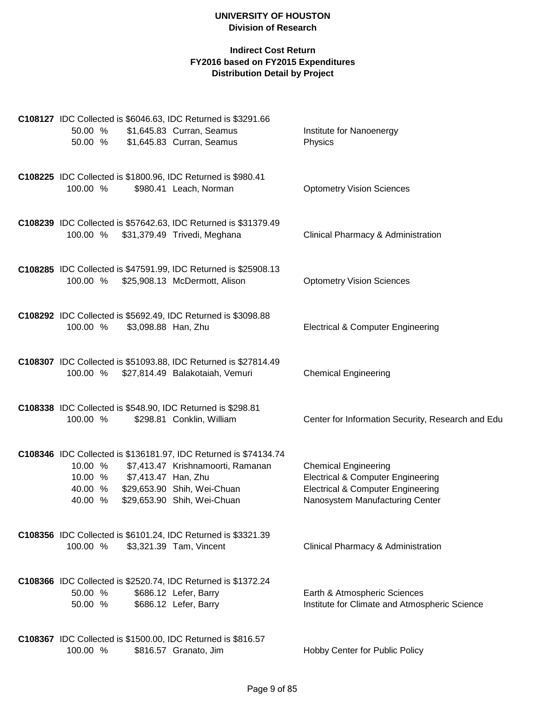| C108127 IDC Collected is \$6046.63, IDC Returned is \$3291.66<br>50.00 %            | \$1,645.83 Curran, Seamus                                                                                                                                           |                                                                                                                                                                |
|-------------------------------------------------------------------------------------|---------------------------------------------------------------------------------------------------------------------------------------------------------------------|----------------------------------------------------------------------------------------------------------------------------------------------------------------|
| 50.00 %                                                                             | \$1,645.83 Curran, Seamus                                                                                                                                           | Institute for Nanoenergy<br>Physics                                                                                                                            |
| C108225 IDC Collected is \$1800.96, IDC Returned is \$980.41<br>100.00 %            | \$980.41 Leach, Norman                                                                                                                                              | <b>Optometry Vision Sciences</b>                                                                                                                               |
| 100.00 % \$31,379.49 Trivedi, Meghana                                               | C108239 IDC Collected is \$57642.63, IDC Returned is \$31379.49                                                                                                     | Clinical Pharmacy & Administration                                                                                                                             |
| 100.00 %                                                                            | C108285 IDC Collected is \$47591.99, IDC Returned is \$25908.13<br>\$25,908.13 McDermott, Alison                                                                    | <b>Optometry Vision Sciences</b>                                                                                                                               |
| C108292 IDC Collected is \$5692.49, IDC Returned is \$3098.88<br>100.00 %           | \$3,098.88 Han, Zhu                                                                                                                                                 | <b>Electrical &amp; Computer Engineering</b>                                                                                                                   |
| 100.00 %                                                                            | C108307 IDC Collected is \$51093.88, IDC Returned is \$27814.49<br>\$27,814.49 Balakotaiah, Vemuri                                                                  | <b>Chemical Engineering</b>                                                                                                                                    |
| C108338 IDC Collected is \$548.90, IDC Returned is \$298.81<br>100.00 %             | \$298.81 Conklin, William                                                                                                                                           | Center for Information Security, Research and Edu                                                                                                              |
| 10.00 %<br>\$7,413.47 Han, Zhu<br>10.00 %<br>40.00 %<br>40.00 %                     | C108346 IDC Collected is \$136181.97, IDC Returned is \$74134.74<br>\$7,413.47 Krishnamoorti, Ramanan<br>\$29,653.90 Shih, Wei-Chuan<br>\$29,653.90 Shih, Wei-Chuan | <b>Chemical Engineering</b><br><b>Electrical &amp; Computer Engineering</b><br><b>Electrical &amp; Computer Engineering</b><br>Nanosystem Manufacturing Center |
| C108356 IDC Collected is \$6101.24, IDC Returned is \$3321.39<br>100.00 %           | \$3,321.39 Tam, Vincent                                                                                                                                             | Clinical Pharmacy & Administration                                                                                                                             |
| C108366 IDC Collected is \$2520.74, IDC Returned is \$1372.24<br>50.00 %<br>50.00 % | \$686.12 Lefer, Barry<br>\$686.12 Lefer, Barry                                                                                                                      | Earth & Atmospheric Sciences<br>Institute for Climate and Atmospheric Science                                                                                  |
| C108367 IDC Collected is \$1500.00, IDC Returned is \$816.57<br>100.00 %            | \$816.57 Granato, Jim                                                                                                                                               | Hobby Center for Public Policy                                                                                                                                 |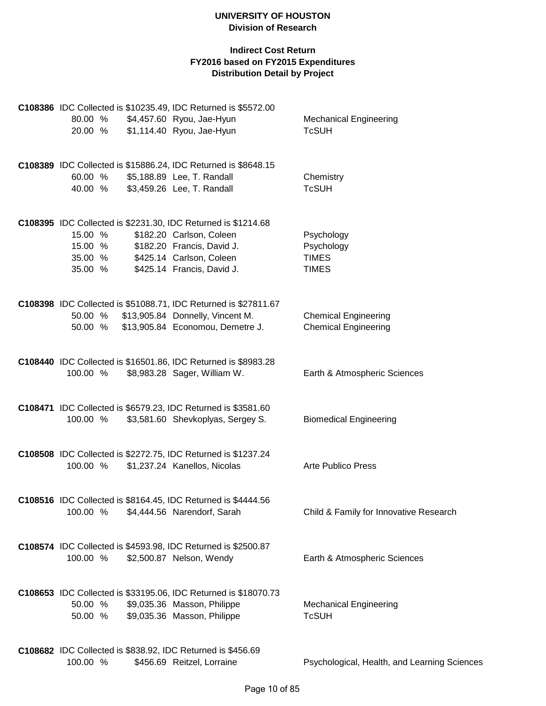|                    | C108386 IDC Collected is \$10235.49, IDC Returned is \$5572.00       |                                                            |
|--------------------|----------------------------------------------------------------------|------------------------------------------------------------|
| 80.00 %            | \$4,457.60 Ryou, Jae-Hyun                                            | <b>Mechanical Engineering</b>                              |
| 20.00 %            | \$1,114.40 Ryou, Jae-Hyun                                            | <b>TcSUH</b>                                               |
|                    |                                                                      |                                                            |
|                    | C108389 IDC Collected is \$15886.24, IDC Returned is \$8648.15       |                                                            |
| 60.00 %<br>40.00 % | \$5,188.89 Lee, T. Randall                                           | Chemistry<br><b>TcSUH</b>                                  |
|                    | \$3,459.26 Lee, T. Randall                                           |                                                            |
|                    | C108395 IDC Collected is \$2231.30, IDC Returned is \$1214.68        |                                                            |
| 15.00 %            | \$182.20 Carlson, Coleen                                             | Psychology                                                 |
| 15.00 %            | \$182.20 Francis, David J.                                           | Psychology                                                 |
| 35.00 %            | \$425.14 Carlson, Coleen                                             | <b>TIMES</b>                                               |
| 35.00 %            | \$425.14 Francis, David J.                                           | <b>TIMES</b>                                               |
|                    |                                                                      |                                                            |
|                    | C108398 IDC Collected is \$51088.71, IDC Returned is \$27811.67      |                                                            |
| 50.00 %<br>50.00 % | \$13,905.84 Donnelly, Vincent M.<br>\$13,905.84 Economou, Demetre J. | <b>Chemical Engineering</b><br><b>Chemical Engineering</b> |
|                    |                                                                      |                                                            |
|                    | C108440 IDC Collected is \$16501.86, IDC Returned is \$8983.28       |                                                            |
| 100.00 %           | \$8,983.28 Sager, William W.                                         | Earth & Atmospheric Sciences                               |
|                    | <b>C108471</b> IDC Collected is \$6579.23, IDC Returned is \$3581.60 |                                                            |
| 100.00 %           | \$3,581.60 Shevkoplyas, Sergey S.                                    | <b>Biomedical Engineering</b>                              |
|                    |                                                                      |                                                            |
|                    | C108508 IDC Collected is \$2272.75, IDC Returned is \$1237.24        |                                                            |
| 100.00 %           | \$1,237.24 Kanellos, Nicolas                                         | <b>Arte Publico Press</b>                                  |
|                    | C108516 IDC Collected is \$8164.45, IDC Returned is \$4444.56        |                                                            |
|                    | 100.00 % \$4,444.56 Narendorf, Sarah                                 | Child & Family for Innovative Research                     |
|                    | C108574 IDC Collected is \$4593.98, IDC Returned is \$2500.87        |                                                            |
| 100.00 %           | \$2,500.87 Nelson, Wendy                                             | Earth & Atmospheric Sciences                               |
|                    |                                                                      |                                                            |
|                    | C108653 IDC Collected is \$33195.06, IDC Returned is \$18070.73      |                                                            |
| 50.00 %            | \$9,035.36 Masson, Philippe                                          | <b>Mechanical Engineering</b>                              |
| 50.00 %            | \$9,035.36 Masson, Philippe                                          | <b>TcSUH</b>                                               |
|                    | C108682 IDC Collected is \$838.92, IDC Returned is \$456.69          |                                                            |
| 100.00 %           | \$456.69 Reitzel, Lorraine                                           | Psychological, Health, and Learning Sciences               |
|                    |                                                                      |                                                            |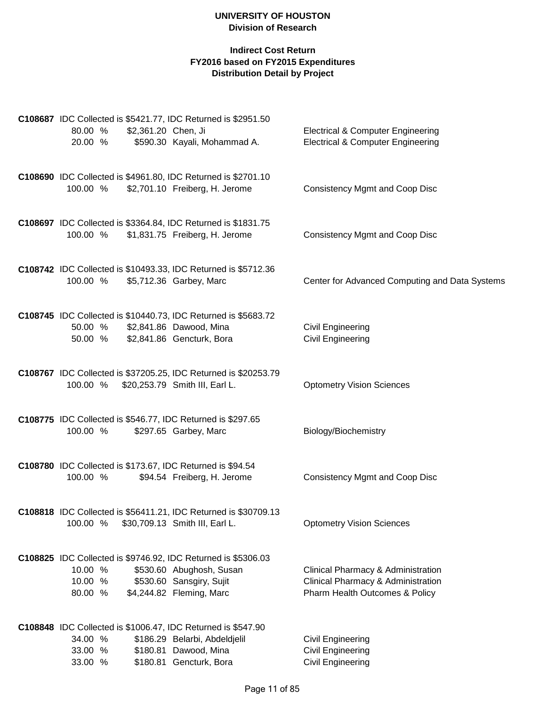|                    |                     | C108687 IDC Collected is \$5421.77, IDC Returned is \$2951.50                             |                                                      |
|--------------------|---------------------|-------------------------------------------------------------------------------------------|------------------------------------------------------|
| 80.00 %            | \$2,361.20 Chen, Ji |                                                                                           | <b>Electrical &amp; Computer Engineering</b>         |
| 20.00 %            |                     | \$590.30 Kayali, Mohammad A.                                                              | <b>Electrical &amp; Computer Engineering</b>         |
|                    |                     | C108690 IDC Collected is \$4961.80, IDC Returned is \$2701.10                             |                                                      |
| 100.00 %           |                     | \$2,701.10 Freiberg, H. Jerome                                                            | <b>Consistency Mgmt and Coop Disc</b>                |
|                    |                     | C108697 IDC Collected is \$3364.84, IDC Returned is \$1831.75                             |                                                      |
| 100.00 %           |                     | \$1,831.75 Freiberg, H. Jerome                                                            | <b>Consistency Mgmt and Coop Disc</b>                |
|                    |                     | C108742 IDC Collected is \$10493.33, IDC Returned is \$5712.36                            |                                                      |
| 100.00 %           |                     | \$5,712.36 Garbey, Marc                                                                   | Center for Advanced Computing and Data Systems       |
|                    |                     | C108745 IDC Collected is \$10440.73, IDC Returned is \$5683.72                            |                                                      |
| 50.00 %<br>50.00 % |                     | \$2,841.86 Dawood, Mina<br>\$2,841.86 Gencturk, Bora                                      | <b>Civil Engineering</b><br><b>Civil Engineering</b> |
|                    |                     |                                                                                           |                                                      |
|                    |                     | C108767 IDC Collected is \$37205.25, IDC Returned is \$20253.79                           |                                                      |
| 100.00 %           |                     | \$20,253.79 Smith III, Earl L.                                                            | <b>Optometry Vision Sciences</b>                     |
|                    |                     | C108775 IDC Collected is \$546.77, IDC Returned is \$297.65                               |                                                      |
| 100.00 %           |                     | \$297.65 Garbey, Marc                                                                     | Biology/Biochemistry                                 |
|                    |                     | C108780 IDC Collected is \$173.67, IDC Returned is \$94.54                                |                                                      |
| 100.00 %           |                     | \$94.54 Freiberg, H. Jerome                                                               | <b>Consistency Mgmt and Coop Disc</b>                |
|                    |                     | C108818 IDC Collected is \$56411.21, IDC Returned is \$30709.13                           |                                                      |
| 100.00 %           |                     | \$30,709.13 Smith III, Earl L.                                                            | <b>Optometry Vision Sciences</b>                     |
|                    |                     |                                                                                           |                                                      |
| 10.00 %            |                     | C108825 IDC Collected is \$9746.92, IDC Returned is \$5306.03<br>\$530.60 Abughosh, Susan | Clinical Pharmacy & Administration                   |
| 10.00 %            |                     | \$530.60 Sansgiry, Sujit                                                                  | Clinical Pharmacy & Administration                   |
| 80.00 %            |                     | \$4,244.82 Fleming, Marc                                                                  | Pharm Health Outcomes & Policy                       |
|                    |                     | C108848 IDC Collected is \$1006.47, IDC Returned is \$547.90                              |                                                      |
| 34.00 %            |                     | \$186.29 Belarbi, Abdeldjelil                                                             | <b>Civil Engineering</b>                             |
| 33.00 %            |                     | \$180.81 Dawood, Mina                                                                     | <b>Civil Engineering</b>                             |
| 33.00 %            |                     | \$180.81 Gencturk, Bora                                                                   | <b>Civil Engineering</b>                             |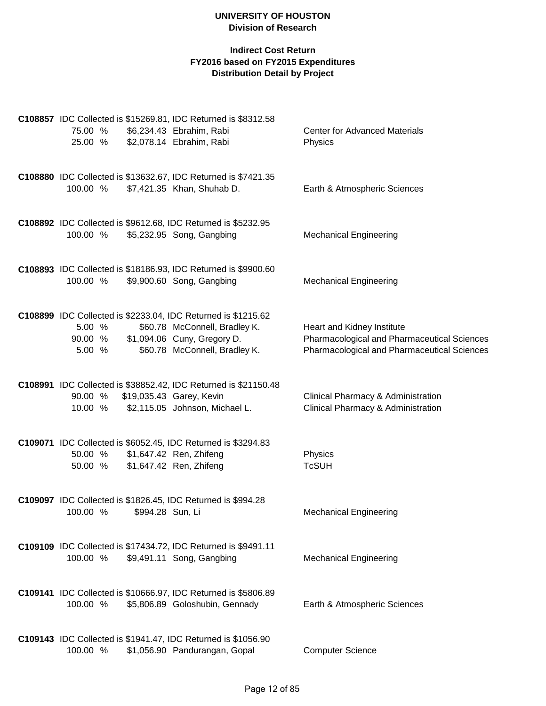| 75.00 %<br>25.00 %        |                                                    | C108857 IDC Collected is \$15269.81, IDC Returned is \$8312.58<br>\$6,234.43 Ebrahim, Rabi<br>\$2,078.14 Ebrahim, Rabi                                                 | <b>Center for Advanced Materials</b><br>Physics                                                                          |
|---------------------------|----------------------------------------------------|------------------------------------------------------------------------------------------------------------------------------------------------------------------------|--------------------------------------------------------------------------------------------------------------------------|
| 100.00 %                  |                                                    | C108880 IDC Collected is \$13632.67, IDC Returned is \$7421.35<br>\$7,421.35 Khan, Shuhab D.                                                                           | Earth & Atmospheric Sciences                                                                                             |
| 100.00 %                  |                                                    | C108892 IDC Collected is \$9612.68, IDC Returned is \$5232.95<br>\$5,232.95 Song, Gangbing                                                                             | <b>Mechanical Engineering</b>                                                                                            |
| 100.00 %                  |                                                    | C108893 IDC Collected is \$18186.93, IDC Returned is \$9900.60<br>\$9,900.60 Song, Gangbing                                                                            | <b>Mechanical Engineering</b>                                                                                            |
| 5.00 %<br>5.00 %          |                                                    | C108899 IDC Collected is \$2233.04, IDC Returned is \$1215.62<br>\$60.78 McConnell, Bradley K.<br>90.00 % \$1,094.06 Cuny, Gregory D.<br>\$60.78 McConnell, Bradley K. | Heart and Kidney Institute<br>Pharmacological and Pharmaceutical Sciences<br>Pharmacological and Pharmaceutical Sciences |
| 90.00 %<br>10.00 %        | \$19,035.43 Garey, Kevin                           | C108991 IDC Collected is \$38852.42, IDC Returned is \$21150.48<br>\$2,115.05 Johnson, Michael L.                                                                      | Clinical Pharmacy & Administration<br>Clinical Pharmacy & Administration                                                 |
| 50.00 %<br>50.00 %        | \$1,647.42 Ren, Zhifeng<br>\$1,647.42 Ren, Zhifeng | C109071 IDC Collected is \$6052.45, IDC Returned is \$3294.83                                                                                                          | Physics<br><b>TcSUH</b>                                                                                                  |
| 100.00 % \$994.28 Sun, Li |                                                    | C109097 IDC Collected is \$1826.45, IDC Returned is \$994.28                                                                                                           | <b>Mechanical Engineering</b>                                                                                            |
| 100.00 %                  |                                                    | C109109 IDC Collected is \$17434.72, IDC Returned is \$9491.11<br>\$9,491.11 Song, Gangbing                                                                            | <b>Mechanical Engineering</b>                                                                                            |
| 100.00 %                  |                                                    | C109141 IDC Collected is \$10666.97, IDC Returned is \$5806.89<br>\$5,806.89 Goloshubin, Gennady                                                                       | Earth & Atmospheric Sciences                                                                                             |
| 100.00 %                  |                                                    | C109143 IDC Collected is \$1941.47, IDC Returned is \$1056.90<br>\$1,056.90 Pandurangan, Gopal                                                                         | <b>Computer Science</b>                                                                                                  |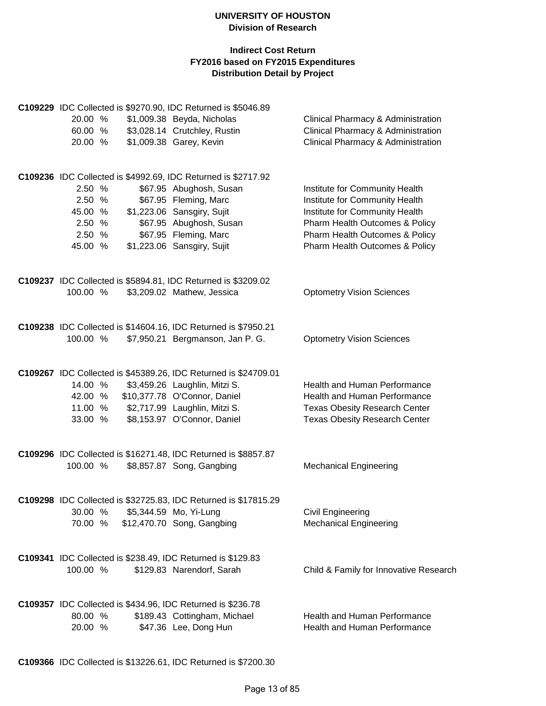|          |  | C109229 IDC Collected is \$9270.90, IDC Returned is \$5046.89   |                                        |
|----------|--|-----------------------------------------------------------------|----------------------------------------|
| 20.00 %  |  | \$1,009.38 Beyda, Nicholas                                      | Clinical Pharmacy & Administration     |
| 60.00 %  |  | \$3,028.14 Crutchley, Rustin                                    | Clinical Pharmacy & Administration     |
| 20.00 %  |  | \$1,009.38 Garey, Kevin                                         | Clinical Pharmacy & Administration     |
|          |  | C109236 IDC Collected is \$4992.69, IDC Returned is \$2717.92   |                                        |
| 2.50 %   |  | \$67.95 Abughosh, Susan                                         | Institute for Community Health         |
| 2.50 %   |  | \$67.95 Fleming, Marc                                           | Institute for Community Health         |
| 45.00 %  |  | \$1,223.06 Sansgiry, Sujit                                      | Institute for Community Health         |
| 2.50 %   |  | \$67.95 Abughosh, Susan                                         | Pharm Health Outcomes & Policy         |
| 2.50 %   |  | \$67.95 Fleming, Marc                                           | Pharm Health Outcomes & Policy         |
| 45.00 %  |  | \$1,223.06 Sansgiry, Sujit                                      | Pharm Health Outcomes & Policy         |
|          |  | C109237 IDC Collected is \$5894.81, IDC Returned is \$3209.02   |                                        |
| 100.00 % |  | \$3,209.02 Mathew, Jessica                                      | <b>Optometry Vision Sciences</b>       |
|          |  | C109238 IDC Collected is \$14604.16, IDC Returned is \$7950.21  |                                        |
| 100.00 % |  | \$7,950.21 Bergmanson, Jan P. G.                                | <b>Optometry Vision Sciences</b>       |
|          |  | C109267 IDC Collected is \$45389.26, IDC Returned is \$24709.01 |                                        |
| 14.00 %  |  | \$3,459.26 Laughlin, Mitzi S.                                   | Health and Human Performance           |
| 42.00 %  |  | \$10,377.78 O'Connor, Daniel                                    | Health and Human Performance           |
| 11.00 %  |  | \$2,717.99 Laughlin, Mitzi S.                                   | <b>Texas Obesity Research Center</b>   |
| 33.00 %  |  | \$8,153.97 O'Connor, Daniel                                     | <b>Texas Obesity Research Center</b>   |
|          |  |                                                                 |                                        |
|          |  | C109296 IDC Collected is \$16271.48, IDC Returned is \$8857.87  |                                        |
| 100.00 % |  | \$8,857.87 Song, Gangbing                                       | <b>Mechanical Engineering</b>          |
|          |  | C109298 IDC Collected is \$32725.83, IDC Returned is \$17815.29 |                                        |
|          |  | 30.00 % \$5,344.59 Mo, Yi-Lung                                  | <b>Civil Engineering</b>               |
| 70.00 %  |  | \$12,470.70 Song, Gangbing                                      | <b>Mechanical Engineering</b>          |
|          |  | C109341 IDC Collected is \$238.49, IDC Returned is \$129.83     |                                        |
| 100.00 % |  | \$129.83 Narendorf, Sarah                                       | Child & Family for Innovative Research |
|          |  |                                                                 |                                        |
| 80.00 %  |  | C109357 IDC Collected is \$434.96, IDC Returned is \$236.78     | Health and Human Performance           |
| 20.00 %  |  | \$189.43 Cottingham, Michael<br>\$47.36 Lee, Dong Hun           | Health and Human Performance           |
|          |  |                                                                 |                                        |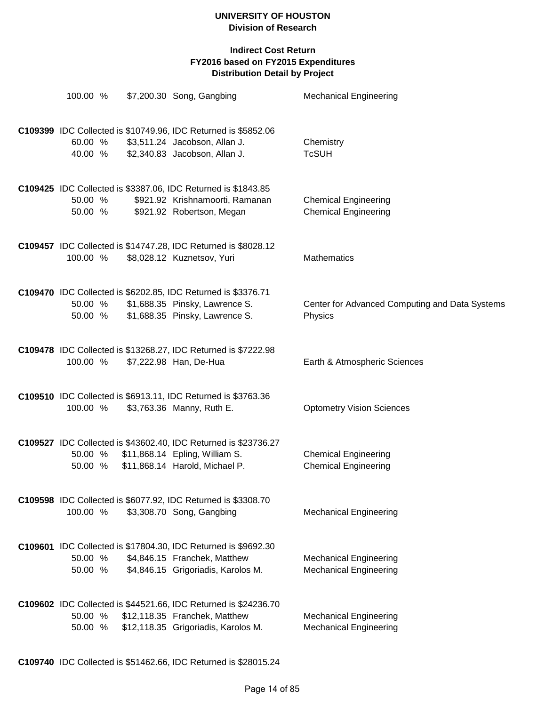| 100.00 %           | \$7,200.30 Song, Gangbing                                                                                                                   | <b>Mechanical Engineering</b>                                  |
|--------------------|---------------------------------------------------------------------------------------------------------------------------------------------|----------------------------------------------------------------|
| 60.00 %<br>40.00 % | C109399 IDC Collected is \$10749.96, IDC Returned is \$5852.06<br>\$3,511.24 Jacobson, Allan J.<br>\$2,340.83 Jacobson, Allan J.            | Chemistry<br><b>TcSUH</b>                                      |
| 50.00 %<br>50.00 % | C109425 IDC Collected is \$3387.06, IDC Returned is \$1843.85<br>\$921.92 Krishnamoorti, Ramanan<br>\$921.92 Robertson, Megan               | <b>Chemical Engineering</b><br><b>Chemical Engineering</b>     |
| 100.00 %           | C109457 IDC Collected is \$14747.28, IDC Returned is \$8028.12<br>\$8,028.12 Kuznetsov, Yuri                                                | <b>Mathematics</b>                                             |
| 50.00 %<br>50.00 % | C109470 IDC Collected is \$6202.85, IDC Returned is \$3376.71<br>\$1,688.35 Pinsky, Lawrence S.<br>\$1,688.35 Pinsky, Lawrence S.           | Center for Advanced Computing and Data Systems<br>Physics      |
| 100.00 %           | C109478 IDC Collected is \$13268.27, IDC Returned is \$7222.98<br>\$7,222.98 Han, De-Hua                                                    | Earth & Atmospheric Sciences                                   |
| 100.00 %           | C109510 IDC Collected is \$6913.11, IDC Returned is \$3763.36<br>\$3,763.36 Manny, Ruth E.                                                  | <b>Optometry Vision Sciences</b>                               |
| 50.00 %            | C109527 IDC Collected is \$43602.40, IDC Returned is \$23736.27<br>50.00 % \$11,868.14 Epling, William S.<br>\$11,868.14 Harold, Michael P. | <b>Chemical Engineering</b><br><b>Chemical Engineering</b>     |
| 100.00 %           | C109598 IDC Collected is \$6077.92, IDC Returned is \$3308.70<br>\$3,308.70 Song, Gangbing                                                  | <b>Mechanical Engineering</b>                                  |
| 50.00 %<br>50.00 % | C109601 IDC Collected is \$17804.30, IDC Returned is \$9692.30<br>\$4,846.15 Franchek, Matthew<br>\$4,846.15 Grigoriadis, Karolos M.        | <b>Mechanical Engineering</b><br><b>Mechanical Engineering</b> |
| 50.00 %<br>50.00 % | C109602 IDC Collected is \$44521.66, IDC Returned is \$24236.70<br>\$12,118.35 Franchek, Matthew<br>\$12,118.35 Grigoriadis, Karolos M.     | <b>Mechanical Engineering</b><br><b>Mechanical Engineering</b> |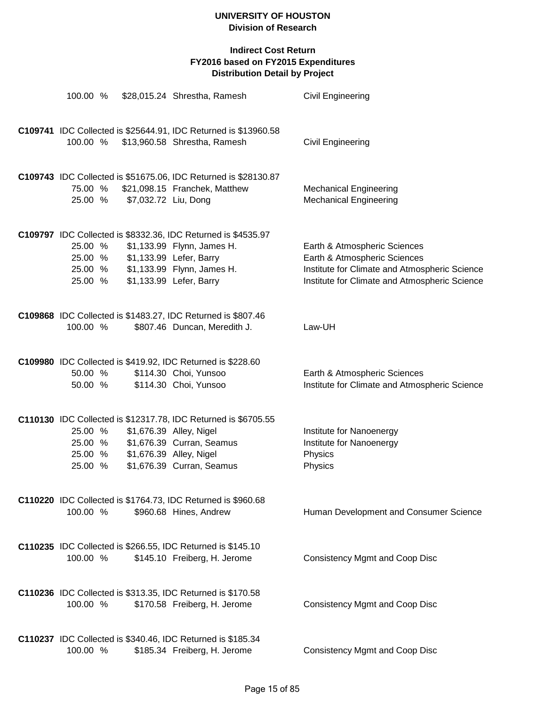| 100.00 %                                 |                                 | \$28,015.24 Shrestha, Ramesh                                                                                                                                                    | <b>Civil Engineering</b>                                                                                                                                       |
|------------------------------------------|---------------------------------|---------------------------------------------------------------------------------------------------------------------------------------------------------------------------------|----------------------------------------------------------------------------------------------------------------------------------------------------------------|
| 100.00 %                                 |                                 | C109741 IDC Collected is \$25644.91, IDC Returned is \$13960.58<br>\$13,960.58 Shrestha, Ramesh                                                                                 | Civil Engineering                                                                                                                                              |
| 75.00 %<br>25.00 %                       | \$7,032.72 Liu, Dong            | C109743 IDC Collected is \$51675.06, IDC Returned is \$28130.87<br>\$21,098.15 Franchek, Matthew                                                                                | <b>Mechanical Engineering</b><br><b>Mechanical Engineering</b>                                                                                                 |
| 25.00 %<br>25.00 %<br>25.00 %<br>25.00 % |                                 | C109797 IDC Collected is \$8332.36, IDC Returned is \$4535.97<br>\$1,133.99 Flynn, James H.<br>\$1,133.99 Lefer, Barry<br>\$1,133.99 Flynn, James H.<br>\$1,133.99 Lefer, Barry | Earth & Atmospheric Sciences<br>Earth & Atmospheric Sciences<br>Institute for Climate and Atmospheric Science<br>Institute for Climate and Atmospheric Science |
| 100.00 %                                 |                                 | C109868 IDC Collected is \$1483.27, IDC Returned is \$807.46<br>\$807.46 Duncan, Meredith J.                                                                                    | Law-UH                                                                                                                                                         |
| 50.00 %<br>50.00 %                       |                                 | C109980 IDC Collected is \$419.92, IDC Returned is \$228.60<br>\$114.30 Choi, Yunsoo<br>\$114.30 Choi, Yunsoo                                                                   | Earth & Atmospheric Sciences<br>Institute for Climate and Atmospheric Science                                                                                  |
| 25.00 %<br>25.00 %<br>25.00 %            | 25.00 % \$1,676.39 Alley, Nigel | C110130 IDC Collected is \$12317.78, IDC Returned is \$6705.55<br>\$1,676.39 Alley, Nigel<br>\$1,676.39 Curran, Seamus<br>\$1,676.39 Curran, Seamus                             | Institute for Nanoenergy<br>Institute for Nanoenergy<br>Physics<br>Physics                                                                                     |
| 100.00 %                                 |                                 | C110220 IDC Collected is \$1764.73, IDC Returned is \$960.68<br>\$960.68 Hines, Andrew                                                                                          | Human Development and Consumer Science                                                                                                                         |
| 100.00 %                                 |                                 | C110235 IDC Collected is \$266.55, IDC Returned is \$145.10<br>\$145.10 Freiberg, H. Jerome                                                                                     | <b>Consistency Mgmt and Coop Disc</b>                                                                                                                          |
| 100.00 %                                 |                                 | C110236 IDC Collected is \$313.35, IDC Returned is \$170.58<br>\$170.58 Freiberg, H. Jerome                                                                                     | <b>Consistency Mgmt and Coop Disc</b>                                                                                                                          |
| 100.00 %                                 |                                 | <b>C110237</b> IDC Collected is \$340.46, IDC Returned is \$185.34<br>\$185.34 Freiberg, H. Jerome                                                                              | <b>Consistency Mgmt and Coop Disc</b>                                                                                                                          |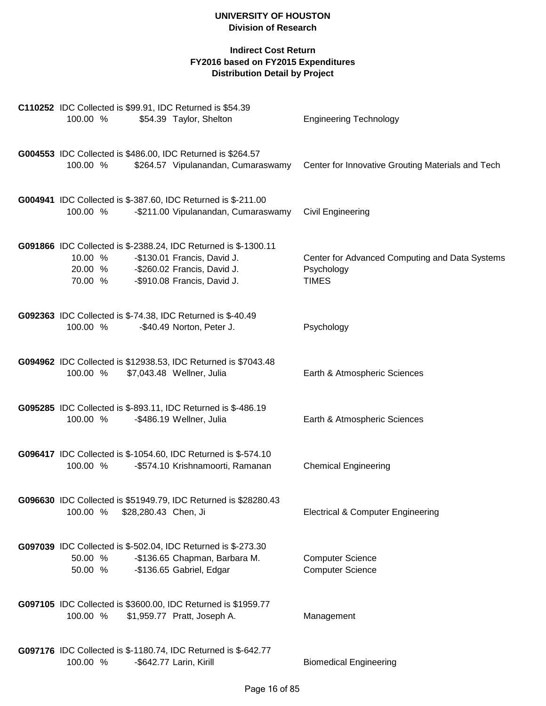| <b>C110252</b> IDC Collected is \$99.91, IDC Returned is \$54.39<br>100.00 %<br>\$54.39 Taylor, Shelton                                                                                       | <b>Engineering Technology</b>                                                |
|-----------------------------------------------------------------------------------------------------------------------------------------------------------------------------------------------|------------------------------------------------------------------------------|
| G004553 IDC Collected is \$486.00, IDC Returned is \$264.57<br>100.00 %<br>\$264.57 Vipulanandan, Cumaraswamy                                                                                 | Center for Innovative Grouting Materials and Tech                            |
| G004941 IDC Collected is \$-387.60, IDC Returned is \$-211.00<br>100.00 %<br>-\$211.00 Vipulanandan, Cumaraswamy                                                                              | <b>Civil Engineering</b>                                                     |
| G091866 IDC Collected is \$-2388.24, IDC Returned is \$-1300.11<br>10.00 %<br>-\$130.01 Francis, David J.<br>20.00 %<br>-\$260.02 Francis, David J.<br>-\$910.08 Francis, David J.<br>70.00 % | Center for Advanced Computing and Data Systems<br>Psychology<br><b>TIMES</b> |
| G092363 IDC Collected is \$-74.38, IDC Returned is \$-40.49<br>100.00 %<br>-\$40.49 Norton, Peter J.                                                                                          | Psychology                                                                   |
| G094962 IDC Collected is \$12938.53, IDC Returned is \$7043.48<br>100.00 %<br>\$7,043.48 Wellner, Julia                                                                                       | Earth & Atmospheric Sciences                                                 |
| G095285 IDC Collected is \$-893.11, IDC Returned is \$-486.19<br>100.00 %<br>-\$486.19 Wellner, Julia                                                                                         | Earth & Atmospheric Sciences                                                 |
| G096417 IDC Collected is \$-1054.60, IDC Returned is \$-574.10<br>100.00 %<br>-\$574.10 Krishnamoorti, Ramanan                                                                                | <b>Chemical Engineering</b>                                                  |
| G096630 IDC Collected is \$51949.79, IDC Returned is \$28280.43<br>100.00 %<br>\$28,280.43 Chen, Ji                                                                                           | <b>Electrical &amp; Computer Engineering</b>                                 |
| G097039 IDC Collected is \$-502.04, IDC Returned is \$-273.30<br>50.00 %<br>-\$136.65 Chapman, Barbara M.<br>-\$136.65 Gabriel, Edgar<br>50.00 %                                              | <b>Computer Science</b><br><b>Computer Science</b>                           |
| G097105 IDC Collected is \$3600.00, IDC Returned is \$1959.77<br>100.00 %<br>\$1,959.77 Pratt, Joseph A.                                                                                      | Management                                                                   |
| G097176 IDC Collected is \$-1180.74, IDC Returned is \$-642.77<br>100.00 %<br>-\$642.77 Larin, Kirill                                                                                         | <b>Biomedical Engineering</b>                                                |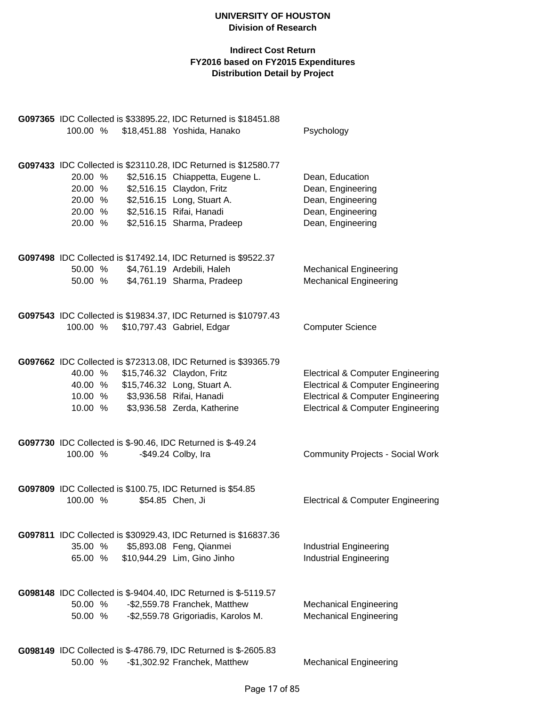| 100.00 %                                            |                          | G097365 IDC Collected is \$33895.22, IDC Returned is \$18451.88<br>\$18,451.88 Yoshida, Hanako                                                                                                                           | Psychology                                                                                                                                                                                   |
|-----------------------------------------------------|--------------------------|--------------------------------------------------------------------------------------------------------------------------------------------------------------------------------------------------------------------------|----------------------------------------------------------------------------------------------------------------------------------------------------------------------------------------------|
| 20.00 %<br>20.00 %<br>20.00 %<br>20.00 %<br>20.00 % |                          | G097433 IDC Collected is \$23110.28, IDC Returned is \$12580.77<br>\$2,516.15 Chiappetta, Eugene L.<br>\$2,516.15 Claydon, Fritz<br>\$2,516.15 Long, Stuart A.<br>\$2,516.15 Rifai, Hanadi<br>\$2,516.15 Sharma, Pradeep | Dean, Education<br>Dean, Engineering<br>Dean, Engineering<br>Dean, Engineering<br>Dean, Engineering                                                                                          |
| 50.00 %<br>50.00 %                                  |                          | G097498 IDC Collected is \$17492.14, IDC Returned is \$9522.37<br>\$4,761.19 Ardebili, Haleh<br>\$4,761.19 Sharma, Pradeep                                                                                               | <b>Mechanical Engineering</b><br><b>Mechanical Engineering</b>                                                                                                                               |
| 100.00 %                                            |                          | G097543 IDC Collected is \$19834.37, IDC Returned is \$10797.43<br>\$10,797.43 Gabriel, Edgar                                                                                                                            | <b>Computer Science</b>                                                                                                                                                                      |
| 40.00 %<br>10.00 %<br>10.00 %                       | \$3,936.58 Rifai, Hanadi | G097662 IDC Collected is \$72313.08, IDC Returned is \$39365.79<br>\$15,746.32 Claydon, Fritz<br>40.00 % \$15,746.32 Long, Stuart A.<br>\$3,936.58 Zerda, Katherine                                                      | <b>Electrical &amp; Computer Engineering</b><br><b>Electrical &amp; Computer Engineering</b><br><b>Electrical &amp; Computer Engineering</b><br><b>Electrical &amp; Computer Engineering</b> |
| 100.00 %                                            |                          | G097730 IDC Collected is \$-90.46, IDC Returned is \$-49.24<br>-\$49.24 Colby, Ira                                                                                                                                       | <b>Community Projects - Social Work</b>                                                                                                                                                      |
| 100.00 %                                            |                          | G097809 IDC Collected is \$100.75, IDC Returned is \$54.85<br>\$54.85 Chen, Ji                                                                                                                                           | <b>Electrical &amp; Computer Engineering</b>                                                                                                                                                 |
| 35.00 %<br>65.00 %                                  |                          | G097811 IDC Collected is \$30929.43, IDC Returned is \$16837.36<br>\$5,893.08 Feng, Qianmei<br>\$10,944.29 Lim, Gino Jinho                                                                                               | <b>Industrial Engineering</b><br><b>Industrial Engineering</b>                                                                                                                               |
| 50.00 %<br>50.00 %                                  |                          | G098148 IDC Collected is \$-9404.40, IDC Returned is \$-5119.57<br>-\$2,559.78 Franchek, Matthew<br>-\$2,559.78 Grigoriadis, Karolos M.                                                                                  | <b>Mechanical Engineering</b><br><b>Mechanical Engineering</b>                                                                                                                               |
| 50.00 %                                             |                          | G098149 IDC Collected is \$-4786.79, IDC Returned is \$-2605.83<br>-\$1,302.92 Franchek, Matthew                                                                                                                         | <b>Mechanical Engineering</b>                                                                                                                                                                |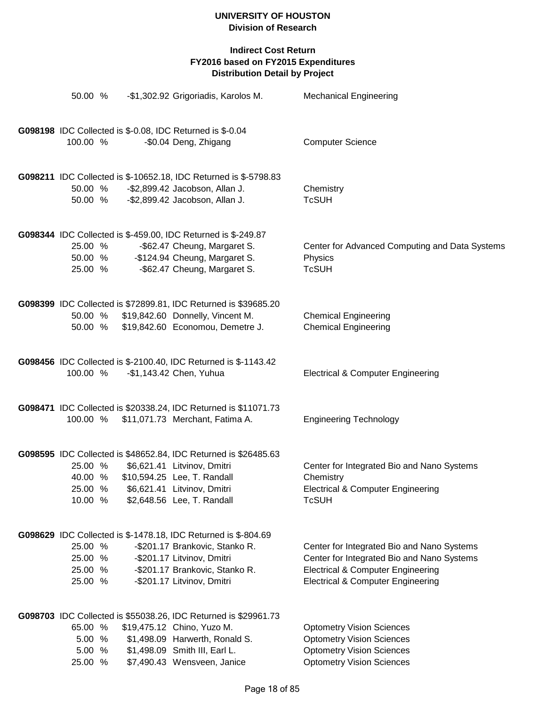| 50.00 %                                  | -\$1,302.92 Grigoriadis, Karolos M.                                                                                                                                                             | <b>Mechanical Engineering</b>                                                                                                                                                            |
|------------------------------------------|-------------------------------------------------------------------------------------------------------------------------------------------------------------------------------------------------|------------------------------------------------------------------------------------------------------------------------------------------------------------------------------------------|
| 100.00 %                                 | G098198 IDC Collected is \$-0.08, IDC Returned is \$-0.04<br>-\$0.04 Deng, Zhigang                                                                                                              | <b>Computer Science</b>                                                                                                                                                                  |
| 50.00 %<br>50.00 %                       | G098211 IDC Collected is \$-10652.18, IDC Returned is \$-5798.83<br>-\$2,899.42 Jacobson, Allan J.<br>-\$2,899.42 Jacobson, Allan J.                                                            | Chemistry<br><b>TcSUH</b>                                                                                                                                                                |
| 25.00 %<br>50.00 %<br>25.00 %            | G098344 IDC Collected is \$-459.00, IDC Returned is \$-249.87<br>-\$62.47 Cheung, Margaret S.<br>-\$124.94 Cheung, Margaret S.<br>-\$62.47 Cheung, Margaret S.                                  | Center for Advanced Computing and Data Systems<br>Physics<br><b>TcSUH</b>                                                                                                                |
| 50.00 %<br>50.00 %                       | G098399 IDC Collected is \$72899.81, IDC Returned is \$39685.20<br>\$19,842.60 Donnelly, Vincent M.<br>\$19,842.60 Economou, Demetre J.                                                         | <b>Chemical Engineering</b><br><b>Chemical Engineering</b>                                                                                                                               |
| 100.00 %                                 | G098456 IDC Collected is \$-2100.40, IDC Returned is \$-1143.42<br>-\$1,143.42 Chen, Yuhua                                                                                                      | <b>Electrical &amp; Computer Engineering</b>                                                                                                                                             |
| 100.00 %                                 | G098471 IDC Collected is \$20338.24, IDC Returned is \$11071.73<br>\$11,071.73 Merchant, Fatima A.                                                                                              | <b>Engineering Technology</b>                                                                                                                                                            |
| 25.00 %<br>40.00 %<br>25.00 %<br>10.00 % | G098595 IDC Collected is \$48652.84, IDC Returned is \$26485.63<br>\$6,621.41 Litvinov, Dmitri<br>\$10,594.25 Lee, T. Randall<br>\$6,621.41 Litvinov, Dmitri<br>\$2,648.56 Lee, T. Randall      | Center for Integrated Bio and Nano Systems<br>Chemistry<br><b>Electrical &amp; Computer Engineering</b><br><b>TcSUH</b>                                                                  |
| 25.00 %<br>25.00 %<br>25.00 %<br>25.00 % | G098629 IDC Collected is \$-1478.18, IDC Returned is \$-804.69<br>-\$201.17 Brankovic, Stanko R.<br>-\$201.17 Litvinov, Dmitri<br>-\$201.17 Brankovic, Stanko R.<br>-\$201.17 Litvinov, Dmitri  | Center for Integrated Bio and Nano Systems<br>Center for Integrated Bio and Nano Systems<br><b>Electrical &amp; Computer Engineering</b><br><b>Electrical &amp; Computer Engineering</b> |
| 65.00 %<br>5.00 %<br>5.00 %<br>25.00 %   | G098703 IDC Collected is \$55038.26, IDC Returned is \$29961.73<br>\$19,475.12 Chino, Yuzo M.<br>\$1,498.09 Harwerth, Ronald S.<br>\$1,498.09 Smith III, Earl L.<br>\$7,490.43 Wensveen, Janice | <b>Optometry Vision Sciences</b><br><b>Optometry Vision Sciences</b><br><b>Optometry Vision Sciences</b><br><b>Optometry Vision Sciences</b>                                             |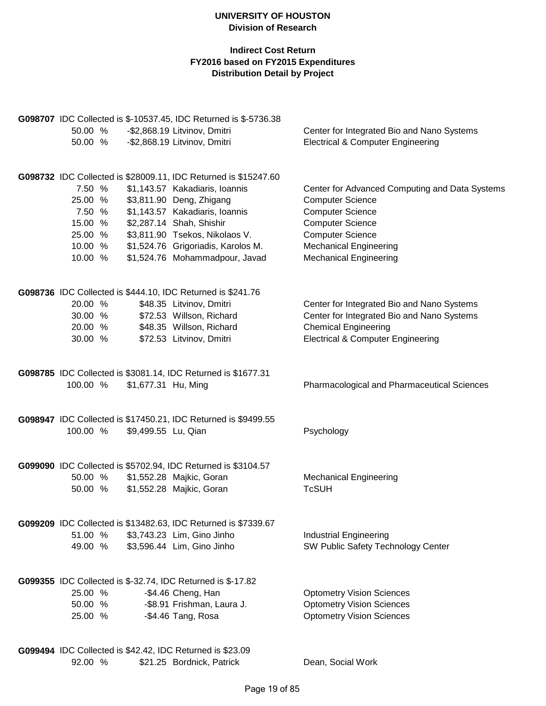# **Indirect Cost Return FY2016 based on FY2015 Expenditures Distribution Detail by Project**

|          |                     | G098707 IDC Collected is \$-10537.45, IDC Returned is \$-5736.38 |                                                    |
|----------|---------------------|------------------------------------------------------------------|----------------------------------------------------|
| 50.00 %  |                     | -\$2,868.19 Litvinov, Dmitri                                     | Center for Integrated Bio and Nano Systems         |
| 50.00 %  |                     | -\$2,868.19 Litvinov, Dmitri                                     | <b>Electrical &amp; Computer Engineering</b>       |
|          |                     | G098732 IDC Collected is \$28009.11, IDC Returned is \$15247.60  |                                                    |
| 7.50 %   |                     | \$1,143.57 Kakadiaris, Ioannis                                   | Center for Advanced Computing and Data Systems     |
| 25.00 %  |                     | \$3,811.90 Deng, Zhigang                                         | <b>Computer Science</b>                            |
| 7.50 %   |                     | \$1,143.57 Kakadiaris, Ioannis                                   | <b>Computer Science</b>                            |
| 15.00 %  |                     | \$2,287.14 Shah, Shishir                                         | <b>Computer Science</b>                            |
| 25.00 %  |                     | \$3,811.90 Tsekos, Nikolaos V.                                   | <b>Computer Science</b>                            |
| 10.00 %  |                     | \$1,524.76 Grigoriadis, Karolos M.                               | <b>Mechanical Engineering</b>                      |
| 10.00 %  |                     | \$1,524.76 Mohammadpour, Javad                                   | <b>Mechanical Engineering</b>                      |
|          |                     | G098736 IDC Collected is \$444.10, IDC Returned is \$241.76      |                                                    |
| 20.00 %  |                     | \$48.35 Litvinov, Dmitri                                         | Center for Integrated Bio and Nano Systems         |
| 30.00 %  |                     | \$72.53 Willson, Richard                                         | Center for Integrated Bio and Nano Systems         |
| 20.00 %  |                     | \$48.35 Willson, Richard                                         | <b>Chemical Engineering</b>                        |
| 30.00 %  |                     | \$72.53 Litvinov, Dmitri                                         | <b>Electrical &amp; Computer Engineering</b>       |
|          |                     |                                                                  |                                                    |
|          |                     | G098785 IDC Collected is \$3081.14, IDC Returned is \$1677.31    |                                                    |
| 100.00 % | \$1,677.31 Hu, Ming |                                                                  | <b>Pharmacological and Pharmaceutical Sciences</b> |
|          |                     |                                                                  |                                                    |
|          |                     | G098947 IDC Collected is \$17450.21, IDC Returned is \$9499.55   |                                                    |
| 100.00 % | \$9,499.55 Lu, Qian |                                                                  | Psychology                                         |
|          |                     |                                                                  |                                                    |
|          |                     | G099090 IDC Collected is \$5702.94, IDC Returned is \$3104.57    |                                                    |
| 50.00 %  |                     | \$1,552.28 Majkic, Goran                                         | <b>Mechanical Engineering</b>                      |
| 50.00 %  |                     | \$1,552.28 Majkic, Goran                                         | <b>TcSUH</b>                                       |
|          |                     | G099209 IDC Collected is \$13482.63, IDC Returned is \$7339.67   |                                                    |
| 51.00 %  |                     | \$3,743.23 Lim, Gino Jinho                                       | <b>Industrial Engineering</b>                      |
| 49.00 %  |                     | \$3,596.44 Lim, Gino Jinho                                       | SW Public Safety Technology Center                 |
|          |                     | G099355 IDC Collected is \$-32.74, IDC Returned is \$-17.82      |                                                    |
| 25.00 %  |                     | -\$4.46 Cheng, Han                                               | <b>Optometry Vision Sciences</b>                   |
| 50.00 %  |                     | -\$8.91 Frishman, Laura J.                                       | <b>Optometry Vision Sciences</b>                   |
| 25.00 %  |                     | -\$4.46 Tang, Rosa                                               | <b>Optometry Vision Sciences</b>                   |
|          |                     |                                                                  |                                                    |
|          |                     | G099494 IDC Collected is \$42.42, IDC Returned is \$23.09        |                                                    |

92.00 % \$21.25 Bordnick, Patrick Dean, Social Work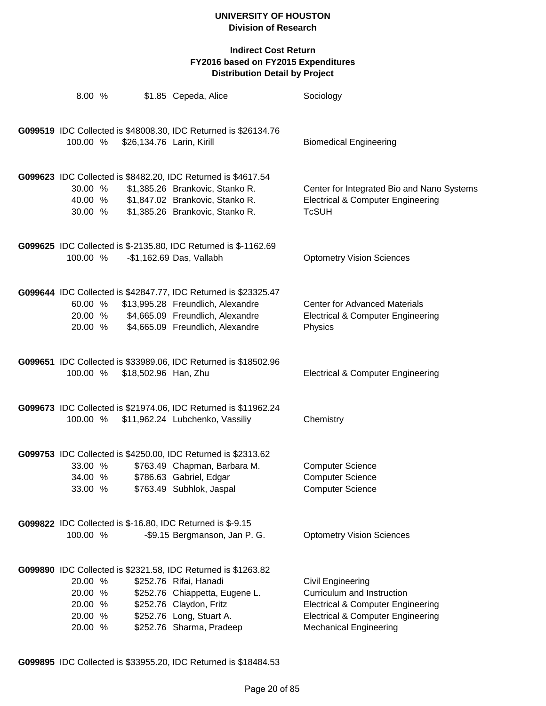| 8.00 %                                              |                           | \$1.85 Cepeda, Alice                                                                                                                                                                                         | Sociology                                                                                                                                                                               |
|-----------------------------------------------------|---------------------------|--------------------------------------------------------------------------------------------------------------------------------------------------------------------------------------------------------------|-----------------------------------------------------------------------------------------------------------------------------------------------------------------------------------------|
| 100.00 %                                            | \$26,134.76 Larin, Kirill | G099519 IDC Collected is \$48008.30, IDC Returned is \$26134.76                                                                                                                                              | <b>Biomedical Engineering</b>                                                                                                                                                           |
| 30.00 %<br>40.00 %<br>30.00 %                       |                           | G099623 IDC Collected is \$8482.20, IDC Returned is \$4617.54<br>\$1,385.26 Brankovic, Stanko R.<br>\$1,847.02 Brankovic, Stanko R.<br>\$1,385.26 Brankovic, Stanko R.                                       | Center for Integrated Bio and Nano Systems<br><b>Electrical &amp; Computer Engineering</b><br><b>TcSUH</b>                                                                              |
| 100.00 %                                            |                           | G099625 IDC Collected is \$-2135.80, IDC Returned is \$-1162.69<br>-\$1,162.69 Das, Vallabh                                                                                                                  | <b>Optometry Vision Sciences</b>                                                                                                                                                        |
| 60.00 %<br>20.00 %                                  |                           | G099644 IDC Collected is \$42847.77, IDC Returned is \$23325.47<br>\$13,995.28 Freundlich, Alexandre<br>20.00 % \$4,665.09 Freundlich, Alexandre<br>\$4,665.09 Freundlich, Alexandre                         | <b>Center for Advanced Materials</b><br><b>Electrical &amp; Computer Engineering</b><br>Physics                                                                                         |
| 100.00 %                                            | \$18,502.96 Han, Zhu      | G099651 IDC Collected is \$33989.06, IDC Returned is \$18502.96                                                                                                                                              | <b>Electrical &amp; Computer Engineering</b>                                                                                                                                            |
| 100.00 %                                            |                           | G099673 IDC Collected is \$21974.06, IDC Returned is \$11962.24<br>\$11,962.24 Lubchenko, Vassiliy                                                                                                           | Chemistry                                                                                                                                                                               |
| 33.00 %<br>34.00 %<br>33.00 %                       |                           | G099753 IDC Collected is \$4250.00, IDC Returned is \$2313.62<br>\$763.49 Chapman, Barbara M.<br>\$786.63 Gabriel, Edgar<br>\$763.49 Subhlok, Jaspal                                                         | <b>Computer Science</b><br><b>Computer Science</b><br><b>Computer Science</b>                                                                                                           |
| 100.00 %                                            |                           | G099822 IDC Collected is \$-16.80, IDC Returned is \$-9.15<br>-\$9.15 Bergmanson, Jan P. G.                                                                                                                  | <b>Optometry Vision Sciences</b>                                                                                                                                                        |
| 20.00 %<br>20.00 %<br>20.00 %<br>20.00 %<br>20.00 % |                           | G099890 IDC Collected is \$2321.58, IDC Returned is \$1263.82<br>\$252.76 Rifai, Hanadi<br>\$252.76 Chiappetta, Eugene L.<br>\$252.76 Claydon, Fritz<br>\$252.76 Long, Stuart A.<br>\$252.76 Sharma, Pradeep | <b>Civil Engineering</b><br>Curriculum and Instruction<br><b>Electrical &amp; Computer Engineering</b><br><b>Electrical &amp; Computer Engineering</b><br><b>Mechanical Engineering</b> |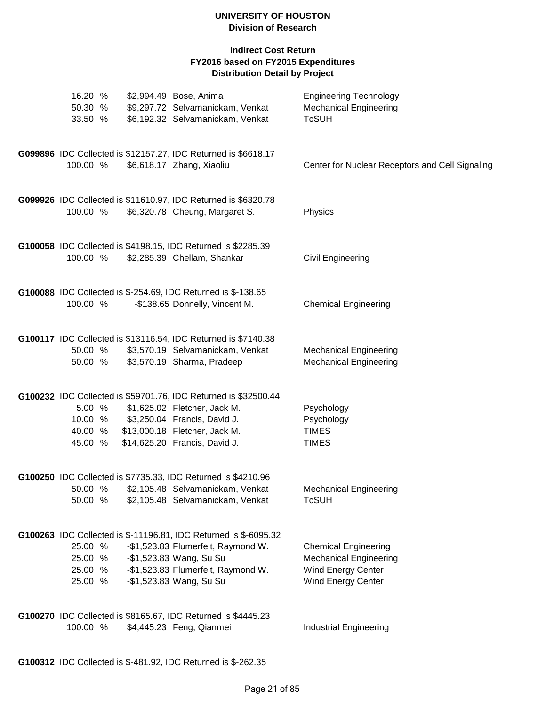| 16.20 %<br>50.30 %<br>33.50 %            | \$2,994.49 Bose, Anima<br>\$9,297.72 Selvamanickam, Venkat<br>\$6,192.32 Selvamanickam, Venkat                                                                                                     | <b>Engineering Technology</b><br><b>Mechanical Engineering</b><br><b>TcSUH</b>                                         |
|------------------------------------------|----------------------------------------------------------------------------------------------------------------------------------------------------------------------------------------------------|------------------------------------------------------------------------------------------------------------------------|
| 100.00 %                                 | G099896 IDC Collected is \$12157.27, IDC Returned is \$6618.17<br>\$6,618.17 Zhang, Xiaoliu                                                                                                        | Center for Nuclear Receptors and Cell Signaling                                                                        |
| 100.00 %                                 | G099926 IDC Collected is \$11610.97, IDC Returned is \$6320.78<br>\$6,320.78 Cheung, Margaret S.                                                                                                   | Physics                                                                                                                |
| 100.00 %                                 | G100058 IDC Collected is \$4198.15, IDC Returned is \$2285.39<br>\$2,285.39 Chellam, Shankar                                                                                                       | Civil Engineering                                                                                                      |
| 100.00 %                                 | G100088 IDC Collected is \$-254.69, IDC Returned is \$-138.65<br>-\$138.65 Donnelly, Vincent M.                                                                                                    | <b>Chemical Engineering</b>                                                                                            |
| 50.00 %<br>50.00 %                       | G100117 IDC Collected is \$13116.54, IDC Returned is \$7140.38<br>\$3,570.19 Selvamanickam, Venkat<br>\$3,570.19 Sharma, Pradeep                                                                   | <b>Mechanical Engineering</b><br><b>Mechanical Engineering</b>                                                         |
| 5.00 %<br>10.00 %<br>40.00 %<br>45.00 %  | G100232 IDC Collected is \$59701.76, IDC Returned is \$32500.44<br>\$1,625.02 Fletcher, Jack M.<br>\$3,250.04 Francis, David J.<br>\$13,000.18 Fletcher, Jack M.<br>\$14,625.20 Francis, David J.  | Psychology<br>Psychology<br><b>TIMES</b><br><b>TIMES</b>                                                               |
| 50.00 %                                  | G100250 IDC Collected is \$7735.33, IDC Returned is \$4210.96<br>50.00 % \$2,105.48 Selvamanickam, Venkat<br>\$2,105.48 Selvamanickam, Venkat                                                      | <b>Mechanical Engineering</b><br><b>TcSUH</b>                                                                          |
| 25.00 %<br>25.00 %<br>25.00 %<br>25.00 % | G100263 IDC Collected is \$-11196.81, IDC Returned is \$-6095.32<br>-\$1,523.83 Flumerfelt, Raymond W.<br>-\$1,523.83 Wang, Su Su<br>-\$1,523.83 Flumerfelt, Raymond W.<br>-\$1,523.83 Wang, Su Su | <b>Chemical Engineering</b><br><b>Mechanical Engineering</b><br><b>Wind Energy Center</b><br><b>Wind Energy Center</b> |
| 100.00 %                                 | G100270 IDC Collected is \$8165.67, IDC Returned is \$4445.23<br>\$4,445.23 Feng, Qianmei                                                                                                          | <b>Industrial Engineering</b>                                                                                          |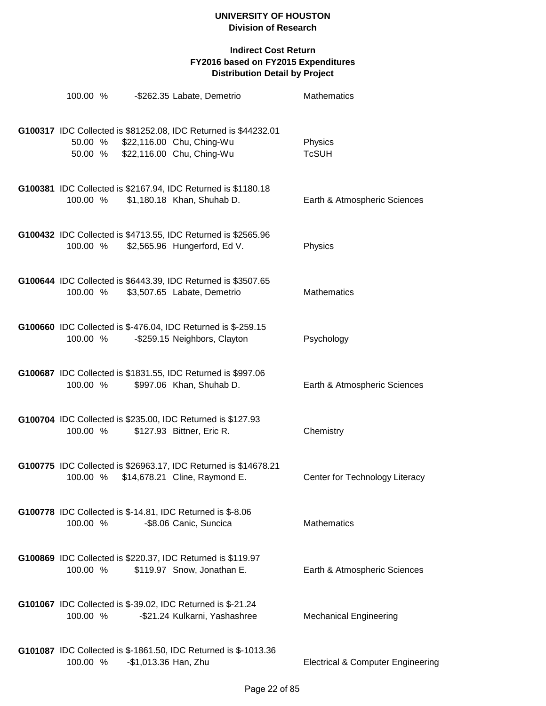| 100.00 % |                      | -\$262.35 Labate, Demetrio                                                                                                                | <b>Mathematics</b>                           |
|----------|----------------------|-------------------------------------------------------------------------------------------------------------------------------------------|----------------------------------------------|
|          |                      | G100317 IDC Collected is \$81252.08, IDC Returned is \$44232.01<br>50.00 % \$22,116.00 Chu, Ching-Wu<br>50.00 % \$22,116.00 Chu, Ching-Wu | Physics<br><b>TcSUH</b>                      |
| 100.00 % |                      | G100381 IDC Collected is \$2167.94, IDC Returned is \$1180.18<br>\$1,180.18 Khan, Shuhab D.                                               | Earth & Atmospheric Sciences                 |
| 100.00 % |                      | G100432 IDC Collected is \$4713.55, IDC Returned is \$2565.96<br>\$2,565.96 Hungerford, Ed V.                                             | Physics                                      |
| 100.00 % |                      | G100644 IDC Collected is \$6443.39, IDC Returned is \$3507.65<br>\$3,507.65 Labate, Demetrio                                              | <b>Mathematics</b>                           |
| 100.00 % |                      | G100660 IDC Collected is \$-476.04, IDC Returned is \$-259.15<br>-\$259.15 Neighbors, Clayton                                             | Psychology                                   |
| 100.00 % |                      | G100687 IDC Collected is \$1831.55, IDC Returned is \$997.06<br>\$997.06 Khan, Shuhab D.                                                  | Earth & Atmospheric Sciences                 |
| 100.00 % |                      | G100704 IDC Collected is \$235.00, IDC Returned is \$127.93<br>\$127.93 Bittner, Eric R.                                                  | Chemistry                                    |
| 100.00 % |                      | G100775 IDC Collected is \$26963.17, IDC Returned is \$14678.21<br>\$14,678.21 Cline, Raymond E.                                          | Center for Technology Literacy               |
| 100.00 % |                      | G100778 IDC Collected is \$-14.81, IDC Returned is \$-8.06<br>-\$8.06 Canic, Suncica                                                      | <b>Mathematics</b>                           |
| 100.00 % |                      | G100869 IDC Collected is \$220.37, IDC Returned is \$119.97<br>\$119.97 Snow, Jonathan E.                                                 | Earth & Atmospheric Sciences                 |
| 100.00 % |                      | G101067 IDC Collected is \$-39.02, IDC Returned is \$-21.24<br>-\$21.24 Kulkarni, Yashashree                                              | <b>Mechanical Engineering</b>                |
| 100.00 % | -\$1,013.36 Han, Zhu | G101087 IDC Collected is \$-1861.50, IDC Returned is \$-1013.36                                                                           | <b>Electrical &amp; Computer Engineering</b> |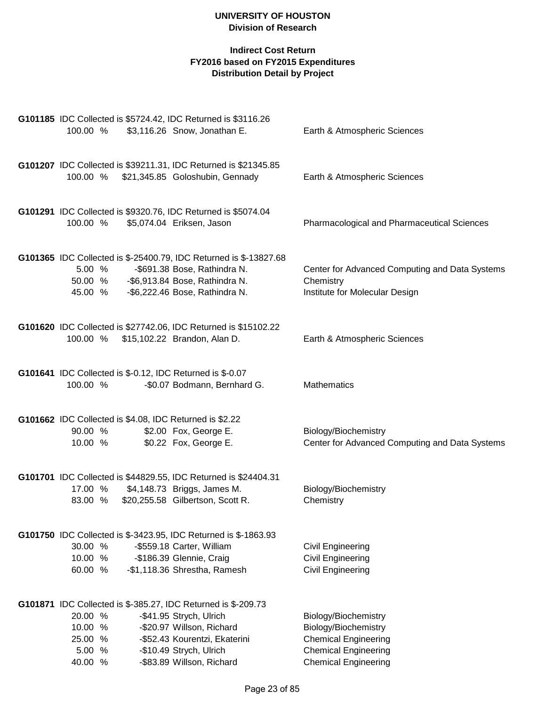|            | G101185 IDC Collected is \$5724.42, IDC Returned is \$3116.26                    |                                                    |
|------------|----------------------------------------------------------------------------------|----------------------------------------------------|
| 100.00 %   | \$3,116.26 Snow, Jonathan E.                                                     | Earth & Atmospheric Sciences                       |
|            |                                                                                  |                                                    |
|            | G101207 IDC Collected is \$39211.31, IDC Returned is \$21345.85                  |                                                    |
| 100.00 %   | \$21,345.85 Goloshubin, Gennady                                                  | Earth & Atmospheric Sciences                       |
|            |                                                                                  |                                                    |
|            |                                                                                  |                                                    |
|            | G101291 IDC Collected is \$9320.76, IDC Returned is \$5074.04                    |                                                    |
| 100.00 %   | \$5,074.04 Eriksen, Jason                                                        | <b>Pharmacological and Pharmaceutical Sciences</b> |
|            |                                                                                  |                                                    |
|            | G101365 IDC Collected is \$-25400.79, IDC Returned is \$-13827.68                |                                                    |
| 5.00 %     | -\$691.38 Bose, Rathindra N.                                                     | Center for Advanced Computing and Data Systems     |
|            | 50.00 % -\$6,913.84 Bose, Rathindra N.                                           | Chemistry                                          |
|            | 45.00 % - \$6,222.46 Bose, Rathindra N.                                          | Institute for Molecular Design                     |
|            |                                                                                  |                                                    |
|            |                                                                                  |                                                    |
|            | G101620 IDC Collected is \$27742.06, IDC Returned is \$15102.22                  |                                                    |
| 100.00 %   | \$15,102.22 Brandon, Alan D.                                                     | Earth & Atmospheric Sciences                       |
|            |                                                                                  |                                                    |
|            | G101641 IDC Collected is \$-0.12, IDC Returned is \$-0.07                        |                                                    |
| 100.00 %   | -\$0.07 Bodmann, Bernhard G.                                                     | Mathematics                                        |
|            |                                                                                  |                                                    |
|            |                                                                                  |                                                    |
| 90.00 %    | G101662 IDC Collected is \$4.08, IDC Returned is \$2.22<br>\$2.00 Fox, George E. | Biology/Biochemistry                               |
| 10.00 %    | \$0.22 Fox, George E.                                                            | Center for Advanced Computing and Data Systems     |
|            |                                                                                  |                                                    |
|            |                                                                                  |                                                    |
|            | G101701 IDC Collected is \$44829.55, IDC Returned is \$24404.31                  |                                                    |
| 17.00 %    | \$4,148.73 Briggs, James M.                                                      | Biology/Biochemistry                               |
| 83.00 %    | \$20,255.58 Gilbertson, Scott R.                                                 | Chemistry                                          |
|            |                                                                                  |                                                    |
|            | <b>G101750</b> IDC Collected is \$-3423.95, IDC Returned is \$-1863.93           |                                                    |
| 30.00 %    | -\$559.18 Carter, William                                                        | Civil Engineering                                  |
| 10.00 %    | -\$186.39 Glennie, Craig                                                         | <b>Civil Engineering</b>                           |
| 60.00 %    | -\$1,118.36 Shrestha, Ramesh                                                     | Civil Engineering                                  |
|            |                                                                                  |                                                    |
|            | G101871 IDC Collected is \$-385.27, IDC Returned is \$-209.73                    |                                                    |
| 20.00 %    | -\$41.95 Strych, Ulrich                                                          | Biology/Biochemistry                               |
| %<br>10.00 | -\$20.97 Willson, Richard                                                        | Biology/Biochemistry                               |
| 25.00 %    | -\$52.43 Kourentzi, Ekaterini                                                    | <b>Chemical Engineering</b>                        |
| 5.00<br>%  | -\$10.49 Strych, Ulrich                                                          | <b>Chemical Engineering</b>                        |
| 40.00 %    | -\$83.89 Willson, Richard                                                        | <b>Chemical Engineering</b>                        |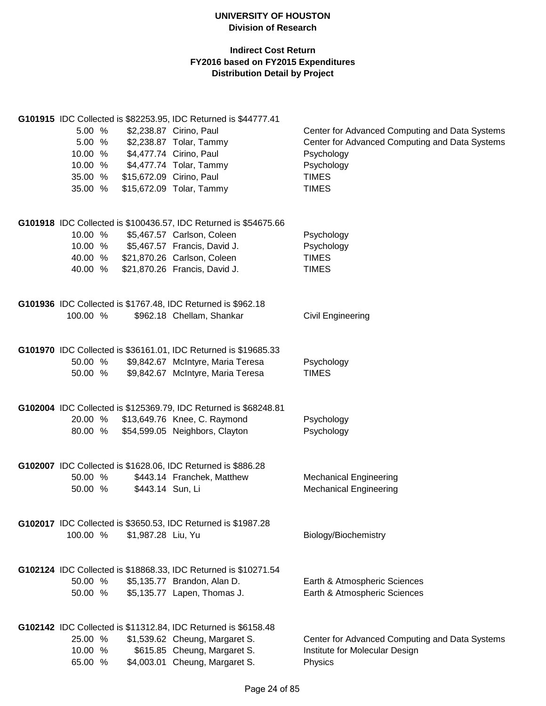| 5.00 %<br>5.00 %<br>10.00 %<br>10.00 %<br>35.00 %<br>35.00 % |                    | G101915 IDC Collected is \$82253.95, IDC Returned is \$44777.41<br>\$2,238.87 Cirino, Paul<br>\$2,238.87 Tolar, Tammy<br>\$4,477.74 Cirino, Paul<br>\$4,477.74 Tolar, Tammy<br>\$15,672.09 Cirino, Paul<br>\$15,672.09 Tolar, Tammy | Center for Advanced Computing and Data Systems<br>Center for Advanced Computing and Data Systems<br>Psychology<br>Psychology<br><b>TIMES</b><br><b>TIMES</b> |
|--------------------------------------------------------------|--------------------|-------------------------------------------------------------------------------------------------------------------------------------------------------------------------------------------------------------------------------------|--------------------------------------------------------------------------------------------------------------------------------------------------------------|
| 10.00 %<br>10.00 %<br>40.00 %<br>40.00 %                     |                    | G101918 IDC Collected is \$100436.57, IDC Returned is \$54675.66<br>\$5,467.57 Carlson, Coleen<br>\$5,467.57 Francis, David J.<br>\$21,870.26 Carlson, Coleen<br>\$21,870.26 Francis, David J.                                      | Psychology<br>Psychology<br><b>TIMES</b><br><b>TIMES</b>                                                                                                     |
| 100.00 %                                                     |                    | G101936 IDC Collected is \$1767.48, IDC Returned is \$962.18<br>\$962.18 Chellam, Shankar                                                                                                                                           | <b>Civil Engineering</b>                                                                                                                                     |
| 50.00 %<br>50.00 %                                           |                    | G101970 IDC Collected is \$36161.01, IDC Returned is \$19685.33<br>\$9,842.67 McIntyre, Maria Teresa<br>\$9,842.67 McIntyre, Maria Teresa                                                                                           | Psychology<br><b>TIMES</b>                                                                                                                                   |
| 20.00 %<br>80.00 %                                           |                    | G102004 IDC Collected is \$125369.79, IDC Returned is \$68248.81<br>\$13,649.76 Knee, C. Raymond<br>\$54,599.05 Neighbors, Clayton                                                                                                  | Psychology<br>Psychology                                                                                                                                     |
| 50.00 %<br>50.00 %                                           | \$443.14 Sun, Li   | G102007 IDC Collected is \$1628.06, IDC Returned is \$886.28<br>\$443.14 Franchek, Matthew                                                                                                                                          | <b>Mechanical Engineering</b><br><b>Mechanical Engineering</b>                                                                                               |
| 100.00 %                                                     | \$1,987.28 Liu, Yu | G102017 IDC Collected is \$3650.53, IDC Returned is \$1987.28                                                                                                                                                                       | Biology/Biochemistry                                                                                                                                         |
| 50.00 %<br>50.00 %                                           |                    | G102124 IDC Collected is \$18868.33, IDC Returned is \$10271.54<br>\$5,135.77 Brandon, Alan D.<br>\$5,135.77 Lapen, Thomas J.                                                                                                       | Earth & Atmospheric Sciences<br>Earth & Atmospheric Sciences                                                                                                 |
| 25.00 %<br>10.00 %<br>65.00 %                                |                    | G102142 IDC Collected is \$11312.84, IDC Returned is \$6158.48<br>\$1,539.62 Cheung, Margaret S.<br>\$615.85 Cheung, Margaret S.<br>\$4,003.01 Cheung, Margaret S.                                                                  | Center for Advanced Computing and Data Systems<br>Institute for Molecular Design<br>Physics                                                                  |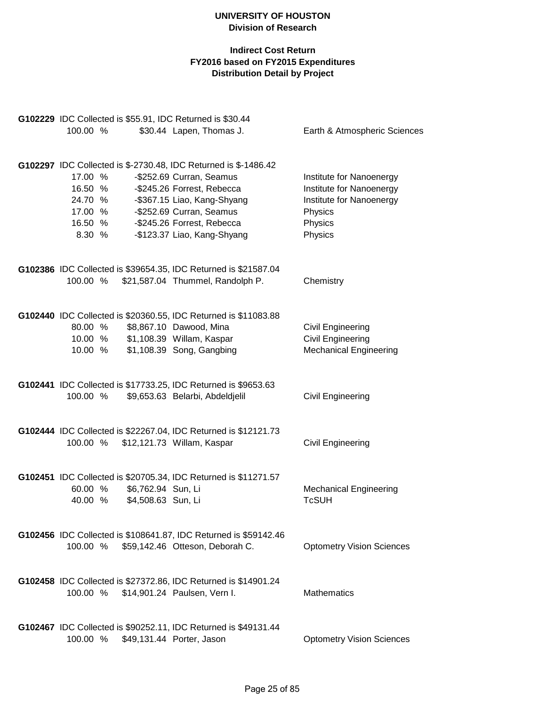|          | G102229 IDC Collected is \$55.91, IDC Returned is \$30.44 |                    |                                                                  |                                  |  |  |  |  |
|----------|-----------------------------------------------------------|--------------------|------------------------------------------------------------------|----------------------------------|--|--|--|--|
| 100.00 % |                                                           |                    | \$30.44 Lapen, Thomas J.                                         | Earth & Atmospheric Sciences     |  |  |  |  |
|          |                                                           |                    | G102297 IDC Collected is \$-2730.48, IDC Returned is \$-1486.42  |                                  |  |  |  |  |
| 17.00 %  |                                                           |                    | -\$252.69 Curran, Seamus                                         | Institute for Nanoenergy         |  |  |  |  |
| 16.50 %  |                                                           |                    | -\$245.26 Forrest, Rebecca                                       | Institute for Nanoenergy         |  |  |  |  |
| 24.70 %  |                                                           |                    | -\$367.15 Liao, Kang-Shyang                                      | Institute for Nanoenergy         |  |  |  |  |
| 17.00 %  |                                                           |                    | -\$252.69 Curran, Seamus                                         | Physics                          |  |  |  |  |
| 16.50 %  |                                                           |                    | -\$245.26 Forrest, Rebecca                                       | Physics                          |  |  |  |  |
| 8.30 %   |                                                           |                    | -\$123.37 Liao, Kang-Shyang                                      | Physics                          |  |  |  |  |
|          |                                                           |                    | G102386 IDC Collected is \$39654.35, IDC Returned is \$21587.04  |                                  |  |  |  |  |
| 100.00 % |                                                           |                    | \$21,587.04 Thummel, Randolph P.                                 | Chemistry                        |  |  |  |  |
|          |                                                           |                    | G102440 IDC Collected is \$20360.55, IDC Returned is \$11083.88  |                                  |  |  |  |  |
| 80.00 %  |                                                           |                    | \$8,867.10 Dawood, Mina                                          | Civil Engineering                |  |  |  |  |
| 10.00 %  |                                                           |                    | \$1,108.39 Willam, Kaspar                                        | <b>Civil Engineering</b>         |  |  |  |  |
| 10.00 %  |                                                           |                    | \$1,108.39 Song, Gangbing                                        | <b>Mechanical Engineering</b>    |  |  |  |  |
|          |                                                           |                    | G102441 IDC Collected is \$17733.25, IDC Returned is \$9653.63   |                                  |  |  |  |  |
| 100.00 % |                                                           |                    | \$9,653.63 Belarbi, Abdeldjelil                                  | Civil Engineering                |  |  |  |  |
|          |                                                           |                    | G102444 IDC Collected is \$22267.04, IDC Returned is \$12121.73  |                                  |  |  |  |  |
|          |                                                           |                    | 100.00 % \$12,121.73 Willam, Kaspar                              | Civil Engineering                |  |  |  |  |
|          |                                                           |                    | G102451 IDC Collected is \$20705.34, IDC Returned is \$11271.57  |                                  |  |  |  |  |
| 60.00 %  |                                                           | \$6,762.94 Sun, Li |                                                                  | <b>Mechanical Engineering</b>    |  |  |  |  |
| 40.00 %  |                                                           | \$4,508.63 Sun, Li |                                                                  | <b>TcSUH</b>                     |  |  |  |  |
|          |                                                           |                    | G102456 IDC Collected is \$108641.87, IDC Returned is \$59142.46 |                                  |  |  |  |  |
| 100.00 % |                                                           |                    | \$59,142.46 Otteson, Deborah C.                                  | <b>Optometry Vision Sciences</b> |  |  |  |  |
|          |                                                           |                    | G102458 IDC Collected is \$27372.86, IDC Returned is \$14901.24  |                                  |  |  |  |  |
| 100.00 % |                                                           |                    | \$14,901.24 Paulsen, Vern I.                                     | <b>Mathematics</b>               |  |  |  |  |
|          |                                                           |                    | G102467 IDC Collected is \$90252.11, IDC Returned is \$49131.44  |                                  |  |  |  |  |
| 100.00 % |                                                           |                    | \$49,131.44 Porter, Jason                                        | <b>Optometry Vision Sciences</b> |  |  |  |  |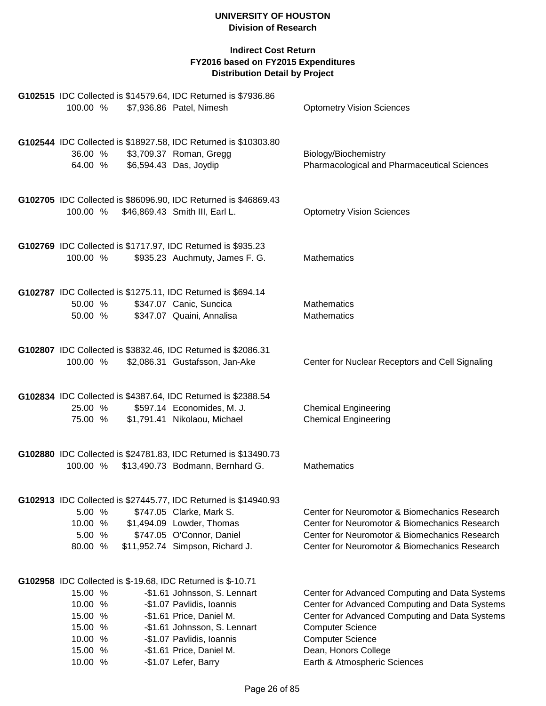| G102515 IDC Collected is \$14579.64, IDC Returned is \$7936.86<br>100.00 %<br>\$7,936.86 Patel, Nimesh                                                                                                                                                                                                                                             | <b>Optometry Vision Sciences</b>                                                                                                                                                                                                                                 |
|----------------------------------------------------------------------------------------------------------------------------------------------------------------------------------------------------------------------------------------------------------------------------------------------------------------------------------------------------|------------------------------------------------------------------------------------------------------------------------------------------------------------------------------------------------------------------------------------------------------------------|
| G102544 IDC Collected is \$18927.58, IDC Returned is \$10303.80<br>\$3,709.37 Roman, Gregg<br>36.00 %<br>\$6,594.43 Das, Joydip<br>64.00 %                                                                                                                                                                                                         | Biology/Biochemistry<br>Pharmacological and Pharmaceutical Sciences                                                                                                                                                                                              |
| G102705 IDC Collected is \$86096.90, IDC Returned is \$46869.43<br>100.00 %<br>\$46,869.43 Smith III, Earl L.                                                                                                                                                                                                                                      | <b>Optometry Vision Sciences</b>                                                                                                                                                                                                                                 |
| G102769 IDC Collected is \$1717.97, IDC Returned is \$935.23<br>\$935.23 Auchmuty, James F. G.<br>100.00 %                                                                                                                                                                                                                                         | <b>Mathematics</b>                                                                                                                                                                                                                                               |
| G102787 IDC Collected is \$1275.11, IDC Returned is \$694.14<br>\$347.07 Canic, Suncica<br>50.00 %<br>50.00 %<br>\$347.07 Quaini, Annalisa                                                                                                                                                                                                         | <b>Mathematics</b><br><b>Mathematics</b>                                                                                                                                                                                                                         |
| G102807 IDC Collected is \$3832.46, IDC Returned is \$2086.31<br>100.00 %<br>\$2,086.31 Gustafsson, Jan-Ake                                                                                                                                                                                                                                        | Center for Nuclear Receptors and Cell Signaling                                                                                                                                                                                                                  |
| G102834 IDC Collected is \$4387.64, IDC Returned is \$2388.54<br>\$597.14 Economides, M. J.<br>25.00 %<br>\$1,791.41 Nikolaou, Michael<br>75.00 %                                                                                                                                                                                                  | <b>Chemical Engineering</b><br><b>Chemical Engineering</b>                                                                                                                                                                                                       |
| G102880 IDC Collected is \$24781.83, IDC Returned is \$13490.73<br>100.00 %<br>\$13,490.73 Bodmann, Bernhard G.                                                                                                                                                                                                                                    | <b>Mathematics</b>                                                                                                                                                                                                                                               |
| G102913 IDC Collected is \$27445.77, IDC Returned is \$14940.93<br>5.00 %<br>\$747.05 Clarke, Mark S.<br>10.00 %<br>\$1,494.09 Lowder, Thomas<br>\$747.05 O'Connor, Daniel<br>5.00<br>%<br>\$11,952.74 Simpson, Richard J.<br>80.00<br>%                                                                                                           | Center for Neuromotor & Biomechanics Research<br>Center for Neuromotor & Biomechanics Research<br>Center for Neuromotor & Biomechanics Research<br>Center for Neuromotor & Biomechanics Research                                                                 |
| G102958 IDC Collected is \$-19.68, IDC Returned is \$-10.71<br>15.00 %<br>-\$1.61 Johnsson, S. Lennart<br>10.00 %<br>-\$1.07 Pavlidis, Ioannis<br>15.00 %<br>-\$1.61 Price, Daniel M.<br>15.00 %<br>-\$1.61 Johnsson, S. Lennart<br>10.00 %<br>-\$1.07 Pavlidis, Ioannis<br>15.00 %<br>-\$1.61 Price, Daniel M.<br>10.00 %<br>-\$1.07 Lefer, Barry | Center for Advanced Computing and Data Systems<br>Center for Advanced Computing and Data Systems<br>Center for Advanced Computing and Data Systems<br><b>Computer Science</b><br><b>Computer Science</b><br>Dean, Honors College<br>Earth & Atmospheric Sciences |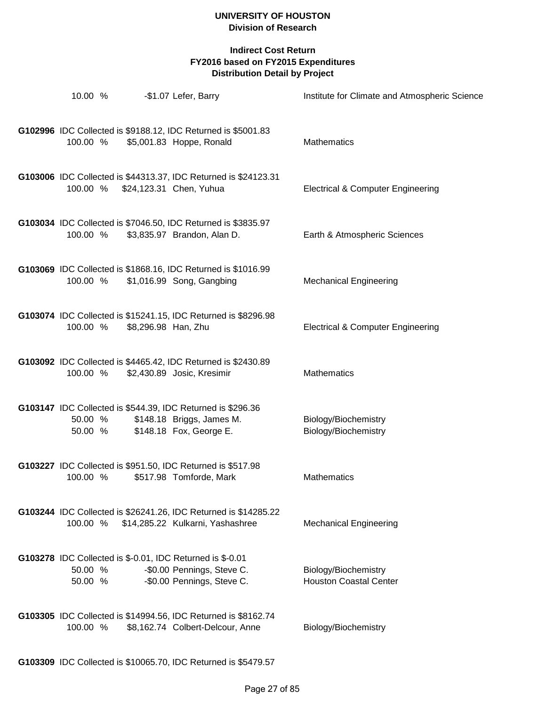| 10.00 %            |                     | -\$1.07 Lefer, Barry                                                                                                  | Institute for Climate and Atmospheric Science         |
|--------------------|---------------------|-----------------------------------------------------------------------------------------------------------------------|-------------------------------------------------------|
| 100.00 %           |                     | G102996 IDC Collected is \$9188.12, IDC Returned is \$5001.83<br>\$5,001.83 Hoppe, Ronald                             | <b>Mathematics</b>                                    |
| 100.00 %           |                     | G103006 IDC Collected is \$44313.37, IDC Returned is \$24123.31<br>\$24,123.31 Chen, Yuhua                            | <b>Electrical &amp; Computer Engineering</b>          |
| 100.00 %           |                     | G103034 IDC Collected is \$7046.50, IDC Returned is \$3835.97<br>\$3,835.97 Brandon, Alan D.                          | Earth & Atmospheric Sciences                          |
| 100.00 %           |                     | G103069 IDC Collected is \$1868.16, IDC Returned is \$1016.99<br>\$1,016.99 Song, Gangbing                            | <b>Mechanical Engineering</b>                         |
| 100.00 %           | \$8,296.98 Han, Zhu | G103074 IDC Collected is \$15241.15, IDC Returned is \$8296.98                                                        | <b>Electrical &amp; Computer Engineering</b>          |
| 100.00 %           |                     | G103092 IDC Collected is \$4465.42, IDC Returned is \$2430.89<br>\$2,430.89 Josic, Kresimir                           | <b>Mathematics</b>                                    |
| 50.00 %<br>50.00 % |                     | G103147 IDC Collected is \$544.39, IDC Returned is \$296.36<br>\$148.18 Briggs, James M.<br>\$148.18 Fox, George E.   | Biology/Biochemistry<br>Biology/Biochemistry          |
| 100.00 %           |                     | G103227 IDC Collected is \$951.50, IDC Returned is \$517.98<br>\$517.98 Tomforde, Mark                                | Mathematics                                           |
| 100.00 %           |                     | G103244 IDC Collected is \$26241.26, IDC Returned is \$14285.22<br>\$14,285.22 Kulkarni, Yashashree                   | <b>Mechanical Engineering</b>                         |
| 50.00 %<br>50.00 % |                     | G103278 IDC Collected is \$-0.01, IDC Returned is \$-0.01<br>-\$0.00 Pennings, Steve C.<br>-\$0.00 Pennings, Steve C. | Biology/Biochemistry<br><b>Houston Coastal Center</b> |
| 100.00 %           |                     | G103305 IDC Collected is \$14994.56, IDC Returned is \$8162.74<br>\$8,162.74 Colbert-Delcour, Anne                    | Biology/Biochemistry                                  |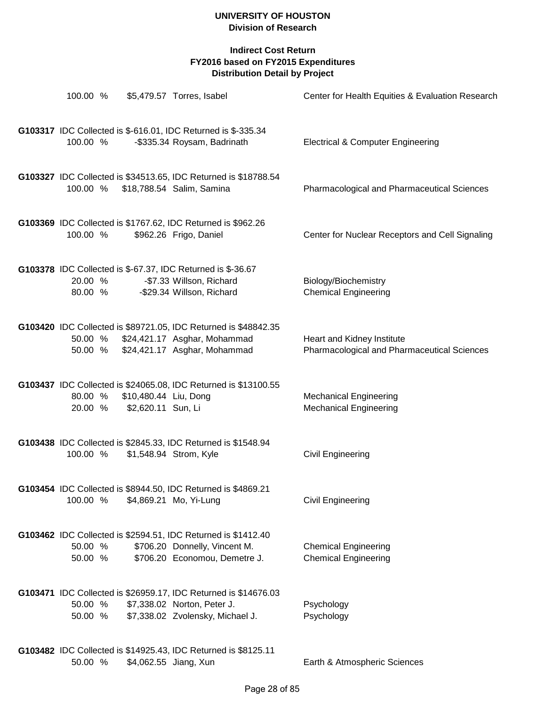| 100.00 %           |                                             | \$5,479.57 Torres, Isabel                                                                                                               | Center for Health Equities & Evaluation Research                          |
|--------------------|---------------------------------------------|-----------------------------------------------------------------------------------------------------------------------------------------|---------------------------------------------------------------------------|
| 100.00 %           |                                             | G103317 IDC Collected is \$-616.01, IDC Returned is \$-335.34<br>-\$335.34 Roysam, Badrinath                                            | <b>Electrical &amp; Computer Engineering</b>                              |
| 100.00 %           |                                             | G103327 IDC Collected is \$34513.65, IDC Returned is \$18788.54<br>\$18,788.54 Salim, Samina                                            | Pharmacological and Pharmaceutical Sciences                               |
| 100.00 %           |                                             | G103369 IDC Collected is \$1767.62, IDC Returned is \$962.26<br>\$962.26 Frigo, Daniel                                                  | Center for Nuclear Receptors and Cell Signaling                           |
| 20.00 %<br>80.00 % |                                             | G103378 IDC Collected is \$-67.37, IDC Returned is \$-36.67<br>-\$7.33 Willson, Richard<br>-\$29.34 Willson, Richard                    | Biology/Biochemistry<br><b>Chemical Engineering</b>                       |
| 50.00 %            |                                             | G103420 IDC Collected is \$89721.05, IDC Returned is \$48842.35<br>\$24,421.17 Asghar, Mohammad<br>50.00 % \$24,421.17 Asghar, Mohammad | Heart and Kidney Institute<br>Pharmacological and Pharmaceutical Sciences |
| 80.00 %<br>20.00 % | \$10,480.44 Liu, Dong<br>\$2,620.11 Sun, Li | G103437 IDC Collected is \$24065.08, IDC Returned is \$13100.55                                                                         | <b>Mechanical Engineering</b><br><b>Mechanical Engineering</b>            |
| 100.00 %           |                                             | G103438 IDC Collected is \$2845.33, IDC Returned is \$1548.94<br>\$1,548.94 Strom, Kyle                                                 | Civil Engineering                                                         |
| 100.00 %           |                                             | G103454 IDC Collected is \$8944.50, IDC Returned is \$4869.21<br>\$4,869.21 Mo, Yi-Lung                                                 | Civil Engineering                                                         |
| 50.00 %<br>50.00 % |                                             | G103462 IDC Collected is \$2594.51, IDC Returned is \$1412.40<br>\$706.20 Donnelly, Vincent M.<br>\$706.20 Economou, Demetre J.         | <b>Chemical Engineering</b><br><b>Chemical Engineering</b>                |
| 50.00 %<br>50.00 % |                                             | G103471 IDC Collected is \$26959.17, IDC Returned is \$14676.03<br>\$7,338.02 Norton, Peter J.<br>\$7,338.02 Zvolensky, Michael J.      | Psychology<br>Psychology                                                  |
| 50.00 %            |                                             | G103482 IDC Collected is \$14925.43, IDC Returned is \$8125.11<br>\$4,062.55 Jiang, Xun                                                 | Earth & Atmospheric Sciences                                              |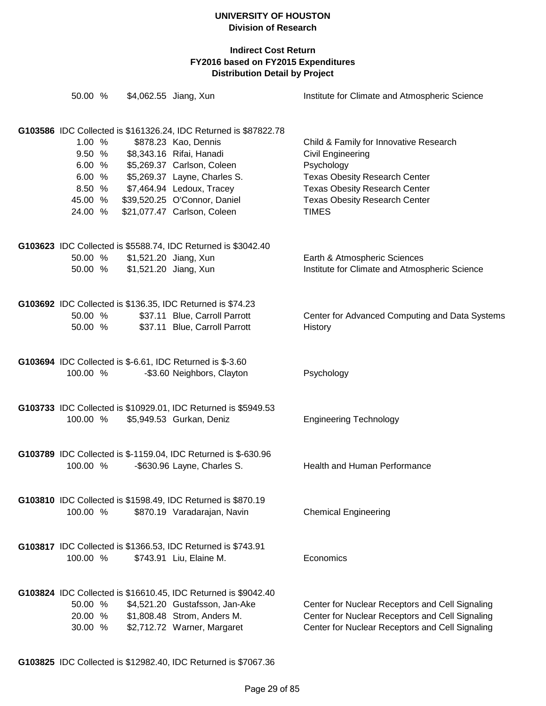| 50.00 %                                                                                                                               | \$4,062.55 Jiang, Xun                                                                                                                                                                                      | Institute for Climate and Atmospheric Science                                                                                                                                                                     |
|---------------------------------------------------------------------------------------------------------------------------------------|------------------------------------------------------------------------------------------------------------------------------------------------------------------------------------------------------------|-------------------------------------------------------------------------------------------------------------------------------------------------------------------------------------------------------------------|
| G103586 IDC Collected is \$161326.24, IDC Returned is \$87822.78<br>1.00%<br>9.50 %<br>6.00%<br>6.00%<br>8.50 %<br>45.00 %<br>24.00 % | \$878.23 Kao, Dennis<br>\$8,343.16 Rifai, Hanadi<br>\$5,269.37 Carlson, Coleen<br>\$5,269.37 Layne, Charles S.<br>\$7,464.94 Ledoux, Tracey<br>\$39,520.25 O'Connor, Daniel<br>\$21,077.47 Carlson, Coleen | Child & Family for Innovative Research<br>Civil Engineering<br>Psychology<br><b>Texas Obesity Research Center</b><br><b>Texas Obesity Research Center</b><br><b>Texas Obesity Research Center</b><br><b>TIMES</b> |
| G103623 IDC Collected is \$5588.74, IDC Returned is \$3042.40<br>50.00 %<br>50.00 %                                                   | \$1,521.20 Jiang, Xun<br>\$1,521.20 Jiang, Xun                                                                                                                                                             | Earth & Atmospheric Sciences<br>Institute for Climate and Atmospheric Science                                                                                                                                     |
| G103692 IDC Collected is \$136.35, IDC Returned is \$74.23<br>50.00 %<br>50.00 %                                                      | \$37.11 Blue, Carroll Parrott<br>\$37.11 Blue, Carroll Parrott                                                                                                                                             | Center for Advanced Computing and Data Systems<br>History                                                                                                                                                         |
| G103694 IDC Collected is \$-6.61, IDC Returned is \$-3.60<br>100.00 %                                                                 | -\$3.60 Neighbors, Clayton                                                                                                                                                                                 | Psychology                                                                                                                                                                                                        |
| G103733 IDC Collected is \$10929.01, IDC Returned is \$5949.53<br>100.00 %                                                            | \$5,949.53 Gurkan, Deniz                                                                                                                                                                                   | <b>Engineering Technology</b>                                                                                                                                                                                     |
| G103789 IDC Collected is \$-1159.04, IDC Returned is \$-630.96<br>100.00 %                                                            | -\$630.96 Layne, Charles S.                                                                                                                                                                                | Health and Human Performance                                                                                                                                                                                      |
| G103810 IDC Collected is \$1598.49, IDC Returned is \$870.19<br>100.00 %                                                              | \$870.19 Varadarajan, Navin                                                                                                                                                                                | <b>Chemical Engineering</b>                                                                                                                                                                                       |
| G103817 IDC Collected is \$1366.53, IDC Returned is \$743.91<br>100.00 %                                                              | \$743.91 Liu, Elaine M.                                                                                                                                                                                    | Economics                                                                                                                                                                                                         |
| G103824 IDC Collected is \$16610.45, IDC Returned is \$9042.40<br>50.00 %<br>20.00 %<br>30.00 %                                       | \$4,521.20 Gustafsson, Jan-Ake<br>\$1,808.48 Strom, Anders M.<br>\$2,712.72 Warner, Margaret                                                                                                               | Center for Nuclear Receptors and Cell Signaling<br>Center for Nuclear Receptors and Cell Signaling<br>Center for Nuclear Receptors and Cell Signaling                                                             |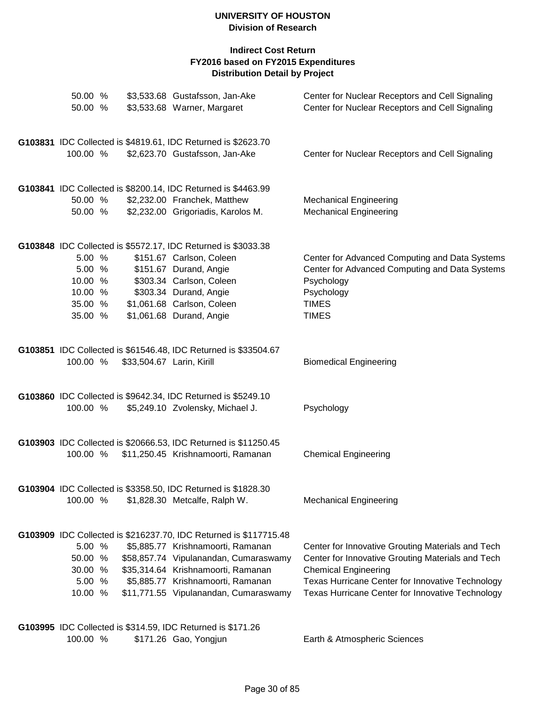| 50.00 %<br>50.00 % |                           | \$3,533.68 Gustafsson, Jan-Ake<br>\$3,533.68 Warner, Margaret                                   | Center for Nuclear Receptors and Cell Signaling<br>Center for Nuclear Receptors and Cell Signaling |
|--------------------|---------------------------|-------------------------------------------------------------------------------------------------|----------------------------------------------------------------------------------------------------|
| 100.00 %           |                           | G103831 IDC Collected is \$4819.61, IDC Returned is \$2623.70<br>\$2,623.70 Gustafsson, Jan-Ake | Center for Nuclear Receptors and Cell Signaling                                                    |
|                    |                           |                                                                                                 |                                                                                                    |
|                    |                           | G103841 IDC Collected is \$8200.14, IDC Returned is \$4463.99                                   |                                                                                                    |
| 50.00 %            |                           | \$2,232.00 Franchek, Matthew                                                                    | <b>Mechanical Engineering</b>                                                                      |
| 50.00 %            |                           | \$2,232.00 Grigoriadis, Karolos M.                                                              | <b>Mechanical Engineering</b>                                                                      |
|                    |                           | G103848 IDC Collected is \$5572.17, IDC Returned is \$3033.38                                   |                                                                                                    |
| 5.00 %             |                           | \$151.67 Carlson, Coleen                                                                        | Center for Advanced Computing and Data Systems                                                     |
| 5.00 %<br>10.00 %  |                           | \$151.67 Durand, Angie<br>\$303.34 Carlson, Coleen                                              | Center for Advanced Computing and Data Systems                                                     |
| 10.00 %            |                           | \$303.34 Durand, Angie                                                                          | Psychology<br>Psychology                                                                           |
| 35.00 %            |                           | \$1,061.68 Carlson, Coleen                                                                      | <b>TIMES</b>                                                                                       |
| 35.00 %            |                           | \$1,061.68 Durand, Angie                                                                        | <b>TIMES</b>                                                                                       |
|                    |                           | G103851 IDC Collected is \$61546.48, IDC Returned is \$33504.67                                 |                                                                                                    |
| 100.00 %           | \$33,504.67 Larin, Kirill |                                                                                                 | <b>Biomedical Engineering</b>                                                                      |
|                    |                           | G103860 IDC Collected is \$9642.34, IDC Returned is \$5249.10                                   |                                                                                                    |
| 100.00 %           |                           | \$5,249.10 Zvolensky, Michael J.                                                                | Psychology                                                                                         |
|                    |                           | G103903 IDC Collected is \$20666.53, IDC Returned is \$11250.45                                 |                                                                                                    |
| 100.00 %           |                           | \$11,250.45 Krishnamoorti, Ramanan                                                              | <b>Chemical Engineering</b>                                                                        |
|                    |                           | G103904 IDC Collected is \$3358.50, IDC Returned is \$1828.30                                   |                                                                                                    |
| 100.00 %           |                           | \$1,828.30 Metcalfe, Ralph W.                                                                   | <b>Mechanical Engineering</b>                                                                      |
|                    |                           | G103909 IDC Collected is \$216237.70, IDC Returned is \$117715.48                               |                                                                                                    |
| 5.00 %             |                           | \$5,885.77 Krishnamoorti, Ramanan                                                               | Center for Innovative Grouting Materials and Tech                                                  |
| 50.00 %            |                           | \$58,857.74 Vipulanandan, Cumaraswamy                                                           | Center for Innovative Grouting Materials and Tech                                                  |
| 30.00 %<br>5.00 %  |                           | \$35,314.64 Krishnamoorti, Ramanan<br>\$5,885.77 Krishnamoorti, Ramanan                         | <b>Chemical Engineering</b><br>Texas Hurricane Center for Innovative Technology                    |
| 10.00 %            |                           | \$11,771.55 Vipulanandan, Cumaraswamy                                                           | Texas Hurricane Center for Innovative Technology                                                   |
|                    |                           |                                                                                                 |                                                                                                    |
|                    |                           | G103995 IDC Collected is \$314.59, IDC Returned is \$171.26                                     |                                                                                                    |
| 100.00 %           |                           | \$171.26 Gao, Yongjun                                                                           | Earth & Atmospheric Sciences                                                                       |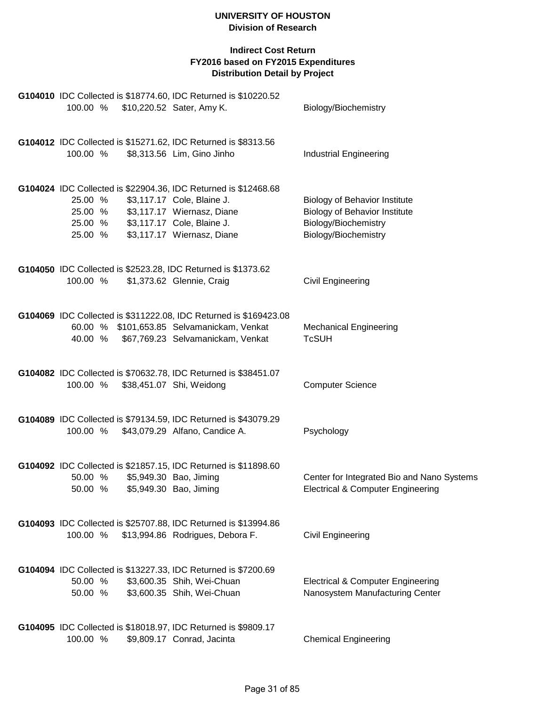|                                          | 100.00 % \$10,220.52 Sater, Amy K. | G104010 IDC Collected is \$18774.60, IDC Returned is \$10220.52                                                                                                                         | Biology/Biochemistry                                                                                                         |
|------------------------------------------|------------------------------------|-----------------------------------------------------------------------------------------------------------------------------------------------------------------------------------------|------------------------------------------------------------------------------------------------------------------------------|
| 100.00 %                                 |                                    | G104012 IDC Collected is \$15271.62, IDC Returned is \$8313.56<br>\$8,313.56 Lim, Gino Jinho                                                                                            | <b>Industrial Engineering</b>                                                                                                |
| 25.00 %<br>25.00 %<br>25.00 %<br>25.00 % |                                    | G104024 IDC Collected is \$22904.36, IDC Returned is \$12468.68<br>\$3,117.17 Cole, Blaine J.<br>\$3,117.17 Wiernasz, Diane<br>\$3,117.17 Cole, Blaine J.<br>\$3,117.17 Wiernasz, Diane | <b>Biology of Behavior Institute</b><br><b>Biology of Behavior Institute</b><br>Biology/Biochemistry<br>Biology/Biochemistry |
| 100.00 %                                 |                                    | G104050 IDC Collected is \$2523.28, IDC Returned is \$1373.62<br>\$1,373.62 Glennie, Craig                                                                                              | <b>Civil Engineering</b>                                                                                                     |
|                                          |                                    | G104069 IDC Collected is \$311222.08, IDC Returned is \$169423.08<br>60.00 % \$101,653.85 Selvamanickam, Venkat<br>40.00 % \$67,769.23 Selvamanickam, Venkat                            | <b>Mechanical Engineering</b><br><b>TcSUH</b>                                                                                |
| 100.00 %                                 |                                    | G104082 IDC Collected is \$70632.78, IDC Returned is \$38451.07<br>\$38,451.07 Shi, Weidong                                                                                             | <b>Computer Science</b>                                                                                                      |
| 100.00 %                                 |                                    | G104089 IDC Collected is \$79134.59, IDC Returned is \$43079.29<br>\$43,079.29 Alfano, Candice A.                                                                                       | Psychology                                                                                                                   |
| 50.00 %<br>50.00 %                       |                                    | G104092 IDC Collected is \$21857.15, IDC Returned is \$11898.60<br>\$5,949.30 Bao, Jiming<br>\$5,949.30 Bao, Jiming                                                                     | Center for Integrated Bio and Nano Systems<br><b>Electrical &amp; Computer Engineering</b>                                   |
| 100.00 %                                 |                                    | G104093 IDC Collected is \$25707.88, IDC Returned is \$13994.86<br>\$13,994.86 Rodrigues, Debora F.                                                                                     | <b>Civil Engineering</b>                                                                                                     |
| 50.00 %<br>50.00 %                       |                                    | G104094 IDC Collected is \$13227.33, IDC Returned is \$7200.69<br>\$3,600.35 Shih, Wei-Chuan<br>\$3,600.35 Shih, Wei-Chuan                                                              | <b>Electrical &amp; Computer Engineering</b><br>Nanosystem Manufacturing Center                                              |
| 100.00 %                                 |                                    | G104095 IDC Collected is \$18018.97, IDC Returned is \$9809.17<br>\$9,809.17 Conrad, Jacinta                                                                                            | <b>Chemical Engineering</b>                                                                                                  |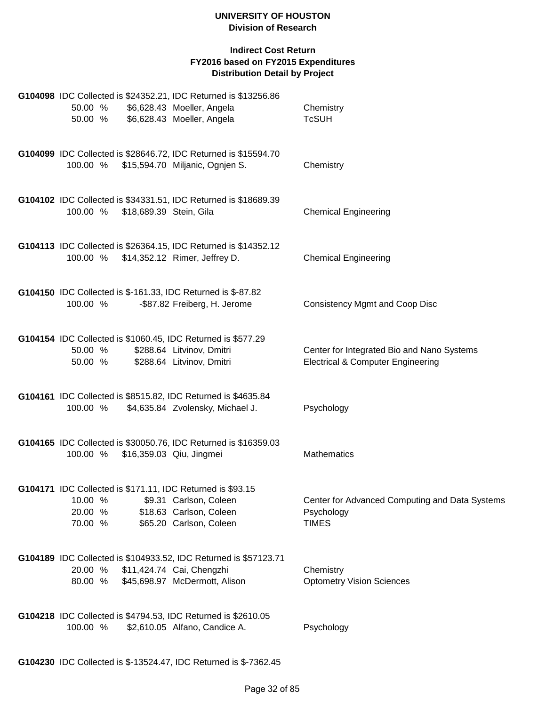# **Indirect Cost Return FY2016 based on FY2015 Expenditures Distribution Detail by Project**

| G104098 IDC Collected is \$24352.21, IDC Returned is \$13256.86<br>50.00 %<br>50.00 %                     | \$6,628.43 Moeller, Angela<br>\$6,628.43 Moeller, Angela                     | Chemistry<br><b>TcSUH</b>                                                                  |
|-----------------------------------------------------------------------------------------------------------|------------------------------------------------------------------------------|--------------------------------------------------------------------------------------------|
| G104099 IDC Collected is \$28646.72, IDC Returned is \$15594.70<br>100.00 %                               | \$15,594.70 Miljanic, Ognjen S.                                              | Chemistry                                                                                  |
| G104102 IDC Collected is \$34331.51, IDC Returned is \$18689.39<br>100.00 %<br>\$18,689.39 Stein, Gila    |                                                                              | <b>Chemical Engineering</b>                                                                |
| G104113 IDC Collected is \$26364.15, IDC Returned is \$14352.12<br>100.00 % \$14,352.12 Rimer, Jeffrey D. |                                                                              | <b>Chemical Engineering</b>                                                                |
| G104150 IDC Collected is \$-161.33, IDC Returned is \$-87.82<br>100.00 %                                  | -\$87.82 Freiberg, H. Jerome                                                 | <b>Consistency Mgmt and Coop Disc</b>                                                      |
| G104154 IDC Collected is \$1060.45, IDC Returned is \$577.29<br>50.00 %<br>50.00 %                        | \$288.64 Litvinov, Dmitri<br>\$288.64 Litvinov, Dmitri                       | Center for Integrated Bio and Nano Systems<br><b>Electrical &amp; Computer Engineering</b> |
| G104161 IDC Collected is \$8515.82, IDC Returned is \$4635.84<br>100.00 %                                 | \$4,635.84 Zvolensky, Michael J.                                             | Psychology                                                                                 |
| G104165 IDC Collected is \$30050.76, IDC Returned is \$16359.03<br>100.00 %                               | \$16,359.03 Qiu, Jingmei                                                     | <b>Mathematics</b>                                                                         |
| G104171 IDC Collected is \$171.11, IDC Returned is \$93.15<br>10.00 %<br>20.00 %<br>70.00 %               | \$9.31 Carlson, Coleen<br>\$18.63 Carlson, Coleen<br>\$65.20 Carlson, Coleen | Center for Advanced Computing and Data Systems<br>Psychology<br><b>TIMES</b>               |
| G104189 IDC Collected is \$104933.52, IDC Returned is \$57123.71<br>20.00 %<br>80.00 %                    | \$11,424.74 Cai, Chengzhi<br>\$45,698.97 McDermott, Alison                   | Chemistry<br><b>Optometry Vision Sciences</b>                                              |
| G104218 IDC Collected is \$4794.53, IDC Returned is \$2610.05<br>100.00 %                                 | \$2,610.05 Alfano, Candice A.                                                | Psychology                                                                                 |

**G104230** IDC Collected is \$-13524.47, IDC Returned is \$-7362.45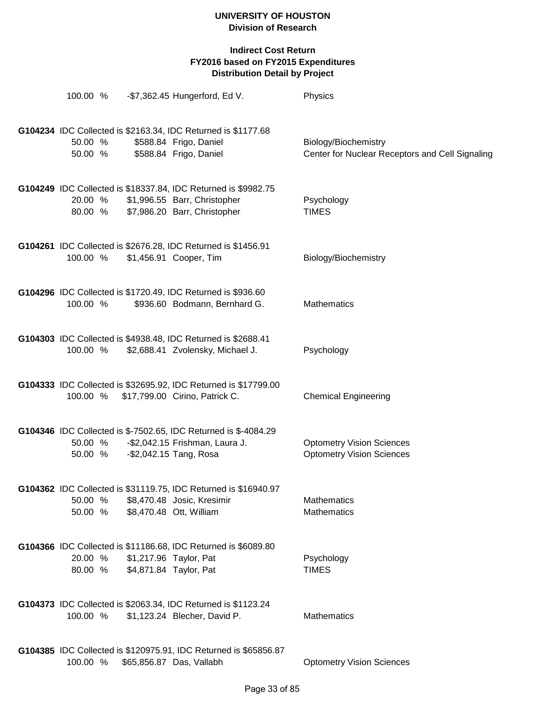| 100.00 %           |                                                  | $-$ \$7,362.45 Hungerford, Ed V.                                                                                                     | Physics                                                                 |
|--------------------|--------------------------------------------------|--------------------------------------------------------------------------------------------------------------------------------------|-------------------------------------------------------------------------|
| 50.00 %<br>50.00 % |                                                  | G104234 IDC Collected is \$2163.34, IDC Returned is \$1177.68<br>\$588.84 Frigo, Daniel<br>\$588.84 Frigo, Daniel                    | Biology/Biochemistry<br>Center for Nuclear Receptors and Cell Signaling |
| 20.00 %<br>80.00 % |                                                  | G104249 IDC Collected is \$18337.84, IDC Returned is \$9982.75<br>\$1,996.55 Barr, Christopher<br>\$7,986.20 Barr, Christopher       | Psychology<br><b>TIMES</b>                                              |
| 100.00 %           |                                                  | G104261 IDC Collected is \$2676.28, IDC Returned is \$1456.91<br>\$1,456.91 Cooper, Tim                                              | Biology/Biochemistry                                                    |
| 100.00 %           |                                                  | G104296 IDC Collected is \$1720.49, IDC Returned is \$936.60<br>\$936.60 Bodmann, Bernhard G.                                        | <b>Mathematics</b>                                                      |
| 100.00 %           |                                                  | G104303 IDC Collected is \$4938.48, IDC Returned is \$2688.41<br>\$2,688.41 Zvolensky, Michael J.                                    | Psychology                                                              |
| 100.00 %           |                                                  | G104333 IDC Collected is \$32695.92, IDC Returned is \$17799.00<br>\$17,799.00 Cirino, Patrick C.                                    | <b>Chemical Engineering</b>                                             |
| 50.00 %            |                                                  | G104346 IDC Collected is \$-7502.65, IDC Returned is \$-4084.29<br>50.00 % - \$2,042.15 Frishman, Laura J.<br>-\$2,042.15 Tang, Rosa | <b>Optometry Vision Sciences</b><br><b>Optometry Vision Sciences</b>    |
| 50.00 %<br>50.00 % |                                                  | G104362 IDC Collected is \$31119.75, IDC Returned is \$16940.97<br>\$8,470.48 Josic, Kresimir<br>\$8,470.48 Ott, William             | <b>Mathematics</b><br><b>Mathematics</b>                                |
| 20.00 %<br>80.00 % | \$1,217.96 Taylor, Pat<br>\$4,871.84 Taylor, Pat | G104366 IDC Collected is \$11186.68, IDC Returned is \$6089.80                                                                       | Psychology<br><b>TIMES</b>                                              |
| 100.00 %           |                                                  | G104373 IDC Collected is \$2063.34, IDC Returned is \$1123.24<br>\$1,123.24 Blecher, David P.                                        | <b>Mathematics</b>                                                      |
| 100.00 %           |                                                  | G104385 IDC Collected is \$120975.91, IDC Returned is \$65856.87<br>\$65,856.87 Das, Vallabh                                         | <b>Optometry Vision Sciences</b>                                        |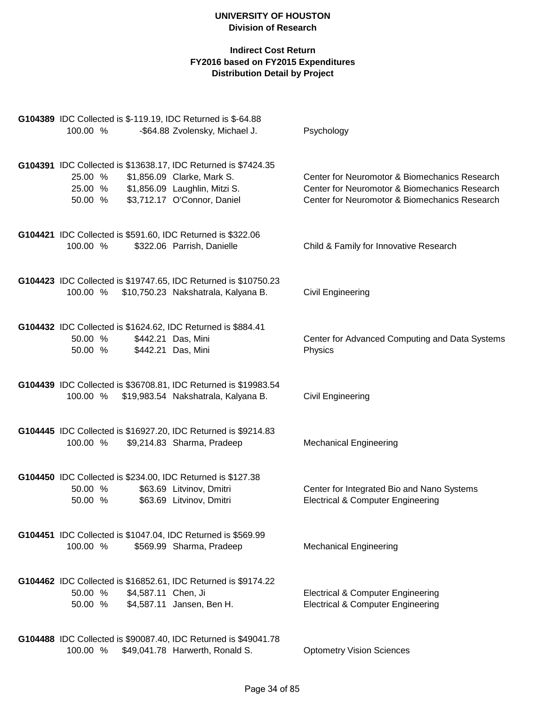| G104389 IDC Collected is \$-119.19, IDC Returned is \$-64.88<br>100.00 %                                                       | -\$64.88 Zvolensky, Michael J.                            | Psychology                                                                                                                                      |
|--------------------------------------------------------------------------------------------------------------------------------|-----------------------------------------------------------|-------------------------------------------------------------------------------------------------------------------------------------------------|
| G104391 IDC Collected is \$13638.17, IDC Returned is \$7424.35<br>25.00 %<br>25.00 % \$1,856.09 Laughlin, Mitzi S.<br>50.00 %  | \$1,856.09 Clarke, Mark S.<br>\$3,712.17 O'Connor, Daniel | Center for Neuromotor & Biomechanics Research<br>Center for Neuromotor & Biomechanics Research<br>Center for Neuromotor & Biomechanics Research |
| G104421 IDC Collected is \$591.60, IDC Returned is \$322.06<br>100.00 %                                                        | \$322.06 Parrish, Danielle                                | Child & Family for Innovative Research                                                                                                          |
| G104423 IDC Collected is \$19747.65, IDC Returned is \$10750.23<br>100.00 % \$10,750.23 Nakshatrala, Kalyana B.                |                                                           | <b>Civil Engineering</b>                                                                                                                        |
| G104432 IDC Collected is \$1624.62, IDC Returned is \$884.41<br>\$442.21 Das, Mini<br>50.00 %<br>50.00 %<br>\$442.21 Das, Mini |                                                           | Center for Advanced Computing and Data Systems<br>Physics                                                                                       |
| G104439 IDC Collected is \$36708.81, IDC Returned is \$19983.54<br>100.00 %                                                    | \$19,983.54 Nakshatrala, Kalyana B.                       | Civil Engineering                                                                                                                               |
| G104445 IDC Collected is \$16927.20, IDC Returned is \$9214.83<br>100.00 %                                                     | \$9,214.83 Sharma, Pradeep                                | <b>Mechanical Engineering</b>                                                                                                                   |
| G104450 IDC Collected is \$234.00, IDC Returned is \$127.38<br>50.00 %<br>50.00 %                                              | \$63.69 Litvinov, Dmitri<br>\$63.69 Litvinov, Dmitri      | Center for Integrated Bio and Nano Systems<br><b>Electrical &amp; Computer Engineering</b>                                                      |
| G104451 IDC Collected is \$1047.04, IDC Returned is \$569.99<br>100.00 %                                                       | \$569.99 Sharma, Pradeep                                  | <b>Mechanical Engineering</b>                                                                                                                   |
| G104462 IDC Collected is \$16852.61, IDC Returned is \$9174.22<br>50.00 %<br>\$4,587.11 Chen, Ji<br>50.00 %                    | \$4,587.11 Jansen, Ben H.                                 | <b>Electrical &amp; Computer Engineering</b><br>Electrical & Computer Engineering                                                               |
| G104488 IDC Collected is \$90087.40, IDC Returned is \$49041.78<br>100.00 %                                                    | \$49,041.78 Harwerth, Ronald S.                           | <b>Optometry Vision Sciences</b>                                                                                                                |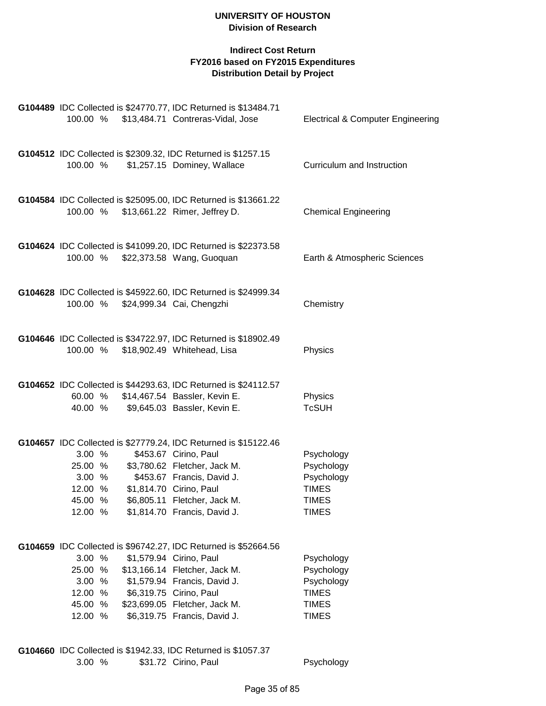# **Indirect Cost Return FY2016 based on FY2015 Expenditures Distribution Detail by Project**

| 100.00 %                                                     |                                    | G104489 IDC Collected is \$24770.77, IDC Returned is \$13484.71<br>\$13,484.71 Contreras-Vidal, Jose                                                                                                                                                    | <b>Electrical &amp; Computer Engineering</b>                                           |
|--------------------------------------------------------------|------------------------------------|---------------------------------------------------------------------------------------------------------------------------------------------------------------------------------------------------------------------------------------------------------|----------------------------------------------------------------------------------------|
| 100.00 %                                                     |                                    | G104512 IDC Collected is \$2309.32, IDC Returned is \$1257.15<br>\$1,257.15 Dominey, Wallace                                                                                                                                                            | Curriculum and Instruction                                                             |
| 100.00 %                                                     |                                    | G104584 IDC Collected is \$25095.00, IDC Returned is \$13661.22<br>\$13,661.22 Rimer, Jeffrey D.                                                                                                                                                        | <b>Chemical Engineering</b>                                                            |
| 100.00 %                                                     |                                    | G104624 IDC Collected is \$41099.20, IDC Returned is \$22373.58<br>\$22,373.58 Wang, Guoquan                                                                                                                                                            | Earth & Atmospheric Sciences                                                           |
|                                                              | 100.00 % \$24,999.34 Cai, Chengzhi | G104628 IDC Collected is \$45922.60, IDC Returned is \$24999.34                                                                                                                                                                                         | Chemistry                                                                              |
| 100.00 %                                                     |                                    | G104646 IDC Collected is \$34722.97, IDC Returned is \$18902.49<br>\$18,902.49 Whitehead, Lisa                                                                                                                                                          | Physics                                                                                |
|                                                              |                                    | G104652 IDC Collected is \$44293.63, IDC Returned is \$24112.57<br>60.00 % \$14,467.54 Bassler, Kevin E.<br>40.00 % \$9,645.03 Bassler, Kevin E.                                                                                                        | Physics<br><b>TcSUH</b>                                                                |
| 3.00 %<br>25.00 %<br>3.00 %<br>12.00 %<br>45.00 %<br>12.00 % |                                    | G104657 IDC Collected is \$27779.24, IDC Returned is \$15122.46<br>\$453.67 Cirino, Paul<br>\$3,780.62 Fletcher, Jack M.<br>\$453.67 Francis, David J.<br>\$1,814.70 Cirino, Paul<br>\$6,805.11 Fletcher, Jack M.<br>\$1,814.70 Francis, David J.       | Psychology<br>Psychology<br>Psychology<br><b>TIMES</b><br><b>TIMES</b><br><b>TIMES</b> |
| 3.00 %<br>25.00 %<br>3.00 %<br>12.00 %<br>45.00 %<br>12.00 % |                                    | G104659 IDC Collected is \$96742.27, IDC Returned is \$52664.56<br>\$1,579.94 Cirino, Paul<br>\$13,166.14 Fletcher, Jack M.<br>\$1,579.94 Francis, David J.<br>\$6,319.75 Cirino, Paul<br>\$23,699.05 Fletcher, Jack M.<br>\$6,319.75 Francis, David J. | Psychology<br>Psychology<br>Psychology<br><b>TIMES</b><br><b>TIMES</b><br><b>TIMES</b> |

**G104660** IDC Collected is \$1942.33, IDC Returned is \$1057.37<br>3.00 % \$31.72 Cirino, Paul \$31.72 Cirino, Paul Psychology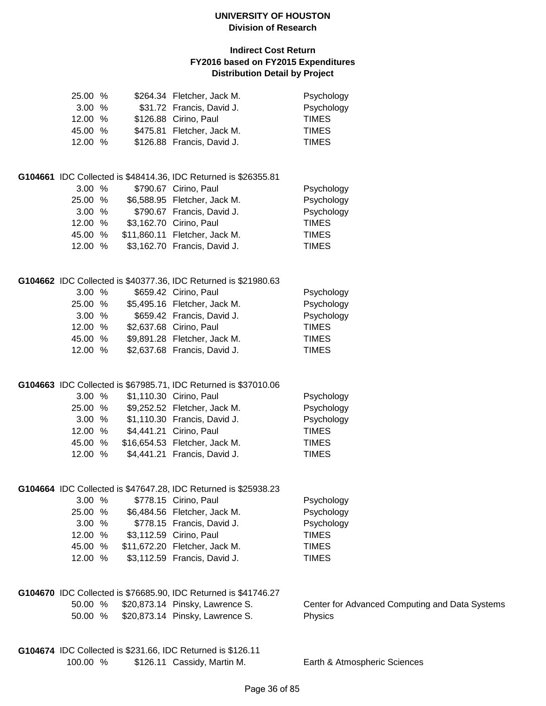| 25.00 %<br>3.00 % |  | \$264.34 Fletcher, Jack M.<br>\$31.72 Francis, David J.         | Psychology<br>Psychology                       |
|-------------------|--|-----------------------------------------------------------------|------------------------------------------------|
| 12.00 %           |  | \$126.88 Cirino, Paul                                           | <b>TIMES</b>                                   |
| 45.00 %           |  | \$475.81 Fletcher, Jack M.                                      | <b>TIMES</b>                                   |
| 12.00 %           |  | \$126.88 Francis, David J.                                      | <b>TIMES</b>                                   |
|                   |  |                                                                 |                                                |
|                   |  | G104661 IDC Collected is \$48414.36, IDC Returned is \$26355.81 |                                                |
| 3.00 %            |  | \$790.67 Cirino, Paul                                           | Psychology                                     |
| 25.00 %           |  | \$6,588.95 Fletcher, Jack M.                                    | Psychology                                     |
| 3.00%             |  | \$790.67 Francis, David J.                                      | Psychology                                     |
| 12.00 %           |  | \$3,162.70 Cirino, Paul                                         | <b>TIMES</b>                                   |
| 45.00 %           |  | \$11,860.11 Fletcher, Jack M.                                   | <b>TIMES</b>                                   |
| 12.00 %           |  | \$3,162.70 Francis, David J.                                    | <b>TIMES</b>                                   |
|                   |  | G104662 IDC Collected is \$40377.36, IDC Returned is \$21980.63 |                                                |
| 3.00 %            |  | \$659.42 Cirino, Paul                                           | Psychology                                     |
| 25.00 %           |  | \$5,495.16 Fletcher, Jack M.                                    | Psychology                                     |
| 3.00 %            |  | \$659.42 Francis, David J.                                      | Psychology                                     |
| 12.00 %           |  | \$2,637.68 Cirino, Paul                                         | <b>TIMES</b>                                   |
| 45.00 %           |  | \$9,891.28 Fletcher, Jack M.                                    | <b>TIMES</b>                                   |
| 12.00 %           |  | \$2,637.68 Francis, David J.                                    | <b>TIMES</b>                                   |
|                   |  | G104663 IDC Collected is \$67985.71, IDC Returned is \$37010.06 |                                                |
| 3.00%             |  | \$1,110.30 Cirino, Paul                                         | Psychology                                     |
| 25.00 %           |  | \$9,252.52 Fletcher, Jack M.                                    | Psychology                                     |
| 3.00%             |  | \$1,110.30 Francis, David J.                                    | Psychology                                     |
| 12.00 %           |  | \$4,441.21 Cirino, Paul                                         | <b>TIMES</b>                                   |
| 45.00 %           |  | \$16,654.53 Fletcher, Jack M.                                   | <b>TIMES</b>                                   |
| 12.00 %           |  | \$4,441.21 Francis, David J.                                    | <b>TIMES</b>                                   |
|                   |  |                                                                 |                                                |
|                   |  | G104664 IDC Collected is \$47647.28, IDC Returned is \$25938.23 |                                                |
| 3.00%             |  | \$778.15 Cirino, Paul                                           | Psychology                                     |
| 25.00 %           |  | \$6,484.56 Fletcher, Jack M.                                    | Psychology                                     |
| 3.00 %            |  | \$778.15 Francis, David J.                                      | Psychology                                     |
| 12.00 %           |  | \$3,112.59 Cirino, Paul                                         | <b>TIMES</b>                                   |
| 45.00 %           |  | \$11,672.20 Fletcher, Jack M.                                   | <b>TIMES</b>                                   |
| 12.00 %           |  | \$3,112.59 Francis, David J.                                    | <b>TIMES</b>                                   |
|                   |  | G104670 IDC Collected is \$76685.90, IDC Returned is \$41746.27 |                                                |
| 50.00 %           |  | \$20,873.14 Pinsky, Lawrence S.                                 | Center for Advanced Computing and Data Systems |
| 50.00 %           |  | \$20,873.14 Pinsky, Lawrence S.                                 | Physics                                        |
|                   |  | G104674 IDC Collected is \$231.66, IDC Returned is \$126.11     |                                                |
| 100.00 %          |  | \$126.11 Cassidy, Martin M.                                     | Earth & Atmospheric Sciences                   |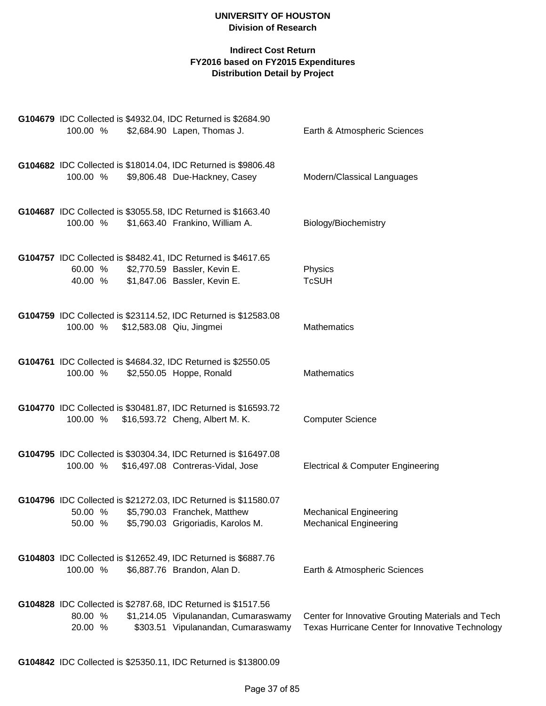| G104679 IDC Collected is \$4932.04, IDC Returned is \$2684.90<br>\$2,684.90 Lapen, Thomas J.<br>100.00 %                                                          | Earth & Atmospheric Sciences                                                                          |
|-------------------------------------------------------------------------------------------------------------------------------------------------------------------|-------------------------------------------------------------------------------------------------------|
| G104682 IDC Collected is \$18014.04, IDC Returned is \$9806.48<br>\$9,806.48 Due-Hackney, Casey<br>100.00 %                                                       | Modern/Classical Languages                                                                            |
| G104687 IDC Collected is \$3055.58, IDC Returned is \$1663.40<br>100.00 %<br>\$1,663.40 Frankino, William A.                                                      | Biology/Biochemistry                                                                                  |
| G104757 IDC Collected is \$8482.41, IDC Returned is \$4617.65<br>60.00 %<br>\$2,770.59 Bassler, Kevin E.<br>\$1,847.06 Bassler, Kevin E.<br>40.00 %               | Physics<br><b>TcSUH</b>                                                                               |
| G104759 IDC Collected is \$23114.52, IDC Returned is \$12583.08<br>\$12,583.08 Qiu, Jingmei<br>100.00 %                                                           | Mathematics                                                                                           |
| G104761 IDC Collected is \$4684.32, IDC Returned is \$2550.05<br>100.00 %<br>\$2,550.05 Hoppe, Ronald                                                             | Mathematics                                                                                           |
| G104770 IDC Collected is \$30481.87, IDC Returned is \$16593.72<br>\$16,593.72 Cheng, Albert M. K.<br>100.00 %                                                    | <b>Computer Science</b>                                                                               |
| G104795 IDC Collected is \$30304.34, IDC Returned is \$16497.08<br>100.00 %<br>\$16,497.08 Contreras-Vidal, Jose                                                  | <b>Electrical &amp; Computer Engineering</b>                                                          |
| G104796 IDC Collected is \$21272.03, IDC Returned is \$11580.07<br>50.00 % \$5,790.03 Franchek, Matthew<br>\$5,790.03 Grigoriadis, Karolos M.<br>50.00 %          | <b>Mechanical Engineering</b><br><b>Mechanical Engineering</b>                                        |
| G104803 IDC Collected is \$12652.49, IDC Returned is \$6887.76<br>100.00 %<br>\$6,887.76 Brandon, Alan D.                                                         | Earth & Atmospheric Sciences                                                                          |
| G104828 IDC Collected is \$2787.68, IDC Returned is \$1517.56<br>80.00 %<br>\$1,214.05 Vipulanandan, Cumaraswamy<br>20.00 %<br>\$303.51 Vipulanandan, Cumaraswamy | Center for Innovative Grouting Materials and Tech<br>Texas Hurricane Center for Innovative Technology |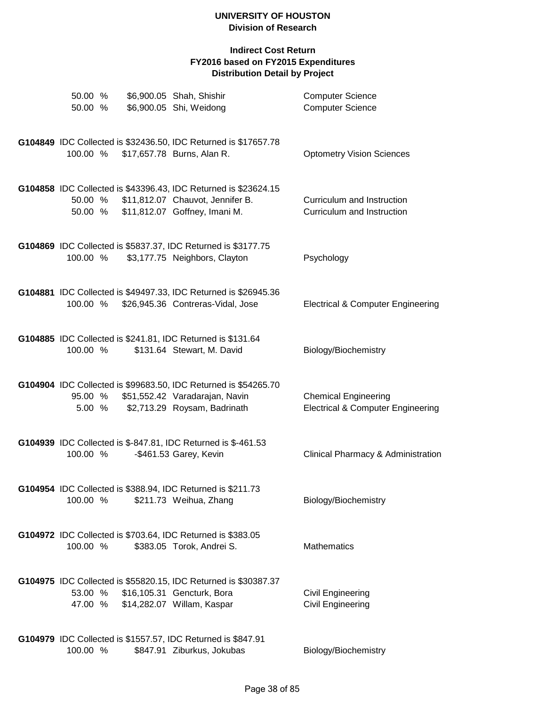| 50.00 %<br>50.00 % |  | \$6,900.05 Shah, Shishir<br>\$6,900.05 Shi, Weidong                                                                                  | <b>Computer Science</b><br><b>Computer Science</b>                          |
|--------------------|--|--------------------------------------------------------------------------------------------------------------------------------------|-----------------------------------------------------------------------------|
| 100.00 %           |  | G104849 IDC Collected is \$32436.50, IDC Returned is \$17657.78<br>\$17,657.78 Burns, Alan R.                                        | <b>Optometry Vision Sciences</b>                                            |
| 50.00 %<br>50.00 % |  | G104858 IDC Collected is \$43396.43, IDC Returned is \$23624.15<br>\$11,812.07 Chauvot, Jennifer B.<br>\$11,812.07 Goffney, Imani M. | Curriculum and Instruction<br>Curriculum and Instruction                    |
| 100.00 %           |  | G104869 IDC Collected is \$5837.37, IDC Returned is \$3177.75<br>\$3,177.75 Neighbors, Clayton                                       | Psychology                                                                  |
| 100.00 %           |  | G104881 IDC Collected is \$49497.33, IDC Returned is \$26945.36<br>\$26,945.36 Contreras-Vidal, Jose                                 | <b>Electrical &amp; Computer Engineering</b>                                |
| 100.00 %           |  | G104885 IDC Collected is \$241.81, IDC Returned is \$131.64<br>\$131.64 Stewart, M. David                                            | Biology/Biochemistry                                                        |
| 95.00 %<br>5.00 %  |  | G104904 IDC Collected is \$99683.50, IDC Returned is \$54265.70<br>\$51,552.42 Varadarajan, Navin<br>\$2,713.29 Roysam, Badrinath    | <b>Chemical Engineering</b><br><b>Electrical &amp; Computer Engineering</b> |
| 100.00 %           |  | G104939 IDC Collected is \$-847.81, IDC Returned is \$-461.53<br>-\$461.53 Garey, Kevin                                              | Clinical Pharmacy & Administration                                          |
| 100.00 %           |  | G104954 IDC Collected is \$388.94, IDC Returned is \$211.73<br>\$211.73 Weihua, Zhang                                                | Biology/Biochemistry                                                        |
| 100.00 %           |  | G104972 IDC Collected is \$703.64, IDC Returned is \$383.05<br>\$383.05 Torok, Andrei S.                                             | Mathematics                                                                 |
| 53.00 %<br>47.00 % |  | G104975 IDC Collected is \$55820.15, IDC Returned is \$30387.37<br>\$16,105.31 Gencturk, Bora<br>\$14,282.07 Willam, Kaspar          | Civil Engineering<br><b>Civil Engineering</b>                               |
| 100.00 %           |  | G104979 IDC Collected is \$1557.57, IDC Returned is \$847.91<br>\$847.91 Ziburkus, Jokubas                                           | Biology/Biochemistry                                                        |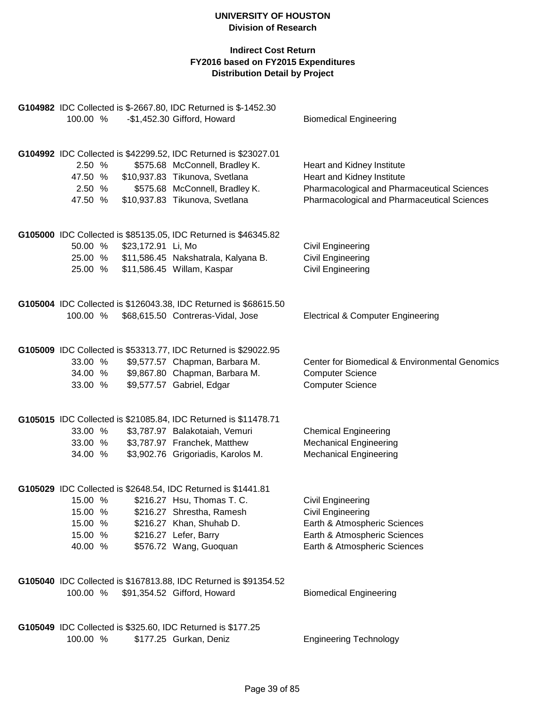| G104982 IDC Collected is \$-2667.80, IDC Returned is \$-1452.30<br>100.00 %<br>-\$1,452.30 Gifford, Howard                                                                                                                                                  | <b>Biomedical Engineering</b>                                                                                                                          |
|-------------------------------------------------------------------------------------------------------------------------------------------------------------------------------------------------------------------------------------------------------------|--------------------------------------------------------------------------------------------------------------------------------------------------------|
| G104992 IDC Collected is \$42299.52, IDC Returned is \$23027.01<br>2.50 %<br>\$575.68 McConnell, Bradley K.<br>\$10,937.83 Tikunova, Svetlana<br>47.50 %<br>2.50 %<br>\$575.68 McConnell, Bradley K.<br>\$10,937.83 Tikunova, Svetlana<br>47.50 %           | Heart and Kidney Institute<br>Heart and Kidney Institute<br>Pharmacological and Pharmaceutical Sciences<br>Pharmacological and Pharmaceutical Sciences |
| G105000 IDC Collected is \$85135.05, IDC Returned is \$46345.82<br>50.00 %<br>\$23,172.91 Li, Mo<br>25.00 %<br>\$11,586.45 Nakshatrala, Kalyana B.<br>25.00 %<br>\$11,586.45 Willam, Kaspar                                                                 | Civil Engineering<br>Civil Engineering<br>Civil Engineering                                                                                            |
| G105004 IDC Collected is \$126043.38, IDC Returned is \$68615.50<br>100.00 %<br>\$68,615.50 Contreras-Vidal, Jose                                                                                                                                           | <b>Electrical &amp; Computer Engineering</b>                                                                                                           |
| G105009 IDC Collected is \$53313.77, IDC Returned is \$29022.95<br>\$9,577.57 Chapman, Barbara M.<br>33.00 %<br>\$9,867.80 Chapman, Barbara M.<br>34.00 %<br>\$9,577.57 Gabriel, Edgar<br>33.00 %                                                           | Center for Biomedical & Environmental Genomics<br><b>Computer Science</b><br><b>Computer Science</b>                                                   |
| G105015 IDC Collected is \$21085.84, IDC Returned is \$11478.71<br>33.00 %<br>\$3,787.97 Balakotaiah, Vemuri<br>\$3,787.97 Franchek, Matthew<br>33.00 %<br>\$3,902.76 Grigoriadis, Karolos M.<br>34.00 %                                                    | <b>Chemical Engineering</b><br><b>Mechanical Engineering</b><br><b>Mechanical Engineering</b>                                                          |
| G105029 IDC Collected is \$2648.54, IDC Returned is \$1441.81<br>15.00 % \$216.27 Hsu, Thomas T. C.<br>15.00 %<br>\$216.27 Shrestha, Ramesh<br>15.00 %<br>\$216.27 Khan, Shuhab D.<br>15.00 %<br>\$216.27 Lefer, Barry<br>\$576.72 Wang, Guoquan<br>40.00 % | <b>Civil Engineering</b><br><b>Civil Engineering</b><br>Earth & Atmospheric Sciences<br>Earth & Atmospheric Sciences<br>Earth & Atmospheric Sciences   |
| G105040 IDC Collected is \$167813.88, IDC Returned is \$91354.52<br>100.00 %<br>\$91,354.52 Gifford, Howard                                                                                                                                                 | <b>Biomedical Engineering</b>                                                                                                                          |
| G105049 IDC Collected is \$325.60, IDC Returned is \$177.25<br>100.00 %<br>\$177.25 Gurkan, Deniz                                                                                                                                                           | <b>Engineering Technology</b>                                                                                                                          |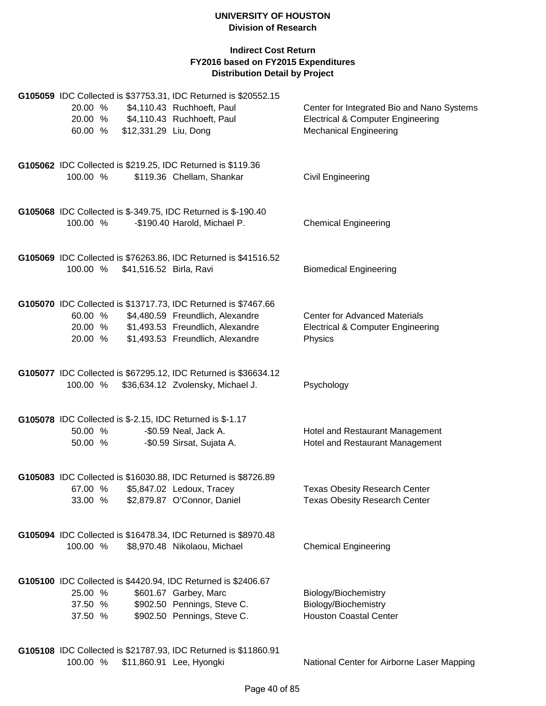|          |                                  | G105059 IDC Collected is \$37753.31, IDC Returned is \$20552.15                                    |                                              |
|----------|----------------------------------|----------------------------------------------------------------------------------------------------|----------------------------------------------|
| 20.00 %  |                                  | \$4,110.43 Ruchhoeft, Paul                                                                         | Center for Integrated Bio and Nano Systems   |
|          |                                  | 20.00 % \$4,110.43 Ruchhoeft, Paul                                                                 | <b>Electrical &amp; Computer Engineering</b> |
| 60.00 %  | \$12,331.29 Liu, Dong            |                                                                                                    | <b>Mechanical Engineering</b>                |
|          |                                  | G105062 IDC Collected is \$219.25, IDC Returned is \$119.36                                        |                                              |
| 100.00 % |                                  | \$119.36 Chellam, Shankar                                                                          | Civil Engineering                            |
|          |                                  | G105068 IDC Collected is \$-349.75, IDC Returned is \$-190.40                                      |                                              |
| 100.00 % |                                  | -\$190.40 Harold, Michael P.                                                                       | <b>Chemical Engineering</b>                  |
|          |                                  | G105069 IDC Collected is \$76263.86, IDC Returned is \$41516.52                                    |                                              |
|          | 100.00 % \$41,516.52 Birla, Ravi |                                                                                                    | <b>Biomedical Engineering</b>                |
|          |                                  |                                                                                                    |                                              |
| 60.00 %  |                                  | G105070 IDC Collected is \$13717.73, IDC Returned is \$7467.66<br>\$4,480.59 Freundlich, Alexandre | <b>Center for Advanced Materials</b>         |
| 20.00 %  |                                  | \$1,493.53 Freundlich, Alexandre                                                                   | <b>Electrical &amp; Computer Engineering</b> |
| 20.00 %  |                                  | \$1,493.53 Freundlich, Alexandre                                                                   | Physics                                      |
|          |                                  |                                                                                                    |                                              |
|          |                                  | G105077 IDC Collected is \$67295.12, IDC Returned is \$36634.12                                    |                                              |
| 100.00 % |                                  | \$36,634.12 Zvolensky, Michael J.                                                                  | Psychology                                   |
|          |                                  | G105078 IDC Collected is \$-2.15, IDC Returned is \$-1.17                                          |                                              |
| 50.00 %  |                                  | -\$0.59 Neal, Jack A.                                                                              | Hotel and Restaurant Management              |
| 50.00 %  |                                  | -\$0.59 Sirsat, Sujata A.                                                                          | Hotel and Restaurant Management              |
|          |                                  | G105083 IDC Collected is \$16030.88, IDC Returned is \$8726.89                                     |                                              |
|          |                                  | 67.00 % \$5,847.02 Ledoux, Tracey<br>33.00 % \$2,879.87 O'Connor, Daniel                           | <b>Texas Obesity Research Center</b>         |
|          |                                  |                                                                                                    | <b>Texas Obesity Research Center</b>         |
|          |                                  | G105094 IDC Collected is \$16478.34, IDC Returned is \$8970.48                                     |                                              |
| 100.00 % |                                  | \$8,970.48 Nikolaou, Michael                                                                       | <b>Chemical Engineering</b>                  |
|          |                                  | G105100 IDC Collected is \$4420.94, IDC Returned is \$2406.67                                      |                                              |
| 25.00 %  |                                  | \$601.67 Garbey, Marc                                                                              | Biology/Biochemistry                         |
| 37.50 %  |                                  | \$902.50 Pennings, Steve C.                                                                        | Biology/Biochemistry                         |
| 37.50 %  |                                  | \$902.50 Pennings, Steve C.                                                                        | <b>Houston Coastal Center</b>                |
|          |                                  | G105108 IDC Collected is \$21787.93, IDC Returned is \$11860.91                                    |                                              |
| 100.00 % |                                  | \$11,860.91 Lee, Hyongki                                                                           | National Center for Airborne Laser Mapping   |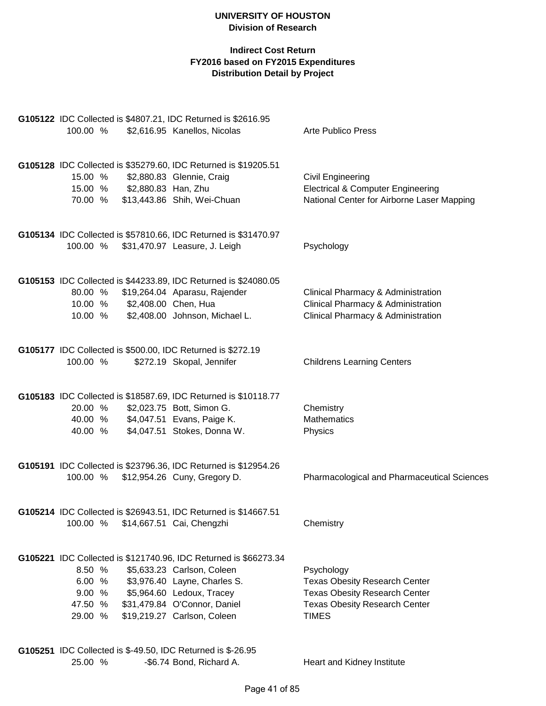|          |                              | G105122 IDC Collected is \$4807.21, IDC Returned is \$2616.95    |                                              |
|----------|------------------------------|------------------------------------------------------------------|----------------------------------------------|
| 100.00 % |                              | \$2,616.95 Kanellos, Nicolas                                     | <b>Arte Publico Press</b>                    |
|          |                              |                                                                  |                                              |
|          |                              | G105128 IDC Collected is \$35279.60, IDC Returned is \$19205.51  |                                              |
| 15.00 %  |                              | \$2,880.83 Glennie, Craig                                        | <b>Civil Engineering</b>                     |
|          | 15.00 % \$2,880.83 Han, Zhu  |                                                                  | <b>Electrical &amp; Computer Engineering</b> |
|          |                              | 70.00 % \$13,443.86 Shih, Wei-Chuan                              | National Center for Airborne Laser Mapping   |
|          |                              |                                                                  |                                              |
|          |                              |                                                                  |                                              |
| 100.00 % |                              | G105134 IDC Collected is \$57810.66, IDC Returned is \$31470.97  |                                              |
|          |                              | \$31,470.97 Leasure, J. Leigh                                    | Psychology                                   |
|          |                              |                                                                  |                                              |
|          |                              | G105153 IDC Collected is \$44233.89, IDC Returned is \$24080.05  |                                              |
|          |                              | 80.00 % \$19,264.04 Aparasu, Rajender                            | Clinical Pharmacy & Administration           |
|          | 10.00 % \$2,408.00 Chen, Hua |                                                                  | Clinical Pharmacy & Administration           |
| 10.00 %  |                              | \$2,408.00 Johnson, Michael L.                                   | Clinical Pharmacy & Administration           |
|          |                              |                                                                  |                                              |
|          |                              | G105177 IDC Collected is \$500.00, IDC Returned is \$272.19      |                                              |
| 100.00 % |                              | \$272.19 Skopal, Jennifer                                        | <b>Childrens Learning Centers</b>            |
|          |                              |                                                                  |                                              |
|          |                              | G105183 IDC Collected is \$18587.69, IDC Returned is \$10118.77  |                                              |
| 20.00 %  |                              | \$2,023.75 Bott, Simon G.                                        | Chemistry                                    |
|          |                              | 40.00 % \$4,047.51 Evans, Paige K.                               | <b>Mathematics</b>                           |
| 40.00 %  |                              | \$4,047.51 Stokes, Donna W.                                      | Physics                                      |
|          |                              |                                                                  |                                              |
|          |                              | G105191 IDC Collected is \$23796.36, IDC Returned is \$12954.26  |                                              |
| 100.00 % |                              | \$12,954.26 Cuny, Gregory D.                                     | Pharmacological and Pharmaceutical Sciences  |
|          |                              |                                                                  |                                              |
|          |                              | G105214 IDC Collected is \$26943.51, IDC Returned is \$14667.51  |                                              |
| 100.00 % |                              | \$14,667.51 Cai, Chengzhi                                        | Chemistry                                    |
|          |                              |                                                                  |                                              |
|          |                              | G105221 IDC Collected is \$121740.96, IDC Returned is \$66273.34 |                                              |
| 8.50 %   |                              | \$5,633.23 Carlson, Coleen                                       | Psychology                                   |
| 6.00 %   |                              | \$3,976.40 Layne, Charles S.                                     | <b>Texas Obesity Research Center</b>         |
| 9.00%    |                              | \$5,964.60 Ledoux, Tracey                                        | <b>Texas Obesity Research Center</b>         |
| 47.50 %  |                              | \$31,479.84 O'Connor, Daniel                                     | <b>Texas Obesity Research Center</b>         |
| 29.00 %  |                              | \$19,219.27 Carlson, Coleen                                      | <b>TIMES</b>                                 |
|          |                              |                                                                  |                                              |
|          |                              | G105251 IDC Collected is \$-49.50, IDC Returned is \$-26.95      |                                              |
| 25.00 %  |                              | -\$6.74 Bond, Richard A.                                         | Heart and Kidney Institute                   |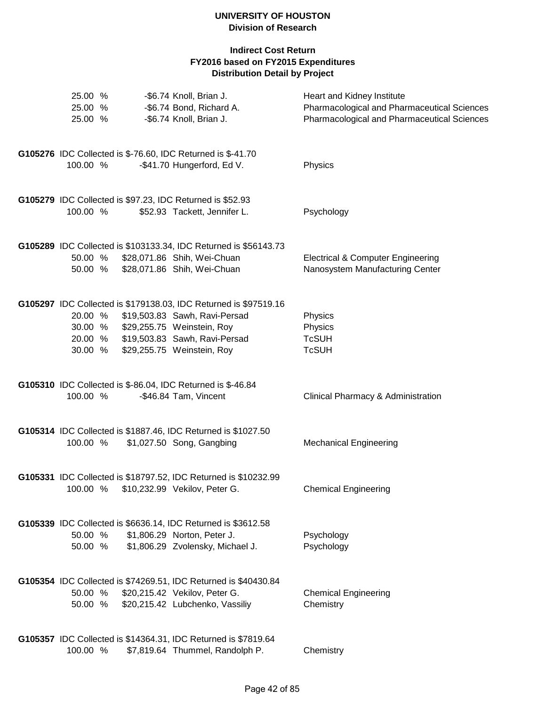| 25.00 %<br>25.00 % | -\$6.74 Knoll, Brian J.<br>-\$6.74 Bond, Richard A.                                                       | Heart and Kidney Institute<br>Pharmacological and Pharmaceutical Sciences       |
|--------------------|-----------------------------------------------------------------------------------------------------------|---------------------------------------------------------------------------------|
| 25.00 %            | -\$6.74 Knoll, Brian J.                                                                                   | Pharmacological and Pharmaceutical Sciences                                     |
| 100.00 %           | G105276 IDC Collected is \$-76.60, IDC Returned is \$-41.70<br>-\$41.70 Hungerford, Ed V.                 | Physics                                                                         |
|                    |                                                                                                           |                                                                                 |
| 100.00 %           | G105279 IDC Collected is \$97.23, IDC Returned is \$52.93<br>\$52.93 Tackett, Jennifer L.                 | Psychology                                                                      |
|                    |                                                                                                           |                                                                                 |
|                    | G105289 IDC Collected is \$103133.34, IDC Returned is \$56143.73                                          |                                                                                 |
| 50.00 %            | 50.00 % \$28,071.86 Shih, Wei-Chuan<br>\$28,071.86 Shih, Wei-Chuan                                        | <b>Electrical &amp; Computer Engineering</b><br>Nanosystem Manufacturing Center |
|                    |                                                                                                           |                                                                                 |
|                    | G105297 IDC Collected is \$179138.03, IDC Returned is \$97519.16                                          |                                                                                 |
| 20.00 %            | \$19,503.83 Sawh, Ravi-Persad<br>30.00 % \$29,255.75 Weinstein, Roy                                       | Physics<br>Physics                                                              |
|                    | 20.00 % \$19,503.83 Sawh, Ravi-Persad                                                                     | <b>TcSUH</b>                                                                    |
| 30.00 %            | \$29,255.75 Weinstein, Roy                                                                                | <b>TcSUH</b>                                                                    |
|                    | G105310 IDC Collected is \$-86.04, IDC Returned is \$-46.84                                               |                                                                                 |
| 100.00 %           | -\$46.84 Tam, Vincent                                                                                     | Clinical Pharmacy & Administration                                              |
|                    | G105314 IDC Collected is \$1887.46, IDC Returned is \$1027.50                                             |                                                                                 |
| 100.00 %           | \$1,027.50 Song, Gangbing                                                                                 | <b>Mechanical Engineering</b>                                                   |
|                    |                                                                                                           |                                                                                 |
|                    | G105331 IDC Collected is \$18797.52, IDC Returned is \$10232.99<br>100.00 % \$10,232.99 Vekilov, Peter G. | <b>Chemical Engineering</b>                                                     |
|                    |                                                                                                           |                                                                                 |
|                    | G105339 IDC Collected is \$6636.14, IDC Returned is \$3612.58                                             |                                                                                 |
| 50.00 %<br>50.00 % | \$1,806.29 Norton, Peter J.<br>\$1,806.29 Zvolensky, Michael J.                                           | Psychology<br>Psychology                                                        |
|                    |                                                                                                           |                                                                                 |
|                    | G105354 IDC Collected is \$74269.51, IDC Returned is \$40430.84                                           |                                                                                 |
| 50.00 %<br>50.00 % | \$20,215.42 Vekilov, Peter G.<br>\$20,215.42 Lubchenko, Vassiliy                                          | <b>Chemical Engineering</b><br>Chemistry                                        |
|                    |                                                                                                           |                                                                                 |
|                    | G105357 IDC Collected is \$14364.31, IDC Returned is \$7819.64                                            |                                                                                 |
| 100.00 %           | \$7,819.64 Thummel, Randolph P.                                                                           | Chemistry                                                                       |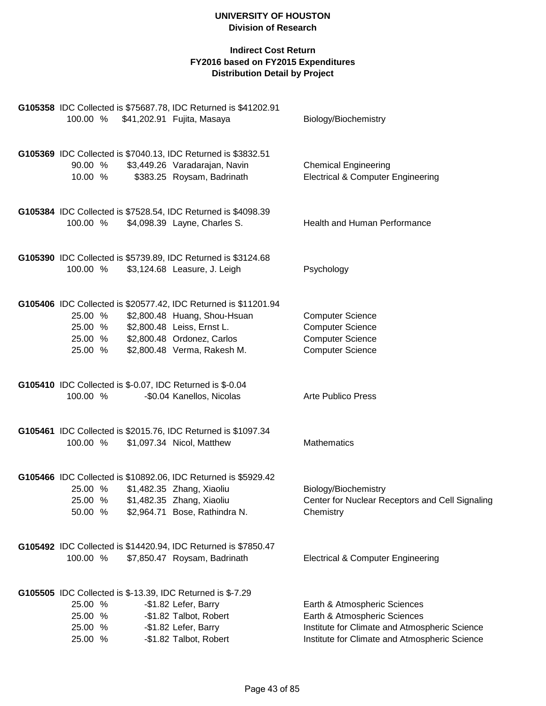|                                          | 100.00 % \$41,202.91 Fujita, Masaya | G105358 IDC Collected is \$75687.78, IDC Returned is \$41202.91                                                                                                      | Biology/Biochemistry                                                                                                                                           |
|------------------------------------------|-------------------------------------|----------------------------------------------------------------------------------------------------------------------------------------------------------------------|----------------------------------------------------------------------------------------------------------------------------------------------------------------|
| 90.00 %<br>10.00 %                       |                                     | G105369 IDC Collected is \$7040.13, IDC Returned is \$3832.51<br>\$3,449.26 Varadarajan, Navin<br>\$383.25 Roysam, Badrinath                                         | <b>Chemical Engineering</b><br><b>Electrical &amp; Computer Engineering</b>                                                                                    |
| 100.00 %                                 |                                     | G105384 IDC Collected is \$7528.54, IDC Returned is \$4098.39<br>\$4,098.39 Layne, Charles S.                                                                        | Health and Human Performance                                                                                                                                   |
| 100.00 %                                 |                                     | G105390 IDC Collected is \$5739.89, IDC Returned is \$3124.68<br>\$3,124.68 Leasure, J. Leigh                                                                        | Psychology                                                                                                                                                     |
| 25.00 %<br>25.00 %                       | 25.00 % \$2,800.48 Leiss, Ernst L.  | G105406 IDC Collected is \$20577.42, IDC Returned is \$11201.94<br>\$2,800.48 Huang, Shou-Hsuan<br>25.00 % \$2,800.48 Ordonez, Carlos<br>\$2,800.48 Verma, Rakesh M. | <b>Computer Science</b><br><b>Computer Science</b><br><b>Computer Science</b><br><b>Computer Science</b>                                                       |
| 100.00 %                                 |                                     | G105410 IDC Collected is \$-0.07, IDC Returned is \$-0.04<br>-\$0.04 Kanellos, Nicolas                                                                               | <b>Arte Publico Press</b>                                                                                                                                      |
| 100.00 %                                 |                                     | G105461 IDC Collected is \$2015.76, IDC Returned is \$1097.34<br>\$1,097.34 Nicol, Matthew                                                                           | Mathematics                                                                                                                                                    |
| 25.00 %<br>25.00 %<br>50.00 %            |                                     | G105466 IDC Collected is \$10892.06, IDC Returned is \$5929.42<br>\$1,482.35 Zhang, Xiaoliu<br>\$1,482.35 Zhang, Xiaoliu<br>\$2,964.71 Bose, Rathindra N.            | Biology/Biochemistry<br>Center for Nuclear Receptors and Cell Signaling<br>Chemistry                                                                           |
| 100.00 %                                 |                                     | G105492 IDC Collected is \$14420.94, IDC Returned is \$7850.47<br>\$7,850.47 Roysam, Badrinath                                                                       | <b>Electrical &amp; Computer Engineering</b>                                                                                                                   |
| 25.00 %<br>25.00 %<br>25.00 %<br>25.00 % |                                     | G105505 IDC Collected is \$-13.39, IDC Returned is \$-7.29<br>-\$1.82 Lefer, Barry<br>-\$1.82 Talbot, Robert<br>-\$1.82 Lefer, Barry<br>-\$1.82 Talbot, Robert       | Earth & Atmospheric Sciences<br>Earth & Atmospheric Sciences<br>Institute for Climate and Atmospheric Science<br>Institute for Climate and Atmospheric Science |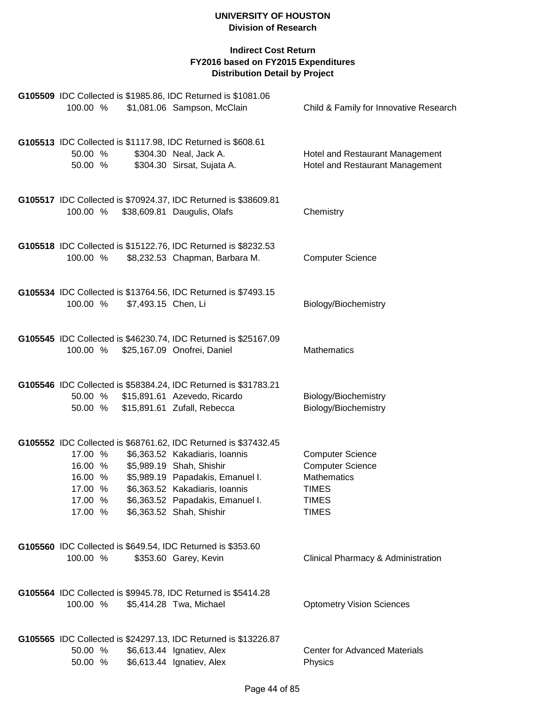| 100.00 %                                 |                    |                     | G105509 IDC Collected is \$1985.86, IDC Returned is \$1081.06<br>\$1,081.06 Sampson, McClain                                                                                                                                                                        | Child & Family for Innovative Research                                                                                   |
|------------------------------------------|--------------------|---------------------|---------------------------------------------------------------------------------------------------------------------------------------------------------------------------------------------------------------------------------------------------------------------|--------------------------------------------------------------------------------------------------------------------------|
| 50.00 %                                  | 50.00 %            |                     | G105513 IDC Collected is \$1117.98, IDC Returned is \$608.61<br>\$304.30 Neal, Jack A.<br>\$304.30 Sirsat, Sujata A.                                                                                                                                                | Hotel and Restaurant Management<br>Hotel and Restaurant Management                                                       |
| 100.00 %                                 |                    |                     | G105517 IDC Collected is \$70924.37, IDC Returned is \$38609.81<br>\$38,609.81 Daugulis, Olafs                                                                                                                                                                      | Chemistry                                                                                                                |
| 100.00 %                                 |                    |                     | G105518 IDC Collected is \$15122.76, IDC Returned is \$8232.53<br>\$8,232.53 Chapman, Barbara M.                                                                                                                                                                    | <b>Computer Science</b>                                                                                                  |
| 100.00 %                                 |                    | \$7,493.15 Chen, Li | G105534 IDC Collected is \$13764.56, IDC Returned is \$7493.15                                                                                                                                                                                                      | Biology/Biochemistry                                                                                                     |
| 100.00 %                                 |                    |                     | G105545 IDC Collected is \$46230.74, IDC Returned is \$25167.09<br>\$25,167.09 Onofrei, Daniel                                                                                                                                                                      | <b>Mathematics</b>                                                                                                       |
| 50.00 %<br>50.00 %                       |                    |                     | G105546 IDC Collected is \$58384.24, IDC Returned is \$31783.21<br>\$15,891.61 Azevedo, Ricardo<br>\$15,891.61 Zufall, Rebecca                                                                                                                                      | Biology/Biochemistry<br>Biology/Biochemistry                                                                             |
| 16.00 %<br>17.00 %<br>17.00 %<br>17.00 % | 17.00 %<br>16.00 % |                     | G105552 IDC Collected is \$68761.62, IDC Returned is \$37432.45<br>\$6,363.52 Kakadiaris, Ioannis<br>\$5,989.19 Shah, Shishir<br>\$5,989.19 Papadakis, Emanuel I.<br>\$6,363.52 Kakadiaris, Ioannis<br>\$6,363.52 Papadakis, Emanuel I.<br>\$6,363.52 Shah, Shishir | <b>Computer Science</b><br><b>Computer Science</b><br><b>Mathematics</b><br><b>TIMES</b><br><b>TIMES</b><br><b>TIMES</b> |
| 100.00 %                                 |                    |                     | G105560 IDC Collected is \$649.54, IDC Returned is \$353.60<br>\$353.60 Garey, Kevin                                                                                                                                                                                | Clinical Pharmacy & Administration                                                                                       |
| 100.00 %                                 |                    |                     | G105564 IDC Collected is \$9945.78, IDC Returned is \$5414.28<br>\$5,414.28 Twa, Michael                                                                                                                                                                            | <b>Optometry Vision Sciences</b>                                                                                         |
| 50.00 %<br>50.00 %                       |                    |                     | G105565 IDC Collected is \$24297.13, IDC Returned is \$13226.87<br>\$6,613.44 Ignatiev, Alex<br>\$6,613.44 Ignatiev, Alex                                                                                                                                           | <b>Center for Advanced Materials</b><br>Physics                                                                          |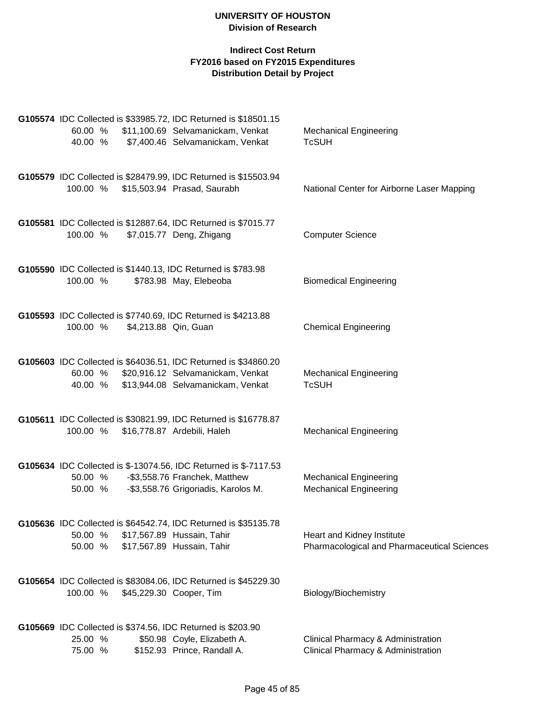| 60.00 %<br>40.00 % |                      | G105574 IDC Collected is \$33985.72, IDC Returned is \$18501.15<br>\$11,100.69 Selvamanickam, Venkat<br>\$7,400.46 Selvamanickam, Venkat          | <b>Mechanical Engineering</b><br><b>TcSUH</b>                             |
|--------------------|----------------------|---------------------------------------------------------------------------------------------------------------------------------------------------|---------------------------------------------------------------------------|
| 100.00 %           |                      | G105579 IDC Collected is \$28479.99, IDC Returned is \$15503.94<br>\$15,503.94 Prasad, Saurabh                                                    | National Center for Airborne Laser Mapping                                |
| 100.00 %           |                      | G105581 IDC Collected is \$12887.64, IDC Returned is \$7015.77<br>\$7,015.77 Deng, Zhigang                                                        | <b>Computer Science</b>                                                   |
| 100.00 %           |                      | G105590 IDC Collected is \$1440.13, IDC Returned is \$783.98<br>\$783.98 May, Elebeoba                                                            | <b>Biomedical Engineering</b>                                             |
| 100.00 %           | \$4,213.88 Qin, Guan | G105593 IDC Collected is \$7740.69, IDC Returned is \$4213.88                                                                                     | <b>Chemical Engineering</b>                                               |
| 40.00 %            |                      | G105603 IDC Collected is \$64036.51, IDC Returned is \$34860.20<br>60.00 % \$20,916.12 Selvamanickam, Venkat<br>\$13,944.08 Selvamanickam, Venkat | <b>Mechanical Engineering</b><br><b>TcSUH</b>                             |
| 100.00 %           |                      | G105611 IDC Collected is \$30821.99, IDC Returned is \$16778.87<br>\$16,778.87 Ardebili, Haleh                                                    | <b>Mechanical Engineering</b>                                             |
| 50.00 %<br>50.00 % |                      | G105634 IDC Collected is \$-13074.56, IDC Returned is \$-7117.53<br>-\$3,558.76 Franchek, Matthew<br>-\$3,558.76 Grigoriadis, Karolos M.          | <b>Mechanical Engineering</b><br><b>Mechanical Engineering</b>            |
| 50.00 %<br>50.00 % |                      | G105636 IDC Collected is \$64542.74, IDC Returned is \$35135.78<br>\$17,567.89 Hussain, Tahir<br>\$17,567.89 Hussain, Tahir                       | Heart and Kidney Institute<br>Pharmacological and Pharmaceutical Sciences |
| 100.00 %           |                      | G105654 IDC Collected is \$83084.06, IDC Returned is \$45229.30<br>\$45,229.30 Cooper, Tim                                                        | Biology/Biochemistry                                                      |
| 25.00 %<br>75.00 % |                      | G105669 IDC Collected is \$374.56, IDC Returned is \$203.90<br>\$50.98 Coyle, Elizabeth A.<br>\$152.93 Prince, Randall A.                         | Clinical Pharmacy & Administration<br>Clinical Pharmacy & Administration  |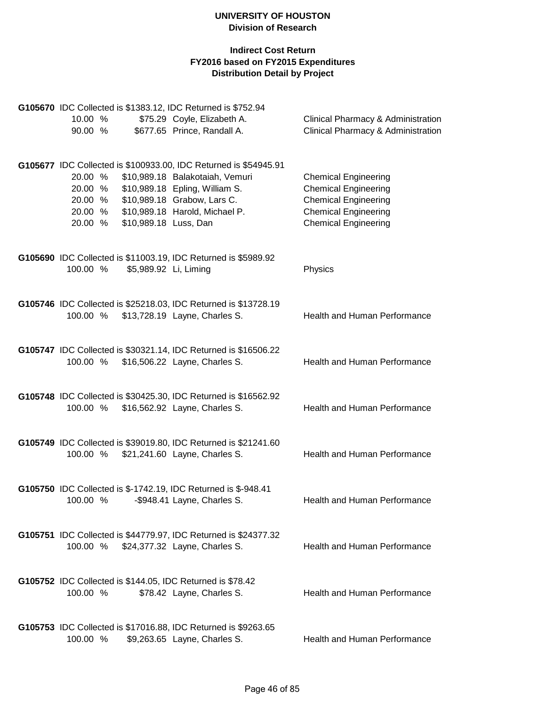|                    |                       | G105670 IDC Collected is \$1383.12, IDC Returned is \$752.94     |                                                                                                |
|--------------------|-----------------------|------------------------------------------------------------------|------------------------------------------------------------------------------------------------|
| 10.00 %<br>90.00 % |                       | \$75.29 Coyle, Elizabeth A.<br>\$677.65 Prince, Randall A.       | <b>Clinical Pharmacy &amp; Administration</b><br><b>Clinical Pharmacy &amp; Administration</b> |
|                    |                       |                                                                  |                                                                                                |
|                    |                       | G105677 IDC Collected is \$100933.00, IDC Returned is \$54945.91 |                                                                                                |
| 20.00 %            |                       | \$10,989.18 Balakotaiah, Vemuri                                  | <b>Chemical Engineering</b>                                                                    |
| 20.00 %            |                       | \$10,989.18 Epling, William S.                                   | <b>Chemical Engineering</b>                                                                    |
| 20.00 %            |                       | \$10,989.18 Grabow, Lars C.                                      | <b>Chemical Engineering</b>                                                                    |
| 20.00 %            |                       | \$10,989.18 Harold, Michael P.                                   | <b>Chemical Engineering</b>                                                                    |
| 20.00 %            | \$10,989.18 Luss, Dan |                                                                  | <b>Chemical Engineering</b>                                                                    |
|                    |                       | G105690 IDC Collected is \$11003.19, IDC Returned is \$5989.92   |                                                                                                |
| 100.00 %           | \$5,989.92 Li, Liming |                                                                  | Physics                                                                                        |
|                    |                       |                                                                  |                                                                                                |
|                    |                       | G105746 IDC Collected is \$25218.03, IDC Returned is \$13728.19  |                                                                                                |
| 100.00 %           |                       | \$13,728.19 Layne, Charles S.                                    | Health and Human Performance                                                                   |
|                    |                       | G105747 IDC Collected is \$30321.14, IDC Returned is \$16506.22  |                                                                                                |
| 100.00 %           |                       | \$16,506.22 Layne, Charles S.                                    | Health and Human Performance                                                                   |
|                    |                       |                                                                  |                                                                                                |
|                    |                       | G105748 IDC Collected is \$30425.30, IDC Returned is \$16562.92  |                                                                                                |
| 100.00 %           |                       | \$16,562.92 Layne, Charles S.                                    | Health and Human Performance                                                                   |
|                    |                       |                                                                  |                                                                                                |
|                    |                       | G105749 IDC Collected is \$39019.80, IDC Returned is \$21241.60  |                                                                                                |
| 100.00 %           |                       | \$21,241.60 Layne, Charles S.                                    | Health and Human Performance                                                                   |
|                    |                       | G105750 IDC Collected is \$-1742.19, IDC Returned is \$-948.41   |                                                                                                |
| 100.00 %           |                       | -\$948.41 Layne, Charles S.                                      | Health and Human Performance                                                                   |
|                    |                       |                                                                  |                                                                                                |
|                    |                       | G105751 IDC Collected is \$44779.97, IDC Returned is \$24377.32  |                                                                                                |
|                    |                       | 100.00 % \$24,377.32 Layne, Charles S.                           | <b>Health and Human Performance</b>                                                            |
|                    |                       | G105752 IDC Collected is \$144.05, IDC Returned is \$78.42       |                                                                                                |
| 100.00 %           |                       | \$78.42 Layne, Charles S.                                        | <b>Health and Human Performance</b>                                                            |
|                    |                       |                                                                  |                                                                                                |
|                    |                       | G105753 IDC Collected is \$17016.88, IDC Returned is \$9263.65   |                                                                                                |
| 100.00 %           |                       | \$9,263.65 Layne, Charles S.                                     | Health and Human Performance                                                                   |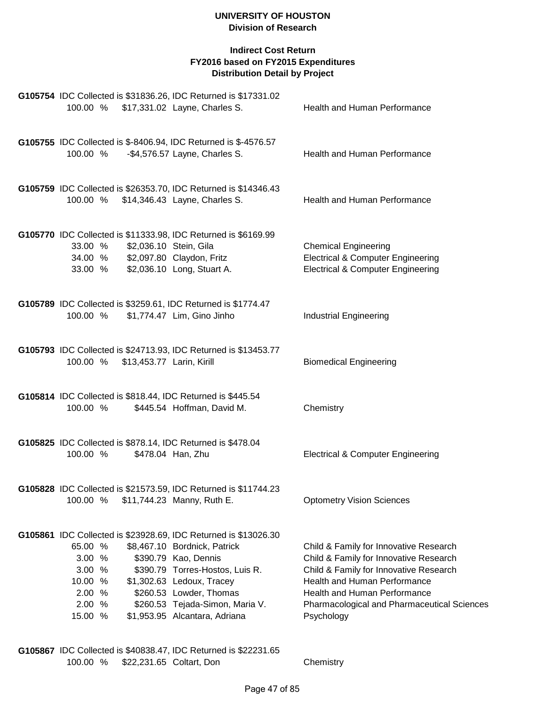# **Indirect Cost Return FY2016 based on FY2015 Expenditures Distribution Detail by Project**

| 100.00 %                                                              |                               |                           | G105754 IDC Collected is \$31836.26, IDC Returned is \$17331.02<br>\$17,331.02 Layne, Charles S.                                                                                                                                                                                       | Health and Human Performance                                                                                                                                                                                                                            |
|-----------------------------------------------------------------------|-------------------------------|---------------------------|----------------------------------------------------------------------------------------------------------------------------------------------------------------------------------------------------------------------------------------------------------------------------------------|---------------------------------------------------------------------------------------------------------------------------------------------------------------------------------------------------------------------------------------------------------|
| 100.00 %                                                              |                               |                           | G105755 IDC Collected is \$-8406.94, IDC Returned is \$-4576.57<br>-\$4,576.57 Layne, Charles S.                                                                                                                                                                                       | <b>Health and Human Performance</b>                                                                                                                                                                                                                     |
| 100.00 %                                                              |                               |                           | G105759 IDC Collected is \$26353.70, IDC Returned is \$14346.43<br>\$14,346.43 Layne, Charles S.                                                                                                                                                                                       | Health and Human Performance                                                                                                                                                                                                                            |
|                                                                       | 33.00 %<br>34.00 %<br>33.00 % | \$2,036.10 Stein, Gila    | G105770 IDC Collected is \$11333.98, IDC Returned is \$6169.99<br>\$2,097.80 Claydon, Fritz<br>\$2,036.10 Long, Stuart A.                                                                                                                                                              | <b>Chemical Engineering</b><br><b>Electrical &amp; Computer Engineering</b><br><b>Electrical &amp; Computer Engineering</b>                                                                                                                             |
| 100.00 %                                                              |                               |                           | G105789 IDC Collected is \$3259.61, IDC Returned is \$1774.47<br>\$1,774.47 Lim, Gino Jinho                                                                                                                                                                                            | <b>Industrial Engineering</b>                                                                                                                                                                                                                           |
| 100.00 %                                                              |                               | \$13,453.77 Larin, Kirill | G105793 IDC Collected is \$24713.93, IDC Returned is \$13453.77                                                                                                                                                                                                                        | <b>Biomedical Engineering</b>                                                                                                                                                                                                                           |
| 100.00 %                                                              |                               |                           | G105814 IDC Collected is \$818.44, IDC Returned is \$445.54<br>\$445.54 Hoffman, David M.                                                                                                                                                                                              | Chemistry                                                                                                                                                                                                                                               |
| 100.00 %                                                              |                               |                           | G105825 IDC Collected is \$878.14, IDC Returned is \$478.04<br>\$478.04 Han, Zhu                                                                                                                                                                                                       | <b>Electrical &amp; Computer Engineering</b>                                                                                                                                                                                                            |
|                                                                       |                               |                           | G105828 IDC Collected is \$21573.59, IDC Returned is \$11744.23<br>100.00 % \$11,744.23 Manny, Ruth E.                                                                                                                                                                                 | <b>Optometry Vision Sciences</b>                                                                                                                                                                                                                        |
| 65.00 %<br>3.00 %<br>3.00 %<br>10.00 %<br>2.00 %<br>2.00 %<br>15.00 % |                               |                           | G105861 IDC Collected is \$23928.69, IDC Returned is \$13026.30<br>\$8,467.10 Bordnick, Patrick<br>\$390.79 Kao, Dennis<br>\$390.79 Torres-Hostos, Luis R.<br>\$1,302.63 Ledoux, Tracey<br>\$260.53 Lowder, Thomas<br>\$260.53 Tejada-Simon, Maria V.<br>\$1,953.95 Alcantara, Adriana | Child & Family for Innovative Research<br>Child & Family for Innovative Research<br>Child & Family for Innovative Research<br>Health and Human Performance<br>Health and Human Performance<br>Pharmacological and Pharmaceutical Sciences<br>Psychology |
|                                                                       |                               |                           |                                                                                                                                                                                                                                                                                        |                                                                                                                                                                                                                                                         |

**G105867** IDC Collected is \$40838.47, IDC Returned is \$22231.65 \$22,231.65 Coltart, Don Chemistry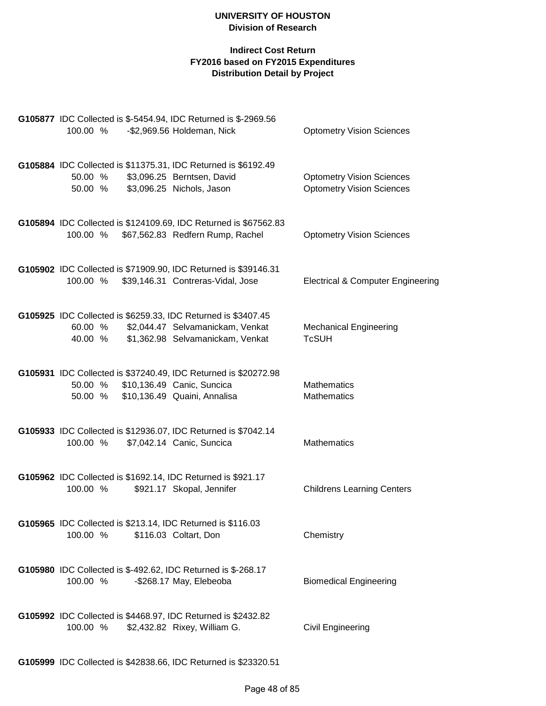| <b>G105877</b> IDC Collected is \$-5454.94, IDC Returned is \$-2969.56<br>100.00 %                            | -\$2,969.56 Holdeman, Nick                                                                      | <b>Optometry Vision Sciences</b>                                     |
|---------------------------------------------------------------------------------------------------------------|-------------------------------------------------------------------------------------------------|----------------------------------------------------------------------|
| G105884 IDC Collected is \$11375.31, IDC Returned is \$6192.49<br>50.00 %<br>50.00 %                          | \$3,096.25 Berntsen, David<br>\$3,096.25 Nichols, Jason                                         | <b>Optometry Vision Sciences</b><br><b>Optometry Vision Sciences</b> |
| 100.00 % \$67,562.83 Redfern Rump, Rachel                                                                     | G105894 IDC Collected is \$124109.69, IDC Returned is \$67562.83                                | <b>Optometry Vision Sciences</b>                                     |
| G105902 IDC Collected is \$71909.90, IDC Returned is \$39146.31<br>100.00 % \$39,146.31 Contreras-Vidal, Jose |                                                                                                 | <b>Electrical &amp; Computer Engineering</b>                         |
| G105925 IDC Collected is \$6259.33, IDC Returned is \$3407.45<br>60.00 %<br>40.00 %                           | \$2,044.47 Selvamanickam, Venkat<br>\$1,362.98 Selvamanickam, Venkat                            | <b>Mechanical Engineering</b><br><b>TcSUH</b>                        |
| 50.00 % \$10,136.49 Canic, Suncica<br>50.00 %                                                                 | G105931 IDC Collected is \$37240.49, IDC Returned is \$20272.98<br>\$10,136.49 Quaini, Annalisa | <b>Mathematics</b><br><b>Mathematics</b>                             |
| G105933 IDC Collected is \$12936.07, IDC Returned is \$7042.14<br>100.00 %                                    | \$7,042.14 Canic, Suncica                                                                       | <b>Mathematics</b>                                                   |
| G105962 IDC Collected is \$1692.14, IDC Returned is \$921.17<br>100.00 %                                      | \$921.17 Skopal, Jennifer                                                                       | <b>Childrens Learning Centers</b>                                    |
| G105965 IDC Collected is \$213.14, IDC Returned is \$116.03<br>100.00 %                                       | \$116.03 Coltart, Don                                                                           | Chemistry                                                            |
| G105980 IDC Collected is \$-492.62, IDC Returned is \$-268.17<br>100.00 %                                     | -\$268.17 May, Elebeoba                                                                         | <b>Biomedical Engineering</b>                                        |
| G105992 IDC Collected is \$4468.97, IDC Returned is \$2432.82<br>100.00 %                                     | \$2,432.82 Rixey, William G.                                                                    | <b>Civil Engineering</b>                                             |
|                                                                                                               |                                                                                                 |                                                                      |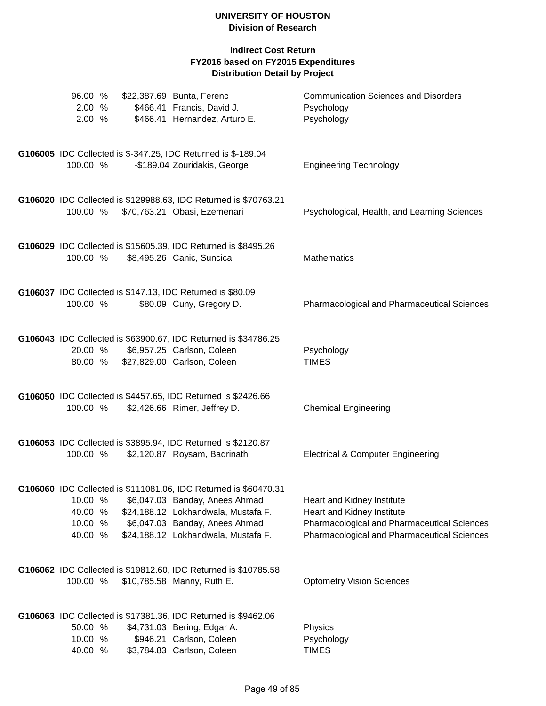| 96.00 %<br>2.00 %<br>2.00 %              | \$22,387.69 Bunta, Ferenc<br>\$466.41 Francis, David J.<br>\$466.41 Hernandez, Arturo E.                                                                                                                           | <b>Communication Sciences and Disorders</b><br>Psychology<br>Psychology                                                                                              |
|------------------------------------------|--------------------------------------------------------------------------------------------------------------------------------------------------------------------------------------------------------------------|----------------------------------------------------------------------------------------------------------------------------------------------------------------------|
| 100.00 %                                 | G106005 IDC Collected is \$-347.25, IDC Returned is \$-189.04<br>-\$189.04 Zouridakis, George                                                                                                                      | <b>Engineering Technology</b>                                                                                                                                        |
| 100.00 %                                 | G106020 IDC Collected is \$129988.63, IDC Returned is \$70763.21<br>\$70,763.21 Obasi, Ezemenari                                                                                                                   | Psychological, Health, and Learning Sciences                                                                                                                         |
| 100.00 %                                 | G106029 IDC Collected is \$15605.39, IDC Returned is \$8495.26<br>\$8,495.26 Canic, Suncica                                                                                                                        | <b>Mathematics</b>                                                                                                                                                   |
| 100.00 %                                 | G106037 IDC Collected is \$147.13, IDC Returned is \$80.09<br>\$80.09 Cuny, Gregory D.                                                                                                                             | Pharmacological and Pharmaceutical Sciences                                                                                                                          |
|                                          | G106043 IDC Collected is \$63900.67, IDC Returned is \$34786.25<br>20.00 % \$6,957.25 Carlson, Coleen<br>80.00 % \$27,829.00 Carlson, Coleen                                                                       | Psychology<br><b>TIMES</b>                                                                                                                                           |
| 100.00 %                                 | G106050 IDC Collected is \$4457.65, IDC Returned is \$2426.66<br>\$2,426.66 Rimer, Jeffrey D.                                                                                                                      | <b>Chemical Engineering</b>                                                                                                                                          |
| 100.00 %                                 | G106053 IDC Collected is \$3895.94, IDC Returned is \$2120.87<br>\$2,120.87 Roysam, Badrinath                                                                                                                      | <b>Electrical &amp; Computer Engineering</b>                                                                                                                         |
| 10.00 %<br>40.00 %<br>10.00 %<br>40.00 % | G106060 IDC Collected is \$111081.06, IDC Returned is \$60470.31<br>\$6,047.03 Banday, Anees Ahmad<br>\$24,188.12 Lokhandwala, Mustafa F.<br>\$6,047.03 Banday, Anees Ahmad<br>\$24,188.12 Lokhandwala, Mustafa F. | Heart and Kidney Institute<br>Heart and Kidney Institute<br><b>Pharmacological and Pharmaceutical Sciences</b><br><b>Pharmacological and Pharmaceutical Sciences</b> |
| 100.00 %                                 | G106062 IDC Collected is \$19812.60, IDC Returned is \$10785.58<br>\$10,785.58 Manny, Ruth E.                                                                                                                      | <b>Optometry Vision Sciences</b>                                                                                                                                     |
| 50.00 %<br>10.00 %<br>40.00 %            | G106063 IDC Collected is \$17381.36, IDC Returned is \$9462.06<br>\$4,731.03 Bering, Edgar A.<br>\$946.21 Carlson, Coleen<br>\$3,784.83 Carlson, Coleen                                                            | Physics<br>Psychology<br><b>TIMES</b>                                                                                                                                |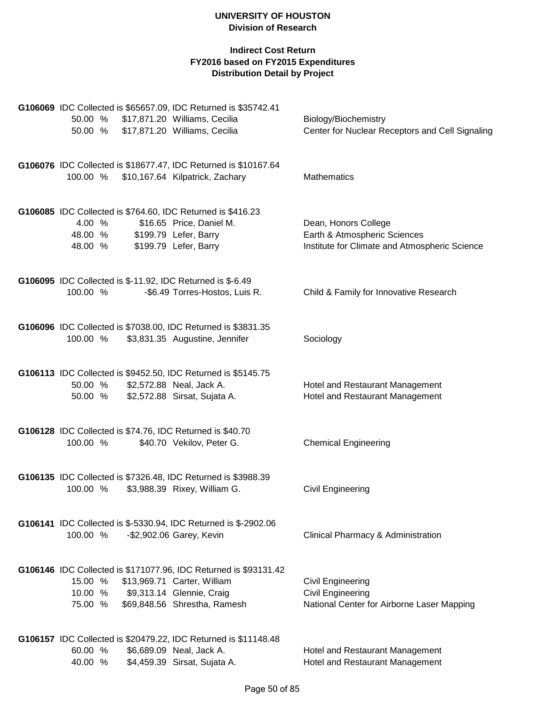|          |  | G106069 IDC Collected is \$65657.09, IDC Returned is \$35742.41                             |                                                                         |
|----------|--|---------------------------------------------------------------------------------------------|-------------------------------------------------------------------------|
| 50.00 %  |  | \$17,871.20 Williams, Cecilia<br>50.00 % \$17,871.20 Williams, Cecilia                      | Biology/Biochemistry<br>Center for Nuclear Receptors and Cell Signaling |
|          |  |                                                                                             |                                                                         |
|          |  | G106076 IDC Collected is \$18677.47, IDC Returned is \$10167.64                             |                                                                         |
|          |  | 100.00 % \$10,167.64 Kilpatrick, Zachary                                                    | <b>Mathematics</b>                                                      |
|          |  | G106085 IDC Collected is \$764.60, IDC Returned is \$416.23                                 |                                                                         |
| 4.00 %   |  | \$16.65 Price, Daniel M.                                                                    | Dean, Honors College                                                    |
| 48.00 %  |  | \$199.79 Lefer, Barry                                                                       | Earth & Atmospheric Sciences                                            |
| 48.00 %  |  | \$199.79 Lefer, Barry                                                                       | Institute for Climate and Atmospheric Science                           |
|          |  | G106095 IDC Collected is \$-11.92, IDC Returned is \$-6.49                                  |                                                                         |
| 100.00 % |  | -\$6.49 Torres-Hostos, Luis R.                                                              | Child & Family for Innovative Research                                  |
|          |  | G106096 IDC Collected is \$7038.00, IDC Returned is \$3831.35                               |                                                                         |
| 100.00 % |  | \$3,831.35 Augustine, Jennifer                                                              | Sociology                                                               |
|          |  |                                                                                             |                                                                         |
|          |  | G106113 IDC Collected is \$9452.50, IDC Returned is \$5145.75                               |                                                                         |
| 50.00 %  |  | \$2,572.88 Neal, Jack A.                                                                    | Hotel and Restaurant Management                                         |
| 50.00 %  |  | \$2,572.88 Sirsat, Sujata A.                                                                | Hotel and Restaurant Management                                         |
|          |  | G106128 IDC Collected is \$74.76, IDC Returned is \$40.70                                   |                                                                         |
| 100.00 % |  | \$40.70 Vekilov, Peter G.                                                                   | <b>Chemical Engineering</b>                                             |
|          |  | G106135 IDC Collected is \$7326.48, IDC Returned is \$3988.39                               |                                                                         |
| 100.00 % |  | \$3,988.39 Rixey, William G.                                                                | Civil Engineering                                                       |
|          |  |                                                                                             |                                                                         |
| 100.00 % |  | G106141 IDC Collected is \$-5330.94, IDC Returned is \$-2902.06<br>-\$2,902.06 Garey, Kevin | Clinical Pharmacy & Administration                                      |
|          |  |                                                                                             |                                                                         |
|          |  | G106146 IDC Collected is \$171077.96, IDC Returned is \$93131.42                            |                                                                         |
| 15.00 %  |  | \$13,969.71 Carter, William                                                                 | <b>Civil Engineering</b>                                                |
| 10.00 %  |  | \$9,313.14 Glennie, Craig                                                                   | Civil Engineering                                                       |
| 75.00 %  |  | \$69,848.56 Shrestha, Ramesh                                                                | National Center for Airborne Laser Mapping                              |
|          |  | G106157 IDC Collected is \$20479.22, IDC Returned is \$11148.48                             |                                                                         |
| 60.00 %  |  | \$6,689.09 Neal, Jack A.                                                                    | Hotel and Restaurant Management                                         |
| 40.00 %  |  | \$4,459.39 Sirsat, Sujata A.                                                                | Hotel and Restaurant Management                                         |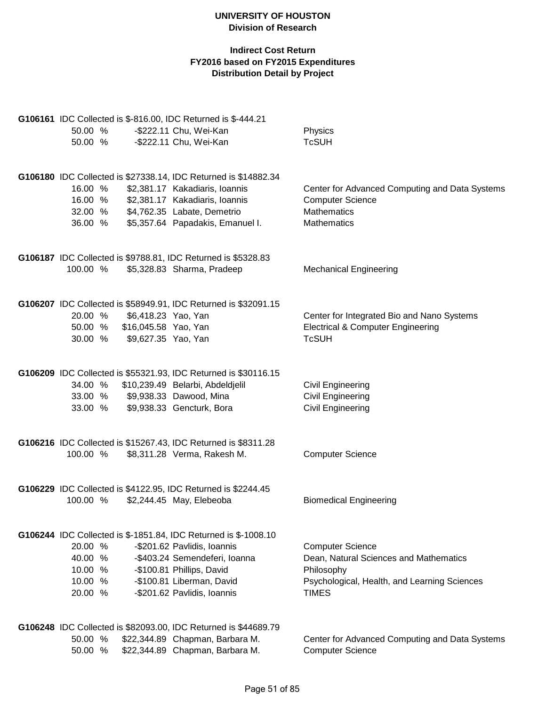|          |                              | G106161 IDC Collected is \$-816.00, IDC Returned is \$-444.21   |                                                |
|----------|------------------------------|-----------------------------------------------------------------|------------------------------------------------|
| 50.00 %  |                              | -\$222.11 Chu, Wei-Kan                                          | Physics                                        |
| 50.00 %  |                              | -\$222.11 Chu, Wei-Kan                                          | <b>TcSUH</b>                                   |
|          |                              |                                                                 |                                                |
|          |                              | G106180 IDC Collected is \$27338.14, IDC Returned is \$14882.34 |                                                |
| 16.00 %  |                              | \$2,381.17 Kakadiaris, Ioannis                                  | Center for Advanced Computing and Data Systems |
| 16.00 %  |                              | \$2,381.17 Kakadiaris, Ioannis                                  | <b>Computer Science</b>                        |
| 32.00 %  |                              | \$4,762.35 Labate, Demetrio                                     | <b>Mathematics</b>                             |
| 36.00 %  |                              | \$5,357.64 Papadakis, Emanuel I.                                | <b>Mathematics</b>                             |
|          |                              | G106187 IDC Collected is \$9788.81, IDC Returned is \$5328.83   |                                                |
| 100.00 % |                              | \$5,328.83 Sharma, Pradeep                                      | <b>Mechanical Engineering</b>                  |
|          |                              | G106207 IDC Collected is \$58949.91, IDC Returned is \$32091.15 |                                                |
| 20.00 %  | \$6,418.23 Yao, Yan          |                                                                 | Center for Integrated Bio and Nano Systems     |
|          | 50.00 % \$16,045.58 Yao, Yan |                                                                 | <b>Electrical &amp; Computer Engineering</b>   |
| 30.00 %  | \$9,627.35 Yao, Yan          |                                                                 | <b>TcSUH</b>                                   |
|          |                              |                                                                 |                                                |
|          |                              | G106209 IDC Collected is \$55321.93, IDC Returned is \$30116.15 |                                                |
|          |                              | 34.00 % \$10,239.49 Belarbi, Abdeldjelil                        | Civil Engineering                              |
|          |                              | 33.00 % \$9,938.33 Dawood, Mina                                 | Civil Engineering                              |
| 33.00 %  |                              | \$9,938.33 Gencturk, Bora                                       | Civil Engineering                              |
|          |                              | G106216 IDC Collected is \$15267.43, IDC Returned is \$8311.28  |                                                |
| 100.00 % |                              | \$8,311.28 Verma, Rakesh M.                                     | <b>Computer Science</b>                        |
|          |                              |                                                                 |                                                |
|          |                              | G106229 IDC Collected is \$4122.95, IDC Returned is \$2244.45   |                                                |
| 100.00 % |                              | \$2,244.45 May, Elebeoba                                        | <b>Biomedical Engineering</b>                  |
|          |                              | G106244 IDC Collected is \$-1851.84, IDC Returned is \$-1008.10 |                                                |
| 20.00 %  |                              | -\$201.62 Pavlidis, Ioannis                                     | <b>Computer Science</b>                        |
| 40.00 %  |                              | -\$403.24 Semendeferi, Ioanna                                   | Dean, Natural Sciences and Mathematics         |
| 10.00 %  |                              | -\$100.81 Phillips, David                                       | Philosophy                                     |
| 10.00 %  |                              | -\$100.81 Liberman, David                                       | Psychological, Health, and Learning Sciences   |
| 20.00 %  |                              | -\$201.62 Pavlidis, Ioannis                                     | <b>TIMES</b>                                   |
|          |                              |                                                                 |                                                |
|          |                              | G106248 IDC Collected is \$82093.00, IDC Returned is \$44689.79 |                                                |
| 50.00 %  |                              | \$22,344.89 Chapman, Barbara M.                                 | Center for Advanced Computing and Data Systems |
| 50.00 %  |                              | \$22,344.89 Chapman, Barbara M.                                 | <b>Computer Science</b>                        |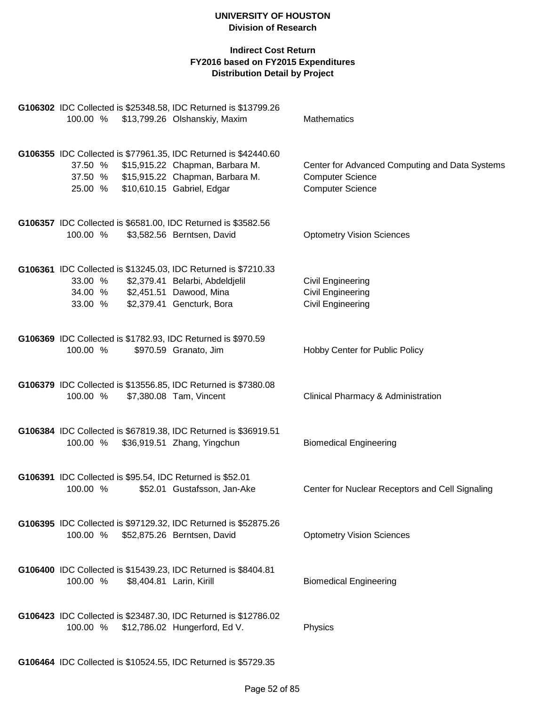| 100.00 %                      |                          | G106302 IDC Collected is \$25348.58, IDC Returned is \$13799.26<br>\$13,799.26 Olshanskiy, Maxim                                                                    | Mathematics                                                                                          |
|-------------------------------|--------------------------|---------------------------------------------------------------------------------------------------------------------------------------------------------------------|------------------------------------------------------------------------------------------------------|
|                               |                          |                                                                                                                                                                     |                                                                                                      |
| 37.50 %<br>37.50 %<br>25.00 % |                          | G106355 IDC Collected is \$77961.35, IDC Returned is \$42440.60<br>\$15,915.22 Chapman, Barbara M.<br>\$15,915.22 Chapman, Barbara M.<br>\$10,610.15 Gabriel, Edgar | Center for Advanced Computing and Data Systems<br><b>Computer Science</b><br><b>Computer Science</b> |
| 100.00 %                      |                          | G106357 IDC Collected is \$6581.00, IDC Returned is \$3582.56<br>\$3,582.56 Berntsen, David                                                                         | <b>Optometry Vision Sciences</b>                                                                     |
| 33.00 %<br>34.00 %<br>33.00 % |                          | G106361 IDC Collected is \$13245.03, IDC Returned is \$7210.33<br>\$2,379.41 Belarbi, Abdeldjelil<br>\$2,451.51 Dawood, Mina<br>\$2,379.41 Gencturk, Bora           | Civil Engineering<br>Civil Engineering<br><b>Civil Engineering</b>                                   |
| 100.00 %                      |                          | G106369 IDC Collected is \$1782.93, IDC Returned is \$970.59<br>\$970.59 Granato, Jim                                                                               | Hobby Center for Public Policy                                                                       |
| 100.00 %                      |                          | G106379 IDC Collected is \$13556.85, IDC Returned is \$7380.08<br>\$7,380.08 Tam, Vincent                                                                           | Clinical Pharmacy & Administration                                                                   |
| 100.00 %                      |                          | G106384 IDC Collected is \$67819.38, IDC Returned is \$36919.51<br>\$36,919.51 Zhang, Yingchun                                                                      | <b>Biomedical Engineering</b>                                                                        |
| 100.00 %                      |                          | G106391 IDC Collected is \$95.54, IDC Returned is \$52.01<br>\$52.01 Gustafsson, Jan-Ake                                                                            | Center for Nuclear Receptors and Cell Signaling                                                      |
|                               |                          | G106395 IDC Collected is \$97129.32, IDC Returned is \$52875.26<br>100.00 % \$52,875.26 Berntsen, David                                                             | <b>Optometry Vision Sciences</b>                                                                     |
| 100.00 %                      | \$8,404.81 Larin, Kirill | G106400 IDC Collected is \$15439.23, IDC Returned is \$8404.81                                                                                                      | <b>Biomedical Engineering</b>                                                                        |
| 100.00 %                      |                          | G106423 IDC Collected is \$23487.30, IDC Returned is \$12786.02<br>\$12,786.02 Hungerford, Ed V.                                                                    | Physics                                                                                              |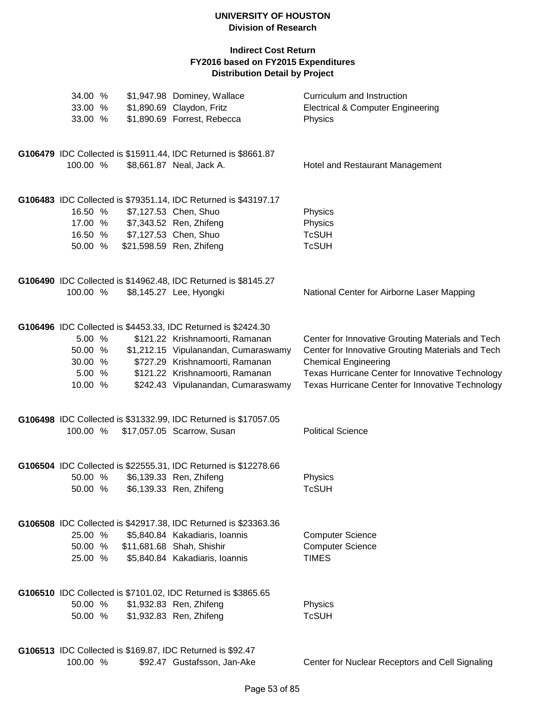| 34.00 %<br>33.00 % |  | \$1,947.98 Dominey, Wallace<br>\$1,890.69 Claydon, Fritz        | Curriculum and Instruction<br><b>Electrical &amp; Computer Engineering</b> |
|--------------------|--|-----------------------------------------------------------------|----------------------------------------------------------------------------|
| 33.00 %            |  | \$1,890.69 Forrest, Rebecca                                     | Physics                                                                    |
|                    |  | G106479 IDC Collected is \$15911.44, IDC Returned is \$8661.87  |                                                                            |
| 100.00 %           |  | \$8,661.87 Neal, Jack A.                                        | Hotel and Restaurant Management                                            |
|                    |  | G106483 IDC Collected is \$79351.14, IDC Returned is \$43197.17 |                                                                            |
| 16.50 %            |  | \$7,127.53 Chen, Shuo                                           | Physics                                                                    |
| 17.00 %            |  | \$7,343.52 Ren, Zhifeng                                         | Physics                                                                    |
| 16.50 %            |  | \$7,127.53 Chen, Shuo                                           | <b>TcSUH</b>                                                               |
| 50.00 %            |  | \$21,598.59 Ren, Zhifeng                                        | <b>TcSUH</b>                                                               |
|                    |  | G106490 IDC Collected is \$14962.48, IDC Returned is \$8145.27  |                                                                            |
| 100.00 %           |  | \$8,145.27 Lee, Hyongki                                         | National Center for Airborne Laser Mapping                                 |
|                    |  | G106496 IDC Collected is \$4453.33, IDC Returned is \$2424.30   |                                                                            |
| 5.00 %             |  | \$121.22 Krishnamoorti, Ramanan                                 | Center for Innovative Grouting Materials and Tech                          |
| 50.00 %            |  | \$1,212.15 Vipulanandan, Cumaraswamy                            | Center for Innovative Grouting Materials and Tech                          |
| 30.00 %            |  | \$727.29 Krishnamoorti, Ramanan                                 | <b>Chemical Engineering</b>                                                |
| 5.00 %             |  | \$121.22 Krishnamoorti, Ramanan                                 | Texas Hurricane Center for Innovative Technology                           |
| 10.00 %            |  | \$242.43 Vipulanandan, Cumaraswamy                              | Texas Hurricane Center for Innovative Technology                           |
|                    |  | G106498 IDC Collected is \$31332.99, IDC Returned is \$17057.05 |                                                                            |
| 100.00 %           |  | \$17,057.05 Scarrow, Susan                                      | <b>Political Science</b>                                                   |
|                    |  | G106504 IDC Collected is \$22555.31, IDC Returned is \$12278.66 |                                                                            |
| 50.00 %            |  | \$6,139.33 Ren, Zhifeng                                         | Physics                                                                    |
| 50.00 %            |  | \$6,139.33 Ren, Zhifeng                                         | TcSUH                                                                      |
|                    |  | G106508 IDC Collected is \$42917.38, IDC Returned is \$23363.36 |                                                                            |
| 25.00 %            |  | \$5,840.84 Kakadiaris, Ioannis                                  | <b>Computer Science</b>                                                    |
| 50.00 %            |  | \$11,681.68 Shah, Shishir                                       | <b>Computer Science</b>                                                    |
| 25.00 %            |  | \$5,840.84 Kakadiaris, Ioannis                                  | <b>TIMES</b>                                                               |
|                    |  | G106510 IDC Collected is \$7101.02, IDC Returned is \$3865.65   |                                                                            |
| 50.00 %            |  | \$1,932.83 Ren, Zhifeng                                         | Physics                                                                    |
| 50.00 %            |  | \$1,932.83 Ren, Zhifeng                                         | <b>TcSUH</b>                                                               |
|                    |  | G106513 IDC Collected is \$169.87, IDC Returned is \$92.47      |                                                                            |
| 100.00 %           |  | \$92.47 Gustafsson, Jan-Ake                                     | Center for Nuclear Receptors and Cell Signaling                            |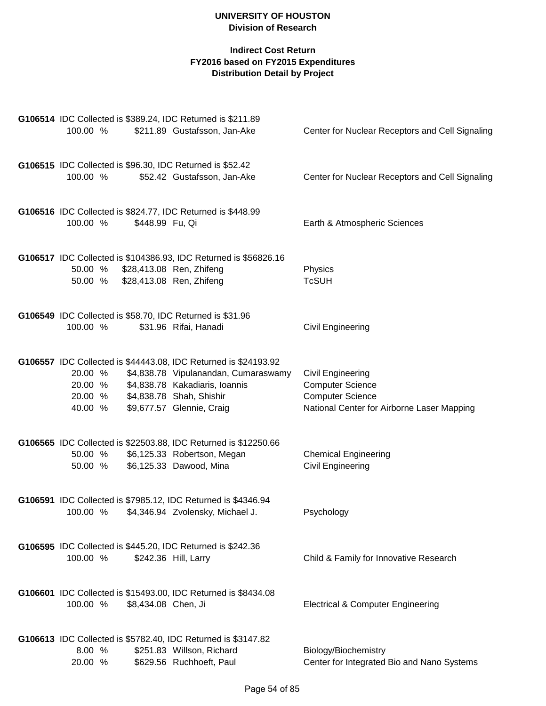| 100.00 %                                 |                     | G106514 IDC Collected is \$389.24, IDC Returned is \$211.89<br>\$211.89 Gustafsson, Jan-Ake                                                                                                        | Center for Nuclear Receptors and Cell Signaling                                                                       |
|------------------------------------------|---------------------|----------------------------------------------------------------------------------------------------------------------------------------------------------------------------------------------------|-----------------------------------------------------------------------------------------------------------------------|
| 100.00 %                                 |                     | G106515 IDC Collected is \$96.30, IDC Returned is \$52.42<br>\$52.42 Gustafsson, Jan-Ake                                                                                                           | Center for Nuclear Receptors and Cell Signaling                                                                       |
| 100.00 %                                 | \$448.99 Fu, Qi     | G106516 IDC Collected is \$824.77, IDC Returned is \$448.99                                                                                                                                        | Earth & Atmospheric Sciences                                                                                          |
| 50.00 %                                  |                     | G106517 IDC Collected is \$104386.93, IDC Returned is \$56826.16<br>\$28,413.08 Ren, Zhifeng<br>50.00 % \$28,413.08 Ren, Zhifeng                                                                   | Physics<br><b>TcSUH</b>                                                                                               |
| 100.00 %                                 |                     | G106549 IDC Collected is \$58.70, IDC Returned is \$31.96<br>\$31.96 Rifai, Hanadi                                                                                                                 | <b>Civil Engineering</b>                                                                                              |
| 20.00 %<br>20.00 %<br>20.00 %<br>40.00 % |                     | G106557 IDC Collected is \$44443.08, IDC Returned is \$24193.92<br>\$4,838.78 Vipulanandan, Cumaraswamy<br>\$4,838.78 Kakadiaris, Ioannis<br>\$4,838.78 Shah, Shishir<br>\$9,677.57 Glennie, Craig | Civil Engineering<br><b>Computer Science</b><br><b>Computer Science</b><br>National Center for Airborne Laser Mapping |
| 50.00 %<br>50.00 %                       |                     | G106565 IDC Collected is \$22503.88, IDC Returned is \$12250.66<br>\$6,125.33 Robertson, Megan<br>\$6,125.33 Dawood, Mina                                                                          | <b>Chemical Engineering</b><br>Civil Engineering                                                                      |
|                                          |                     | G106591 IDC Collected is \$7985.12, IDC Returned is \$4346.94<br>100.00 % \$4,346.94 Zvolensky, Michael J.                                                                                         | Psychology                                                                                                            |
| 100.00 %                                 |                     | G106595 IDC Collected is \$445.20, IDC Returned is \$242.36<br>\$242.36 Hill, Larry                                                                                                                | Child & Family for Innovative Research                                                                                |
| 100.00 %                                 | \$8,434.08 Chen, Ji | G106601 IDC Collected is \$15493.00, IDC Returned is \$8434.08                                                                                                                                     | <b>Electrical &amp; Computer Engineering</b>                                                                          |
| 8.00 %<br>20.00 %                        |                     | G106613 IDC Collected is \$5782.40, IDC Returned is \$3147.82<br>\$251.83 Willson, Richard<br>\$629.56 Ruchhoeft, Paul                                                                             | Biology/Biochemistry<br>Center for Integrated Bio and Nano Systems                                                    |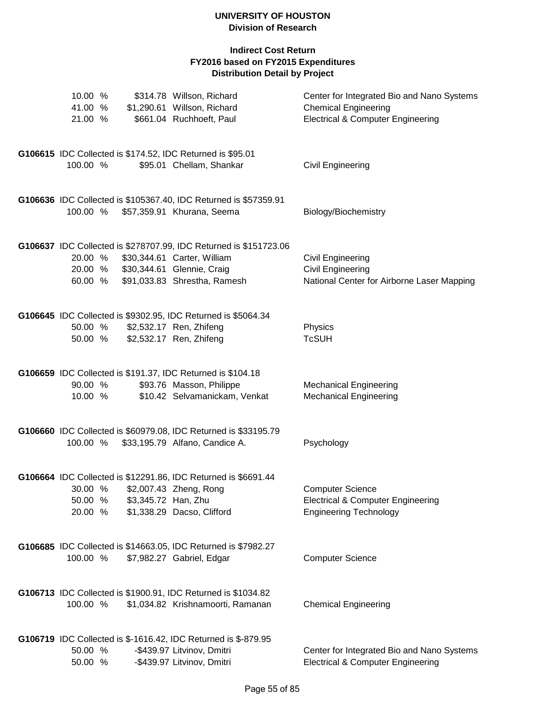| 10.00 %<br>41.00 %<br>21.00 % |                     | \$314.78 Willson, Richard<br>\$1,290.61 Willson, Richard<br>\$661.04 Ruchhoeft, Paul                                                                           | Center for Integrated Bio and Nano Systems<br><b>Chemical Engineering</b><br><b>Electrical &amp; Computer Engineering</b> |
|-------------------------------|---------------------|----------------------------------------------------------------------------------------------------------------------------------------------------------------|---------------------------------------------------------------------------------------------------------------------------|
| 100.00 %                      |                     | G106615 IDC Collected is \$174.52, IDC Returned is \$95.01<br>\$95.01 Chellam, Shankar                                                                         | Civil Engineering                                                                                                         |
| 100.00 %                      |                     | G106636 IDC Collected is \$105367.40, IDC Returned is \$57359.91<br>\$57,359.91 Khurana, Seema                                                                 | Biology/Biochemistry                                                                                                      |
| 20.00 %<br>20.00 %<br>60.00 % |                     | G106637 IDC Collected is \$278707.99, IDC Returned is \$151723.06<br>\$30,344.61 Carter, William<br>\$30,344.61 Glennie, Craig<br>\$91,033.83 Shrestha, Ramesh | <b>Civil Engineering</b><br><b>Civil Engineering</b><br>National Center for Airborne Laser Mapping                        |
| 50.00 %<br>50.00 %            |                     | G106645 IDC Collected is \$9302.95, IDC Returned is \$5064.34<br>\$2,532.17 Ren, Zhifeng<br>\$2,532.17 Ren, Zhifeng                                            | Physics<br><b>TcSUH</b>                                                                                                   |
| 90.00 %<br>10.00 %            |                     | G106659 IDC Collected is \$191.37, IDC Returned is \$104.18<br>\$93.76 Masson, Philippe<br>\$10.42 Selvamanickam, Venkat                                       | <b>Mechanical Engineering</b><br><b>Mechanical Engineering</b>                                                            |
| 100.00 %                      |                     | G106660 IDC Collected is \$60979.08, IDC Returned is \$33195.79<br>\$33,195.79 Alfano, Candice A.                                                              | Psychology                                                                                                                |
| 30.00 %<br>50.00 %<br>20.00 % | \$3,345.72 Han, Zhu | G106664 IDC Collected is \$12291.86, IDC Returned is \$6691.44<br>\$2,007.43 Zheng, Rong<br>\$1,338.29 Dacso, Clifford                                         | <b>Computer Science</b><br><b>Electrical &amp; Computer Engineering</b><br><b>Engineering Technology</b>                  |
| 100.00 %                      |                     | G106685 IDC Collected is \$14663.05, IDC Returned is \$7982.27<br>\$7,982.27 Gabriel, Edgar                                                                    | <b>Computer Science</b>                                                                                                   |
| 100.00 %                      |                     | G106713 IDC Collected is \$1900.91, IDC Returned is \$1034.82<br>\$1,034.82 Krishnamoorti, Ramanan                                                             | <b>Chemical Engineering</b>                                                                                               |
| 50.00 %<br>50.00 %            |                     | G106719 IDC Collected is \$-1616.42, IDC Returned is \$-879.95<br>-\$439.97 Litvinov, Dmitri<br>-\$439.97 Litvinov, Dmitri                                     | Center for Integrated Bio and Nano Systems<br><b>Electrical &amp; Computer Engineering</b>                                |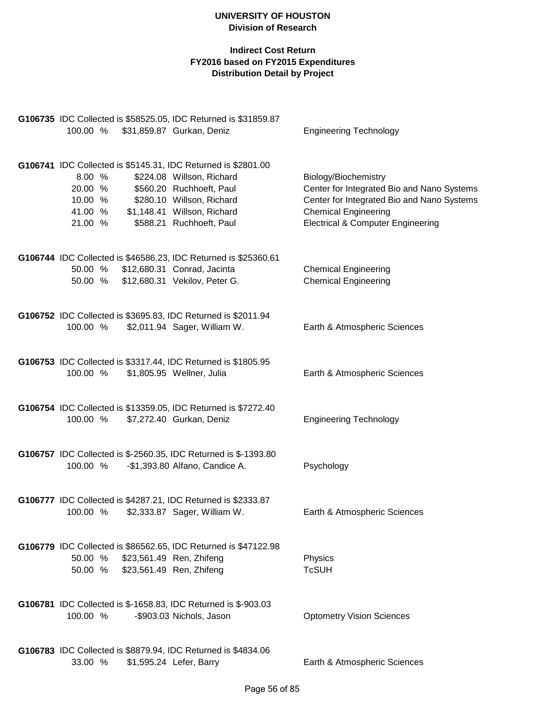| 100.00 % \$31,859.87 Gurkan, Deniz                                                                                  | G106735 IDC Collected is \$58525.05, IDC Returned is \$31859.87                                                                               | <b>Engineering Technology</b>                                                                                                                                                                   |
|---------------------------------------------------------------------------------------------------------------------|-----------------------------------------------------------------------------------------------------------------------------------------------|-------------------------------------------------------------------------------------------------------------------------------------------------------------------------------------------------|
| G106741 IDC Collected is \$5145.31, IDC Returned is \$2801.00<br>8.00 %<br>20.00 %<br>10.00 %<br>41.00 %<br>21.00 % | \$224.08 Willson, Richard<br>\$560.20 Ruchhoeft, Paul<br>\$280.10 Willson, Richard<br>\$1,148.41 Willson, Richard<br>\$588.21 Ruchhoeft, Paul | Biology/Biochemistry<br>Center for Integrated Bio and Nano Systems<br>Center for Integrated Bio and Nano Systems<br><b>Chemical Engineering</b><br><b>Electrical &amp; Computer Engineering</b> |
| G106744 IDC Collected is \$46586.23, IDC Returned is \$25360.61<br>50.00 % \$12,680.31 Conrad, Jacinta<br>50.00 %   | \$12,680.31 Vekilov, Peter G.                                                                                                                 | <b>Chemical Engineering</b><br><b>Chemical Engineering</b>                                                                                                                                      |
| G106752 IDC Collected is \$3695.83, IDC Returned is \$2011.94<br>100.00 %                                           | \$2,011.94 Sager, William W.                                                                                                                  | Earth & Atmospheric Sciences                                                                                                                                                                    |
| G106753 IDC Collected is \$3317.44, IDC Returned is \$1805.95<br>100.00 %                                           | \$1,805.95 Wellner, Julia                                                                                                                     | Earth & Atmospheric Sciences                                                                                                                                                                    |
| G106754 IDC Collected is \$13359.05, IDC Returned is \$7272.40<br>100.00 %                                          | \$7,272.40 Gurkan, Deniz                                                                                                                      | <b>Engineering Technology</b>                                                                                                                                                                   |
| G106757 IDC Collected is \$-2560.35, IDC Returned is \$-1393.80<br>100.00 %                                         | -\$1,393.80 Alfano, Candice A.                                                                                                                | Psychology                                                                                                                                                                                      |
| G106777 IDC Collected is \$4287.21, IDC Returned is \$2333.87<br>100.00 % \$2,333.87 Sager, William W.              |                                                                                                                                               | Earth & Atmospheric Sciences                                                                                                                                                                    |
| 50.00 %<br>50.00 %                                                                                                  | G106779 IDC Collected is \$86562.65, IDC Returned is \$47122.98<br>\$23,561.49 Ren, Zhifeng<br>\$23,561.49 Ren, Zhifeng                       | Physics<br><b>TcSUH</b>                                                                                                                                                                         |
| <b>G106781</b> IDC Collected is \$-1658.83, IDC Returned is \$-903.03<br>100.00 %                                   | -\$903.03 Nichols, Jason                                                                                                                      | <b>Optometry Vision Sciences</b>                                                                                                                                                                |
| G106783 IDC Collected is \$8879.94, IDC Returned is \$4834.06<br>33.00 %                                            | \$1,595.24 Lefer, Barry                                                                                                                       | Earth & Atmospheric Sciences                                                                                                                                                                    |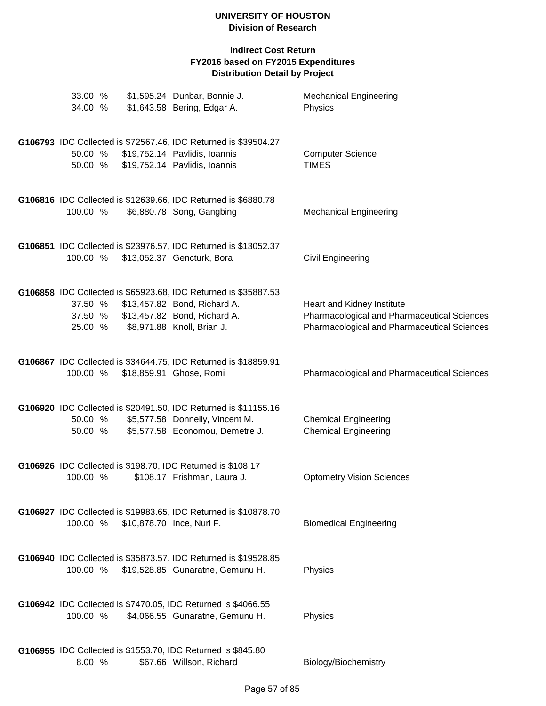| 33.00 %<br>34.00 %            | \$1,595.24 Dunbar, Bonnie J.<br>\$1,643.58 Bering, Edgar A.                                                                                                   | <b>Mechanical Engineering</b><br>Physics                                                                                 |
|-------------------------------|---------------------------------------------------------------------------------------------------------------------------------------------------------------|--------------------------------------------------------------------------------------------------------------------------|
| 50.00 %<br>50.00 %            | G106793 IDC Collected is \$72567.46, IDC Returned is \$39504.27<br>\$19,752.14 Pavlidis, Ioannis<br>\$19,752.14 Pavlidis, Ioannis                             | <b>Computer Science</b><br><b>TIMES</b>                                                                                  |
| 100.00 %                      | G106816 IDC Collected is \$12639.66, IDC Returned is \$6880.78<br>\$6,880.78 Song, Gangbing                                                                   | <b>Mechanical Engineering</b>                                                                                            |
| 100.00 %                      | G106851 IDC Collected is \$23976.57, IDC Returned is \$13052.37<br>\$13,052.37 Gencturk, Bora                                                                 | <b>Civil Engineering</b>                                                                                                 |
| 37.50 %<br>37.50 %<br>25.00 % | G106858 IDC Collected is \$65923.68, IDC Returned is \$35887.53<br>\$13,457.82 Bond, Richard A.<br>\$13,457.82 Bond, Richard A.<br>\$8,971.88 Knoll, Brian J. | Heart and Kidney Institute<br>Pharmacological and Pharmaceutical Sciences<br>Pharmacological and Pharmaceutical Sciences |
| 100.00 %                      | G106867 IDC Collected is \$34644.75, IDC Returned is \$18859.91<br>\$18,859.91 Ghose, Romi                                                                    | <b>Pharmacological and Pharmaceutical Sciences</b>                                                                       |
| 50.00 %<br>50.00 %            | G106920 IDC Collected is \$20491.50, IDC Returned is \$11155.16<br>\$5,577.58 Donnelly, Vincent M.<br>\$5,577.58 Economou, Demetre J.                         | <b>Chemical Engineering</b><br><b>Chemical Engineering</b>                                                               |
| 100.00 %                      | G106926 IDC Collected is \$198.70, IDC Returned is \$108.17<br>\$108.17 Frishman, Laura J.                                                                    | <b>Optometry Vision Sciences</b>                                                                                         |
| 100.00 %                      | G106927 IDC Collected is \$19983.65, IDC Returned is \$10878.70<br>\$10,878.70 Ince, Nuri F.                                                                  | <b>Biomedical Engineering</b>                                                                                            |
| 100.00 %                      | G106940 IDC Collected is \$35873.57, IDC Returned is \$19528.85<br>\$19,528.85 Gunaratne, Gemunu H.                                                           | Physics                                                                                                                  |
| 100.00 %                      | G106942 IDC Collected is \$7470.05, IDC Returned is \$4066.55<br>\$4,066.55 Gunaratne, Gemunu H.                                                              | Physics                                                                                                                  |
| 8.00 %                        | G106955 IDC Collected is \$1553.70, IDC Returned is \$845.80<br>\$67.66 Willson, Richard                                                                      | Biology/Biochemistry                                                                                                     |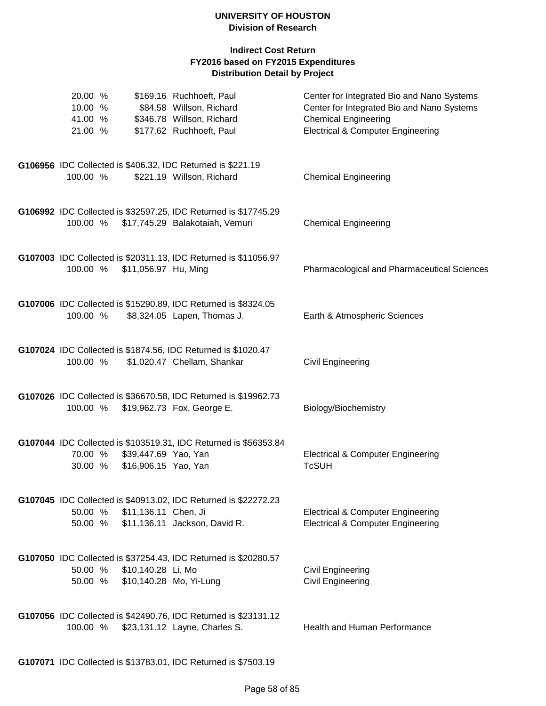| 20.00 %<br>10.00 %<br>41.00 %<br>21.00 % |                                                       | \$169.16 Ruchhoeft, Paul<br>\$84.58 Willson, Richard<br>\$346.78 Willson, Richard<br>\$177.62 Ruchhoeft, Paul | Center for Integrated Bio and Nano Systems<br>Center for Integrated Bio and Nano Systems<br><b>Chemical Engineering</b><br><b>Electrical &amp; Computer Engineering</b> |
|------------------------------------------|-------------------------------------------------------|---------------------------------------------------------------------------------------------------------------|-------------------------------------------------------------------------------------------------------------------------------------------------------------------------|
| 100.00 %                                 |                                                       | G106956 IDC Collected is \$406.32, IDC Returned is \$221.19<br>\$221.19 Willson, Richard                      | <b>Chemical Engineering</b>                                                                                                                                             |
|                                          |                                                       | G106992 IDC Collected is \$32597.25, IDC Returned is \$17745.29<br>100.00 % \$17,745.29 Balakotaiah, Vemuri   | <b>Chemical Engineering</b>                                                                                                                                             |
|                                          | 100.00 % \$11,056.97 Hu, Ming                         | G107003 IDC Collected is \$20311.13, IDC Returned is \$11056.97                                               | Pharmacological and Pharmaceutical Sciences                                                                                                                             |
| 100.00 %                                 |                                                       | G107006 IDC Collected is \$15290.89, IDC Returned is \$8324.05<br>\$8,324.05 Lapen, Thomas J.                 | Earth & Atmospheric Sciences                                                                                                                                            |
| 100.00 %                                 |                                                       | G107024 IDC Collected is \$1874.56, IDC Returned is \$1020.47<br>\$1,020.47 Chellam, Shankar                  | <b>Civil Engineering</b>                                                                                                                                                |
|                                          |                                                       | G107026 IDC Collected is \$36670.58, IDC Returned is \$19962.73<br>100.00 % \$19,962.73 Fox, George E.        | Biology/Biochemistry                                                                                                                                                    |
| 30.00 %                                  | 70.00 % \$39,447.69 Yao, Yan<br>\$16,906.15 Yao, Yan  | G107044 IDC Collected is \$103519.31, IDC Returned is \$56353.84                                              | <b>Electrical &amp; Computer Engineering</b><br><b>TcSUH</b>                                                                                                            |
| 50.00 %<br>50.00 %                       | \$11,136.11 Chen, Ji                                  | G107045 IDC Collected is \$40913.02, IDC Returned is \$22272.23<br>\$11,136.11 Jackson, David R.              | <b>Electrical &amp; Computer Engineering</b><br><b>Electrical &amp; Computer Engineering</b>                                                                            |
| 50.00 %                                  | \$10,140.28 Li, Mo<br>50.00 % \$10,140.28 Mo, Yi-Lung | G107050 IDC Collected is \$37254.43, IDC Returned is \$20280.57                                               | Civil Engineering<br><b>Civil Engineering</b>                                                                                                                           |
| 100.00 %                                 |                                                       | G107056 IDC Collected is \$42490.76, IDC Returned is \$23131.12<br>\$23,131.12 Layne, Charles S.              | Health and Human Performance                                                                                                                                            |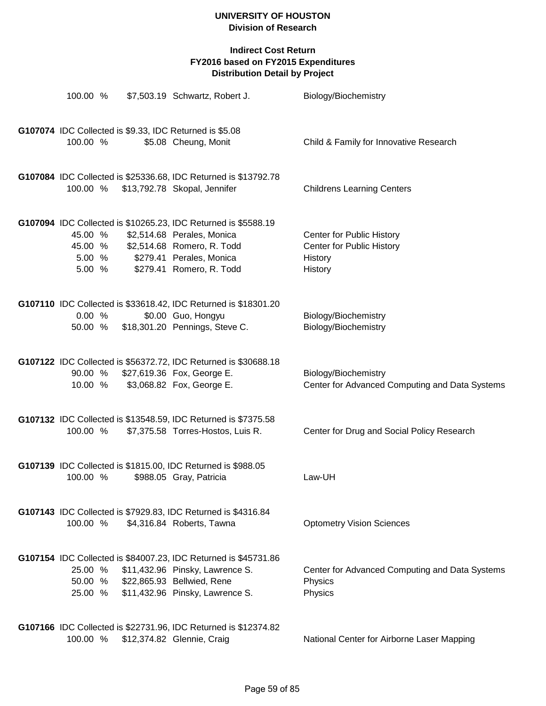| 100.00 %                               | \$7,503.19 Schwartz, Robert J.                                                                                                                                                     | Biology/Biochemistry                                                         |
|----------------------------------------|------------------------------------------------------------------------------------------------------------------------------------------------------------------------------------|------------------------------------------------------------------------------|
| 100.00 %                               | G107074 IDC Collected is \$9.33, IDC Returned is \$5.08<br>\$5.08 Cheung, Monit                                                                                                    | Child & Family for Innovative Research                                       |
| 100.00 %                               | G107084 IDC Collected is \$25336.68, IDC Returned is \$13792.78<br>\$13,792.78 Skopal, Jennifer                                                                                    | <b>Childrens Learning Centers</b>                                            |
| 45.00 %<br>45.00 %<br>5.00 %<br>5.00 % | G107094 IDC Collected is \$10265.23, IDC Returned is \$5588.19<br>\$2,514.68 Perales, Monica<br>\$2,514.68 Romero, R. Todd<br>\$279.41 Perales, Monica<br>\$279.41 Romero, R. Todd | Center for Public History<br>Center for Public History<br>History<br>History |
| 0.00%<br>50.00 %                       | G107110 IDC Collected is \$33618.42, IDC Returned is \$18301.20<br>\$0.00 Guo, Hongyu<br>\$18,301.20 Pennings, Steve C.                                                            | Biology/Biochemistry<br>Biology/Biochemistry                                 |
| 90.00 %<br>10.00 %                     | G107122 IDC Collected is \$56372.72, IDC Returned is \$30688.18<br>\$27,619.36 Fox, George E.<br>\$3,068.82 Fox, George E.                                                         | Biology/Biochemistry<br>Center for Advanced Computing and Data Systems       |
| 100.00 %                               | G107132 IDC Collected is \$13548.59, IDC Returned is \$7375.58<br>\$7,375.58 Torres-Hostos, Luis R.                                                                                | Center for Drug and Social Policy Research                                   |
| 100.00 %                               | G107139 IDC Collected is \$1815.00, IDC Returned is \$988.05<br>\$988.05 Gray, Patricia                                                                                            | Law-UH                                                                       |
| 100.00 %                               | G107143 IDC Collected is \$7929.83, IDC Returned is \$4316.84<br>\$4,316.84 Roberts, Tawna                                                                                         | <b>Optometry Vision Sciences</b>                                             |
| 25.00 %<br>50.00 %<br>25.00 %          | G107154 IDC Collected is \$84007.23, IDC Returned is \$45731.86<br>\$11,432.96 Pinsky, Lawrence S.<br>\$22,865.93 Bellwied, Rene<br>\$11,432.96 Pinsky, Lawrence S.                | Center for Advanced Computing and Data Systems<br>Physics<br>Physics         |
| 100.00 %                               | G107166 IDC Collected is \$22731.96, IDC Returned is \$12374.82<br>\$12,374.82 Glennie, Craig                                                                                      | National Center for Airborne Laser Mapping                                   |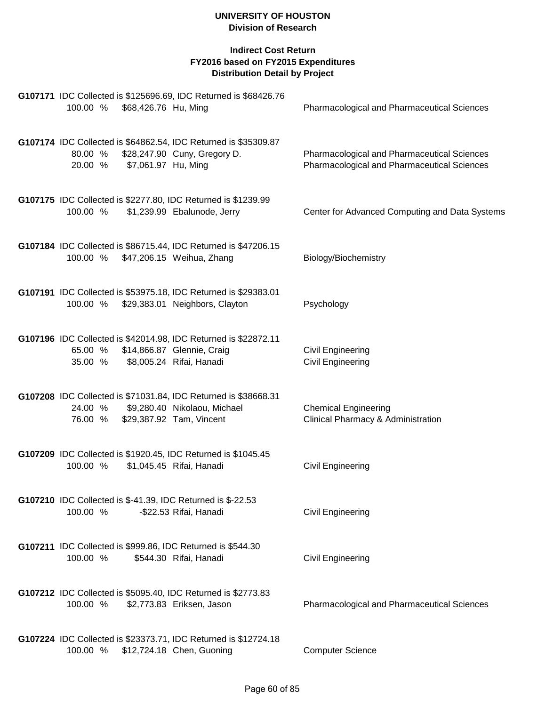| G107171 IDC Collected is \$125696.69, IDC Returned is \$68426.76<br>\$68,426.76 Hu, Ming<br>100.00 %                                           | <b>Pharmacological and Pharmaceutical Sciences</b>                                         |
|------------------------------------------------------------------------------------------------------------------------------------------------|--------------------------------------------------------------------------------------------|
| G107174 IDC Collected is \$64862.54, IDC Returned is \$35309.87<br>\$28,247.90 Cuny, Gregory D.<br>80.00 %<br>20.00 % \$7,061.97 Hu, Ming      | Pharmacological and Pharmaceutical Sciences<br>Pharmacological and Pharmaceutical Sciences |
| G107175 IDC Collected is \$2277.80, IDC Returned is \$1239.99<br>100.00 %<br>\$1,239.99 Ebalunode, Jerry                                       | Center for Advanced Computing and Data Systems                                             |
| G107184 IDC Collected is \$86715.44, IDC Returned is \$47206.15<br>100.00 % \$47,206.15 Weihua, Zhang                                          | Biology/Biochemistry                                                                       |
| G107191 IDC Collected is \$53975.18, IDC Returned is \$29383.01<br>100.00 %<br>\$29,383.01 Neighbors, Clayton                                  | Psychology                                                                                 |
| G107196 IDC Collected is \$42014.98, IDC Returned is \$22872.11<br>65.00 % \$14,866.87 Glennie, Craig<br>35.00 % \$8,005.24 Rifai, Hanadi      | <b>Civil Engineering</b><br>Civil Engineering                                              |
| G107208 IDC Collected is \$71031.84, IDC Returned is \$38668.31<br>\$9,280.40 Nikolaou, Michael<br>24.00 %<br>76.00 % \$29,387.92 Tam, Vincent | <b>Chemical Engineering</b><br>Clinical Pharmacy & Administration                          |
| G107209 IDC Collected is \$1920.45, IDC Returned is \$1045.45<br>\$1,045.45 Rifai, Hanadi<br>100.00 %                                          | Civil Engineering                                                                          |
| G107210 IDC Collected is \$-41.39, IDC Returned is \$-22.53<br>100.00 %<br>-\$22.53 Rifai, Hanadi                                              | Civil Engineering                                                                          |
| G107211 IDC Collected is \$999.86, IDC Returned is \$544.30<br>100.00 %<br>\$544.30 Rifai, Hanadi                                              | <b>Civil Engineering</b>                                                                   |
| G107212 IDC Collected is \$5095.40, IDC Returned is \$2773.83<br>100.00 %<br>\$2,773.83 Eriksen, Jason                                         | <b>Pharmacological and Pharmaceutical Sciences</b>                                         |
| G107224 IDC Collected is \$23373.71, IDC Returned is \$12724.18<br>100.00 %<br>\$12,724.18 Chen, Guoning                                       | <b>Computer Science</b>                                                                    |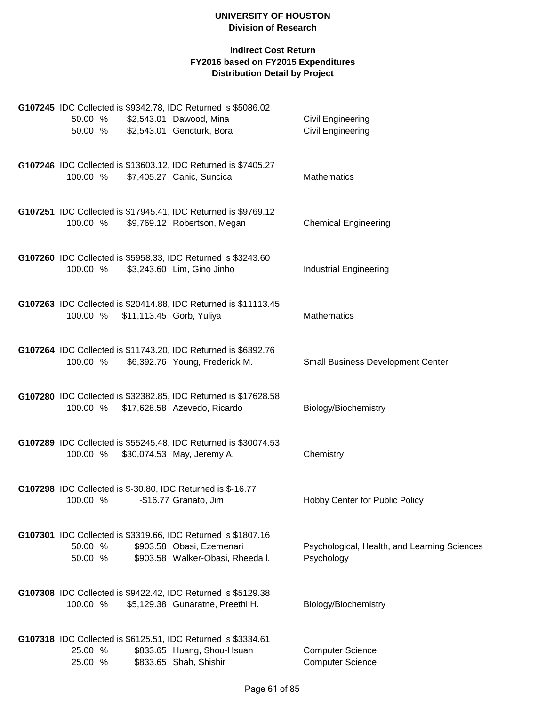|                    |  | G107245 IDC Collected is \$9342.78, IDC Returned is \$5086.02                                                                  |                                                            |
|--------------------|--|--------------------------------------------------------------------------------------------------------------------------------|------------------------------------------------------------|
|                    |  | 50.00 % \$2,543.01 Dawood, Mina<br>50.00 % \$2,543.01 Gencturk, Bora                                                           | <b>Civil Engineering</b><br><b>Civil Engineering</b>       |
| 100.00 %           |  | G107246 IDC Collected is \$13603.12, IDC Returned is \$7405.27<br>\$7,405.27 Canic, Suncica                                    | <b>Mathematics</b>                                         |
| 100.00 %           |  | G107251 IDC Collected is \$17945.41, IDC Returned is \$9769.12<br>\$9,769.12 Robertson, Megan                                  | <b>Chemical Engineering</b>                                |
| 100.00 %           |  | G107260 IDC Collected is \$5958.33, IDC Returned is \$3243.60<br>\$3,243.60 Lim, Gino Jinho                                    | <b>Industrial Engineering</b>                              |
|                    |  | G107263 IDC Collected is \$20414.88, IDC Returned is \$11113.45<br>100.00 % \$11,113.45 Gorb, Yuliya                           | <b>Mathematics</b>                                         |
| 100.00 %           |  | G107264 IDC Collected is \$11743.20, IDC Returned is \$6392.76<br>\$6,392.76 Young, Frederick M.                               | <b>Small Business Development Center</b>                   |
| 100.00 %           |  | G107280 IDC Collected is \$32382.85, IDC Returned is \$17628.58<br>\$17,628.58 Azevedo, Ricardo                                | Biology/Biochemistry                                       |
| 100.00 %           |  | G107289 IDC Collected is \$55245.48, IDC Returned is \$30074.53<br>\$30,074.53 May, Jeremy A.                                  | Chemistry                                                  |
|                    |  | G107298 IDC Collected is \$-30.80, IDC Returned is \$-16.77<br>100.00 % -\$16.77 Granato, Jim                                  | Hobby Center for Public Policy                             |
| 50.00 %<br>50.00 % |  | G107301 IDC Collected is \$3319.66, IDC Returned is \$1807.16<br>\$903.58 Obasi, Ezemenari<br>\$903.58 Walker-Obasi, Rheeda I. | Psychological, Health, and Learning Sciences<br>Psychology |
| 100.00 %           |  | G107308 IDC Collected is \$9422.42, IDC Returned is \$5129.38<br>\$5,129.38 Gunaratne, Preethi H.                              | Biology/Biochemistry                                       |
| 25.00 %<br>25.00 % |  | G107318 IDC Collected is \$6125.51, IDC Returned is \$3334.61<br>\$833.65 Huang, Shou-Hsuan<br>\$833.65 Shah, Shishir          | <b>Computer Science</b><br><b>Computer Science</b>         |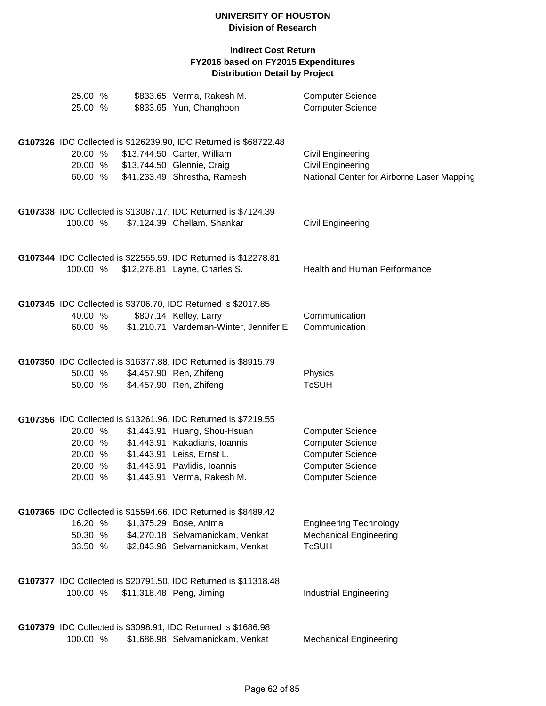| 25.00 %<br>25.00 %                                  |  | \$833.65 Verma, Rakesh M.<br>\$833.65 Yun, Changhoon                                                                                                                                                                          | <b>Computer Science</b><br><b>Computer Science</b>                                                                                  |
|-----------------------------------------------------|--|-------------------------------------------------------------------------------------------------------------------------------------------------------------------------------------------------------------------------------|-------------------------------------------------------------------------------------------------------------------------------------|
| 20.00 %<br>60.00 %                                  |  | G107326 IDC Collected is \$126239.90, IDC Returned is \$68722.48<br>\$13,744.50 Carter, William<br>20.00 % \$13,744.50 Glennie, Craig<br>\$41,233.49 Shrestha, Ramesh                                                         | Civil Engineering<br><b>Civil Engineering</b><br>National Center for Airborne Laser Mapping                                         |
| 100.00 %                                            |  | G107338 IDC Collected is \$13087.17, IDC Returned is \$7124.39<br>\$7,124.39 Chellam, Shankar                                                                                                                                 | Civil Engineering                                                                                                                   |
| 100.00 %                                            |  | G107344 IDC Collected is \$22555.59, IDC Returned is \$12278.81<br>\$12,278.81 Layne, Charles S.                                                                                                                              | <b>Health and Human Performance</b>                                                                                                 |
| 40.00 %<br>60.00 %                                  |  | G107345 IDC Collected is \$3706.70, IDC Returned is \$2017.85<br>\$807.14 Kelley, Larry<br>\$1,210.71 Vardeman-Winter, Jennifer E.                                                                                            | Communication<br>Communication                                                                                                      |
| 50.00 %<br>50.00 %                                  |  | G107350 IDC Collected is \$16377.88, IDC Returned is \$8915.79<br>\$4,457.90 Ren, Zhifeng<br>\$4,457.90 Ren, Zhifeng                                                                                                          | Physics<br><b>TcSUH</b>                                                                                                             |
| 20.00 %<br>20.00 %<br>20.00 %<br>20.00 %<br>20.00 % |  | G107356 IDC Collected is \$13261.96, IDC Returned is \$7219.55<br>\$1,443.91 Huang, Shou-Hsuan<br>\$1,443.91 Kakadiaris, Ioannis<br>\$1,443.91 Leiss, Ernst L.<br>\$1,443.91 Pavlidis, Ioannis<br>\$1,443.91 Verma, Rakesh M. | <b>Computer Science</b><br><b>Computer Science</b><br><b>Computer Science</b><br><b>Computer Science</b><br><b>Computer Science</b> |
| 16.20 %<br>50.30 %<br>33.50 %                       |  | G107365 IDC Collected is \$15594.66, IDC Returned is \$8489.42<br>\$1,375.29 Bose, Anima<br>\$4,270.18 Selvamanickam, Venkat<br>\$2,843.96 Selvamanickam, Venkat                                                              | <b>Engineering Technology</b><br><b>Mechanical Engineering</b><br><b>TcSUH</b>                                                      |
|                                                     |  | G107377 IDC Collected is \$20791.50, IDC Returned is \$11318.48<br>100.00 % \$11,318.48 Peng, Jiming                                                                                                                          | <b>Industrial Engineering</b>                                                                                                       |
| 100.00 %                                            |  | G107379 IDC Collected is \$3098.91, IDC Returned is \$1686.98<br>\$1,686.98 Selvamanickam, Venkat                                                                                                                             | <b>Mechanical Engineering</b>                                                                                                       |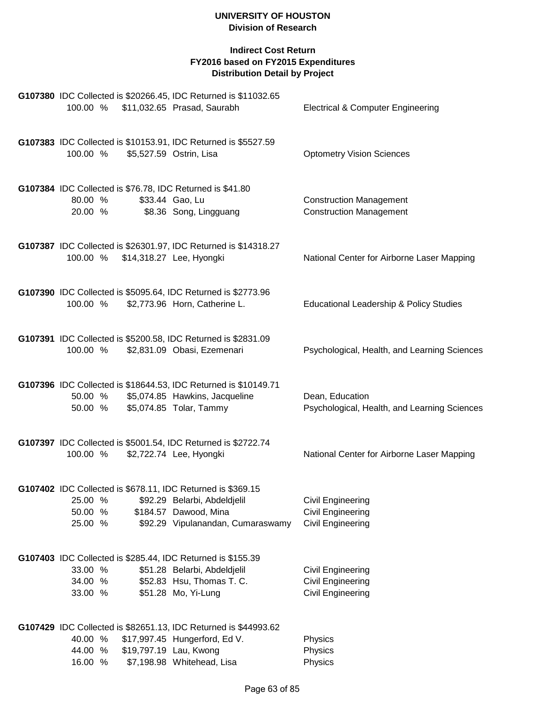# **Indirect Cost Return FY2016 based on FY2015 Expenditures Distribution Detail by Project**

| 100.00 %                      |  | G107380 IDC Collected is \$20266.45, IDC Returned is \$11032.65<br>\$11,032.65 Prasad, Saurabh                                                            | <b>Electrical &amp; Computer Engineering</b>                       |
|-------------------------------|--|-----------------------------------------------------------------------------------------------------------------------------------------------------------|--------------------------------------------------------------------|
| 100.00 %                      |  | G107383 IDC Collected is \$10153.91, IDC Returned is \$5527.59<br>\$5,527.59 Ostrin, Lisa                                                                 | <b>Optometry Vision Sciences</b>                                   |
|                               |  | G107384 IDC Collected is \$76.78, IDC Returned is \$41.80                                                                                                 |                                                                    |
| 80.00 %<br>20.00 %            |  | \$33.44 Gao, Lu<br>\$8.36 Song, Lingguang                                                                                                                 | <b>Construction Management</b><br><b>Construction Management</b>   |
| 100.00 %                      |  | G107387 IDC Collected is \$26301.97, IDC Returned is \$14318.27<br>\$14,318.27 Lee, Hyongki                                                               | National Center for Airborne Laser Mapping                         |
| 100.00 %                      |  | G107390 IDC Collected is \$5095.64, IDC Returned is \$2773.96<br>\$2,773.96 Horn, Catherine L.                                                            | Educational Leadership & Policy Studies                            |
| 100.00 %                      |  | G107391 IDC Collected is \$5200.58, IDC Returned is \$2831.09<br>\$2,831.09 Obasi, Ezemenari                                                              | Psychological, Health, and Learning Sciences                       |
| 50.00 %<br>50.00 %            |  | G107396 IDC Collected is \$18644.53, IDC Returned is \$10149.71<br>\$5,074.85 Hawkins, Jacqueline<br>\$5,074.85 Tolar, Tammy                              | Dean, Education<br>Psychological, Health, and Learning Sciences    |
| 100.00 %                      |  | G107397 IDC Collected is \$5001.54, IDC Returned is \$2722.74<br>\$2,722.74 Lee, Hyongki                                                                  | National Center for Airborne Laser Mapping                         |
| 25.00 %<br>50.00 %<br>25.00 % |  | G107402 IDC Collected is \$678.11, IDC Returned is \$369.15<br>\$92.29 Belarbi, Abdeldjelil<br>\$184.57 Dawood, Mina<br>\$92.29 Vipulanandan, Cumaraswamy | <b>Civil Engineering</b><br>Civil Engineering<br>Civil Engineering |
| 33.00 %<br>34.00 %<br>33.00 % |  | G107403 IDC Collected is \$285.44, IDC Returned is \$155.39<br>\$51.28 Belarbi, Abdeldjelil<br>\$52.83 Hsu, Thomas T. C.<br>\$51.28 Mo, Yi-Lung           | <b>Civil Engineering</b><br>Civil Engineering<br>Civil Engineering |
| 40.00 %                       |  | G107429 IDC Collected is \$82651.13, IDC Returned is \$44993.62<br>\$17,997.45 Hungerford, Ed V.                                                          | Physics                                                            |
| 44.00 %                       |  | \$19,797.19 Lau, Kwong                                                                                                                                    | Physics                                                            |

16.00 % \$7,198.98 Whitehead, Lisa Physics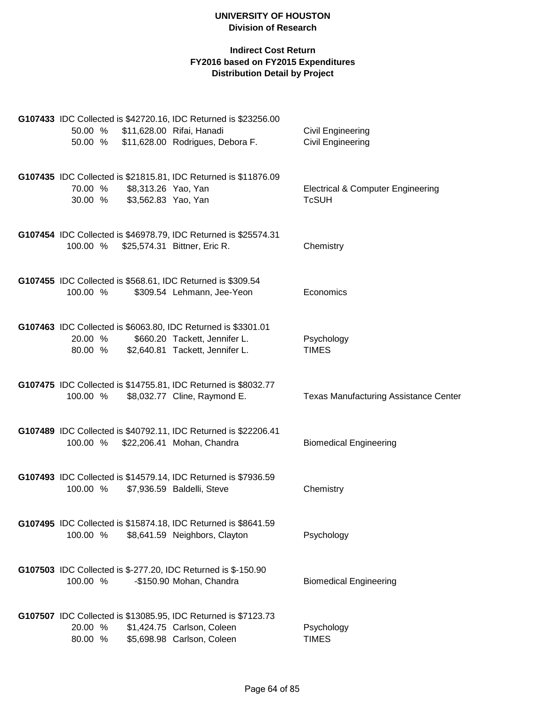| 50.00 %<br>50.00 % | G107433 IDC Collected is \$42720.16, IDC Returned is \$23256.00<br>\$11,628.00 Rifai, Hanadi<br>\$11,628.00 Rodrigues, Debora F.  | Civil Engineering<br>Civil Engineering                       |
|--------------------|-----------------------------------------------------------------------------------------------------------------------------------|--------------------------------------------------------------|
| 70.00 %            | G107435 IDC Collected is \$21815.81, IDC Returned is \$11876.09<br>\$8,313.26 Yao, Yan<br>30.00 % \$3,562.83 Yao, Yan             | <b>Electrical &amp; Computer Engineering</b><br><b>TcSUH</b> |
| 100.00 %           | G107454 IDC Collected is \$46978.79, IDC Returned is \$25574.31<br>\$25,574.31 Bittner, Eric R.                                   | Chemistry                                                    |
| 100.00 %           | G107455 IDC Collected is \$568.61, IDC Returned is \$309.54<br>\$309.54 Lehmann, Jee-Yeon                                         | Economics                                                    |
| 20.00 %<br>80.00 % | G107463 IDC Collected is \$6063.80, IDC Returned is \$3301.01<br>\$660.20 Tackett, Jennifer L.<br>\$2,640.81 Tackett, Jennifer L. | Psychology<br><b>TIMES</b>                                   |
| 100.00 %           | G107475 IDC Collected is \$14755.81, IDC Returned is \$8032.77<br>\$8,032.77 Cline, Raymond E.                                    | <b>Texas Manufacturing Assistance Center</b>                 |
| 100.00 %           | G107489 IDC Collected is \$40792.11, IDC Returned is \$22206.41<br>\$22,206.41 Mohan, Chandra                                     | <b>Biomedical Engineering</b>                                |
| 100.00 %           | G107493 IDC Collected is \$14579.14, IDC Returned is \$7936.59<br>\$7,936.59 Baldelli, Steve                                      | Chemistry                                                    |
| 100.00 %           | G107495 IDC Collected is \$15874.18, IDC Returned is \$8641.59<br>\$8,641.59 Neighbors, Clayton                                   | Psychology                                                   |
| 100.00 %           | G107503 IDC Collected is \$-277.20, IDC Returned is \$-150.90<br>-\$150.90 Mohan, Chandra                                         | <b>Biomedical Engineering</b>                                |
| 20.00 %<br>80.00 % | G107507 IDC Collected is \$13085.95, IDC Returned is \$7123.73<br>\$1,424.75 Carlson, Coleen<br>\$5,698.98 Carlson, Coleen        | Psychology<br><b>TIMES</b>                                   |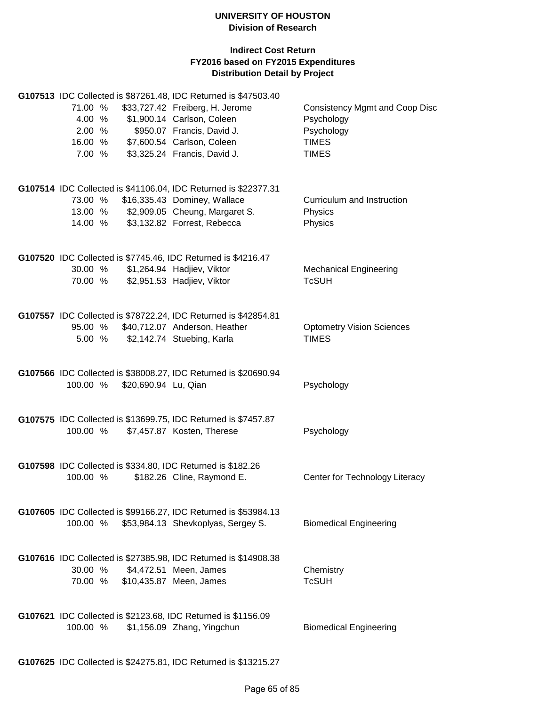# **Indirect Cost Return FY2016 based on FY2015 Expenditures Distribution Detail by Project**

|          |                      | G107513 IDC Collected is \$87261.48, IDC Returned is \$47503.40                             |                                       |
|----------|----------------------|---------------------------------------------------------------------------------------------|---------------------------------------|
| 71.00 %  |                      | \$33,727.42 Freiberg, H. Jerome                                                             | <b>Consistency Mgmt and Coop Disc</b> |
| 4.00 %   |                      | \$1,900.14 Carlson, Coleen                                                                  | Psychology                            |
| 2.00%    |                      | \$950.07 Francis, David J.                                                                  | Psychology                            |
| 16.00 %  |                      | \$7,600.54 Carlson, Coleen                                                                  | <b>TIMES</b>                          |
| 7.00 %   |                      | \$3,325.24 Francis, David J.                                                                | <b>TIMES</b>                          |
|          |                      |                                                                                             |                                       |
|          |                      | G107514 IDC Collected is \$41106.04, IDC Returned is \$22377.31                             |                                       |
| 73.00 %  |                      | \$16,335.43 Dominey, Wallace                                                                | Curriculum and Instruction            |
| 13.00 %  |                      | \$2,909.05 Cheung, Margaret S.                                                              | Physics                               |
| 14.00 %  |                      | \$3,132.82 Forrest, Rebecca                                                                 | Physics                               |
|          |                      | G107520 IDC Collected is \$7745.46, IDC Returned is \$4216.47                               |                                       |
| 30.00 %  |                      | \$1,264.94 Hadjiev, Viktor                                                                  | <b>Mechanical Engineering</b>         |
| 70.00 %  |                      | \$2,951.53 Hadjiev, Viktor                                                                  | <b>TcSUH</b>                          |
|          |                      | G107557 IDC Collected is \$78722.24, IDC Returned is \$42854.81                             |                                       |
| 95.00 %  |                      | \$40,712.07 Anderson, Heather                                                               | <b>Optometry Vision Sciences</b>      |
| 5.00 %   |                      | \$2,142.74 Stuebing, Karla                                                                  | <b>TIMES</b>                          |
|          |                      |                                                                                             |                                       |
|          |                      | G107566 IDC Collected is \$38008.27, IDC Returned is \$20690.94                             |                                       |
| 100.00 % | \$20,690.94 Lu, Qian |                                                                                             | Psychology                            |
|          |                      |                                                                                             |                                       |
|          |                      | G107575 IDC Collected is \$13699.75, IDC Returned is \$7457.87                              |                                       |
| 100.00 % |                      | \$7,457.87 Kosten, Therese                                                                  | Psychology                            |
|          |                      |                                                                                             |                                       |
|          |                      | G107598 IDC Collected is \$334.80, IDC Returned is \$182.26                                 |                                       |
| 100.00 % |                      | \$182.26 Cline, Raymond E.                                                                  | Center for Technology Literacy        |
|          |                      |                                                                                             |                                       |
|          |                      | G107605 IDC Collected is \$99166.27, IDC Returned is \$53984.13                             |                                       |
| 100.00 % |                      | \$53,984.13 Shevkoplyas, Sergey S.                                                          | <b>Biomedical Engineering</b>         |
|          |                      |                                                                                             |                                       |
|          |                      | G107616 IDC Collected is \$27385.98, IDC Returned is \$14908.38                             |                                       |
| 30.00 %  |                      | \$4,472.51 Meen, James                                                                      | Chemistry                             |
| 70.00 %  |                      | \$10,435.87 Meen, James                                                                     | <b>TcSUH</b>                          |
|          |                      |                                                                                             |                                       |
|          |                      |                                                                                             |                                       |
| 100.00 % |                      | G107621 IDC Collected is \$2123.68, IDC Returned is \$1156.09<br>\$1,156.09 Zhang, Yingchun |                                       |
|          |                      |                                                                                             | <b>Biomedical Engineering</b>         |
|          |                      |                                                                                             |                                       |

**G107625** IDC Collected is \$24275.81, IDC Returned is \$13215.27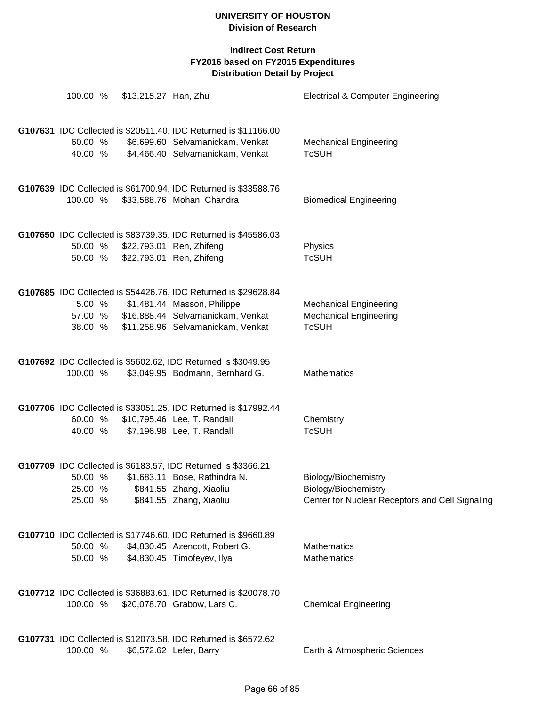| 100.00 %                      | \$13,215.27 Han, Zhu |                                                                                                                                                                                 | <b>Electrical &amp; Computer Engineering</b>                                                    |
|-------------------------------|----------------------|---------------------------------------------------------------------------------------------------------------------------------------------------------------------------------|-------------------------------------------------------------------------------------------------|
| 60.00 %<br>40.00 %            |                      | G107631 IDC Collected is \$20511.40, IDC Returned is \$11166.00<br>\$6,699.60 Selvamanickam, Venkat<br>\$4,466.40 Selvamanickam, Venkat                                         | <b>Mechanical Engineering</b><br><b>TcSUH</b>                                                   |
| 100.00 %                      |                      | G107639 IDC Collected is \$61700.94, IDC Returned is \$33588.76<br>\$33,588.76 Mohan, Chandra                                                                                   | <b>Biomedical Engineering</b>                                                                   |
| 50.00 %<br>50.00 %            |                      | G107650 IDC Collected is \$83739.35, IDC Returned is \$45586.03<br>\$22,793.01 Ren, Zhifeng<br>\$22,793.01 Ren, Zhifeng                                                         | Physics<br><b>TcSUH</b>                                                                         |
| 57.00 %<br>38.00 %            |                      | G107685 IDC Collected is \$54426.76, IDC Returned is \$29628.84<br>5.00 % \$1,481.44 Masson, Philippe<br>\$16,888.44 Selvamanickam, Venkat<br>\$11,258.96 Selvamanickam, Venkat | <b>Mechanical Engineering</b><br><b>Mechanical Engineering</b><br><b>TcSUH</b>                  |
| 100.00 %                      |                      | G107692 IDC Collected is \$5602.62, IDC Returned is \$3049.95<br>\$3,049.95 Bodmann, Bernhard G.                                                                                | Mathematics                                                                                     |
| 60.00 %                       |                      | G107706 IDC Collected is \$33051.25, IDC Returned is \$17992.44<br>\$10,795.46 Lee, T. Randall<br>40.00 % \$7,196.98 Lee, T. Randall                                            | Chemistry<br><b>TcSUH</b>                                                                       |
| 50.00 %<br>25.00 %<br>25.00 % |                      | G107709 IDC Collected is \$6183.57, IDC Returned is \$3366.21<br>\$1,683.11 Bose, Rathindra N.<br>\$841.55 Zhang, Xiaoliu<br>\$841.55 Zhang, Xiaoliu                            | Biology/Biochemistry<br>Biology/Biochemistry<br>Center for Nuclear Receptors and Cell Signaling |
| 50.00 %<br>50.00 %            |                      | G107710 IDC Collected is \$17746.60, IDC Returned is \$9660.89<br>\$4,830.45 Azencott, Robert G.<br>\$4,830.45 Timofeyev, Ilya                                                  | <b>Mathematics</b><br><b>Mathematics</b>                                                        |
| 100.00 %                      |                      | G107712 IDC Collected is \$36883.61, IDC Returned is \$20078.70<br>\$20,078.70 Grabow, Lars C.                                                                                  | <b>Chemical Engineering</b>                                                                     |
| 100.00 %                      |                      | G107731 IDC Collected is \$12073.58, IDC Returned is \$6572.62<br>\$6,572.62 Lefer, Barry                                                                                       | Earth & Atmospheric Sciences                                                                    |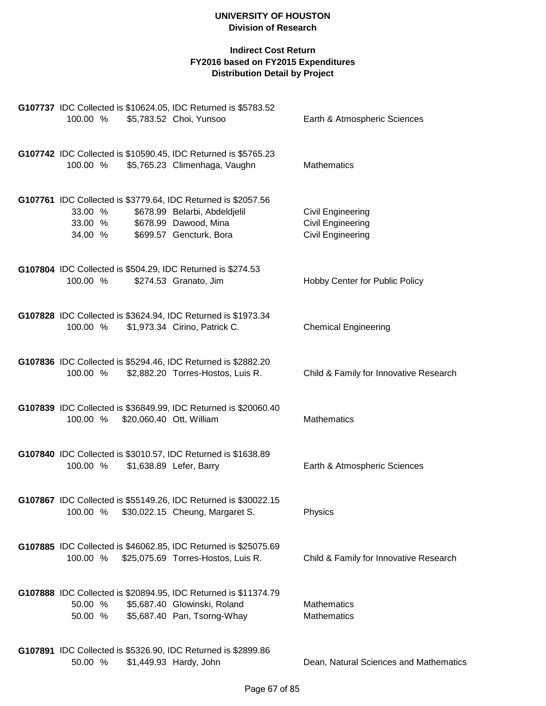| 100.00 %                      |                          | G107737 IDC Collected is \$10624.05, IDC Returned is \$5783.52<br>\$5,783.52 Choi, Yunsoo                                                          | Earth & Atmospheric Sciences                                                     |
|-------------------------------|--------------------------|----------------------------------------------------------------------------------------------------------------------------------------------------|----------------------------------------------------------------------------------|
| 100.00 %                      |                          | G107742 IDC Collected is \$10590.45, IDC Returned is \$5765.23<br>\$5,765.23 Climenhaga, Vaughn                                                    | <b>Mathematics</b>                                                               |
| 33.00 %<br>33.00 %<br>34.00 % |                          | G107761 IDC Collected is \$3779.64, IDC Returned is \$2057.56<br>\$678.99 Belarbi, Abdeldjelil<br>\$678.99 Dawood, Mina<br>\$699.57 Gencturk, Bora | <b>Civil Engineering</b><br><b>Civil Engineering</b><br><b>Civil Engineering</b> |
| 100.00 %                      |                          | G107804 IDC Collected is \$504.29, IDC Returned is \$274.53<br>\$274.53 Granato, Jim                                                               | Hobby Center for Public Policy                                                   |
| 100.00 %                      |                          | G107828 IDC Collected is \$3624.94, IDC Returned is \$1973.34<br>\$1,973.34 Cirino, Patrick C.                                                     | <b>Chemical Engineering</b>                                                      |
| 100.00 %                      |                          | G107836 IDC Collected is \$5294.46, IDC Returned is \$2882.20<br>\$2,882.20 Torres-Hostos, Luis R.                                                 | Child & Family for Innovative Research                                           |
| 100.00 %                      | \$20,060.40 Ott, William | G107839 IDC Collected is \$36849.99, IDC Returned is \$20060.40                                                                                    | <b>Mathematics</b>                                                               |
| 100.00 %                      |                          | G107840 IDC Collected is \$3010.57, IDC Returned is \$1638.89<br>\$1,638.89 Lefer, Barry                                                           | Earth & Atmospheric Sciences                                                     |
| 100.00 %                      |                          | G107867 IDC Collected is \$55149.26, IDC Returned is \$30022.15<br>\$30,022.15 Cheung, Margaret S.                                                 | Physics                                                                          |
| 100.00 %                      |                          | G107885 IDC Collected is \$46062.85, IDC Returned is \$25075.69<br>\$25,075.69 Torres-Hostos, Luis R.                                              | Child & Family for Innovative Research                                           |
| 50.00 %<br>50.00 %            |                          | G107888 IDC Collected is \$20894.95, IDC Returned is \$11374.79<br>\$5,687.40 Glowinski, Roland<br>\$5,687.40 Pan, Tsorng-Whay                     | <b>Mathematics</b><br><b>Mathematics</b>                                         |
| 50.00 %                       |                          | G107891 IDC Collected is \$5326.90, IDC Returned is \$2899.86<br>\$1,449.93 Hardy, John                                                            | Dean, Natural Sciences and Mathematics                                           |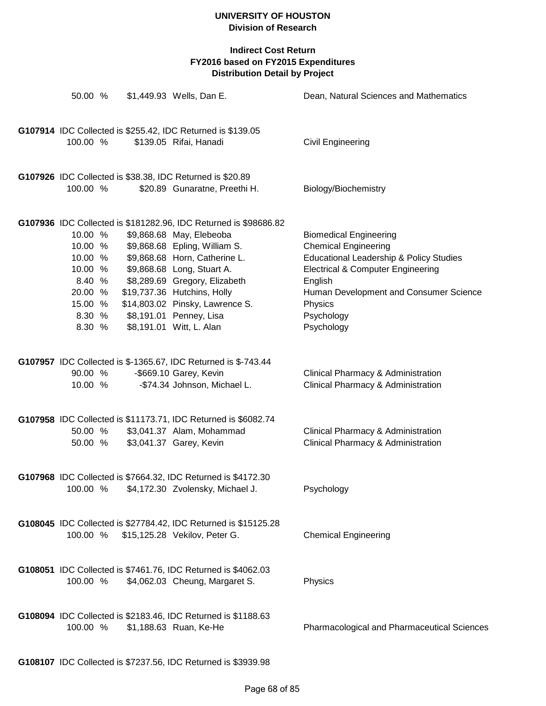| 50.00 %                                                                                      |  | \$1,449.93 Wells, Dan E.                                                                                                                                                                                                                                                                                                                               | Dean, Natural Sciences and Mathematics                                                                                                                                                                                                              |
|----------------------------------------------------------------------------------------------|--|--------------------------------------------------------------------------------------------------------------------------------------------------------------------------------------------------------------------------------------------------------------------------------------------------------------------------------------------------------|-----------------------------------------------------------------------------------------------------------------------------------------------------------------------------------------------------------------------------------------------------|
| 100.00 %                                                                                     |  | G107914 IDC Collected is \$255.42, IDC Returned is \$139.05<br>\$139.05 Rifai, Hanadi                                                                                                                                                                                                                                                                  | <b>Civil Engineering</b>                                                                                                                                                                                                                            |
| 100.00 %                                                                                     |  | G107926 IDC Collected is \$38.38, IDC Returned is \$20.89<br>\$20.89 Gunaratne, Preethi H.                                                                                                                                                                                                                                                             | Biology/Biochemistry                                                                                                                                                                                                                                |
| 10.00 %<br>10.00 %<br>10.00 %<br>10.00 %<br>8.40 %<br>20.00 %<br>15.00 %<br>8.30 %<br>8.30 % |  | G107936 IDC Collected is \$181282.96, IDC Returned is \$98686.82<br>\$9,868.68 May, Elebeoba<br>\$9,868.68 Epling, William S.<br>\$9,868.68 Horn, Catherine L.<br>\$9,868.68 Long, Stuart A.<br>\$8,289.69 Gregory, Elizabeth<br>\$19,737.36 Hutchins, Holly<br>\$14,803.02 Pinsky, Lawrence S.<br>\$8,191.01 Penney, Lisa<br>\$8,191.01 Witt, L. Alan | <b>Biomedical Engineering</b><br><b>Chemical Engineering</b><br>Educational Leadership & Policy Studies<br><b>Electrical &amp; Computer Engineering</b><br>English<br>Human Development and Consumer Science<br>Physics<br>Psychology<br>Psychology |
| 90.00 %<br>10.00 %                                                                           |  | G107957 IDC Collected is \$-1365.67, IDC Returned is \$-743.44<br>-\$669.10 Garey, Kevin<br>-\$74.34 Johnson, Michael L.                                                                                                                                                                                                                               | Clinical Pharmacy & Administration<br>Clinical Pharmacy & Administration                                                                                                                                                                            |
| 50.00 %<br>50.00 %                                                                           |  | G107958 IDC Collected is \$11173.71, IDC Returned is \$6082.74<br>\$3,041.37 Alam, Mohammad<br>\$3,041.37 Garey, Kevin                                                                                                                                                                                                                                 | Clinical Pharmacy & Administration<br>Clinical Pharmacy & Administration                                                                                                                                                                            |
| 100.00 %                                                                                     |  | G107968 IDC Collected is \$7664.32, IDC Returned is \$4172.30<br>\$4,172.30 Zvolensky, Michael J.                                                                                                                                                                                                                                                      | Psychology                                                                                                                                                                                                                                          |
| 100.00 %                                                                                     |  | G108045 IDC Collected is \$27784.42, IDC Returned is \$15125.28<br>\$15,125.28 Vekilov, Peter G.                                                                                                                                                                                                                                                       | <b>Chemical Engineering</b>                                                                                                                                                                                                                         |
| 100.00 %                                                                                     |  | G108051 IDC Collected is \$7461.76, IDC Returned is \$4062.03<br>\$4,062.03 Cheung, Margaret S.                                                                                                                                                                                                                                                        | Physics                                                                                                                                                                                                                                             |
| 100.00 %                                                                                     |  | G108094 IDC Collected is \$2183.46, IDC Returned is \$1188.63<br>\$1,188.63 Ruan, Ke-He                                                                                                                                                                                                                                                                | Pharmacological and Pharmaceutical Sciences                                                                                                                                                                                                         |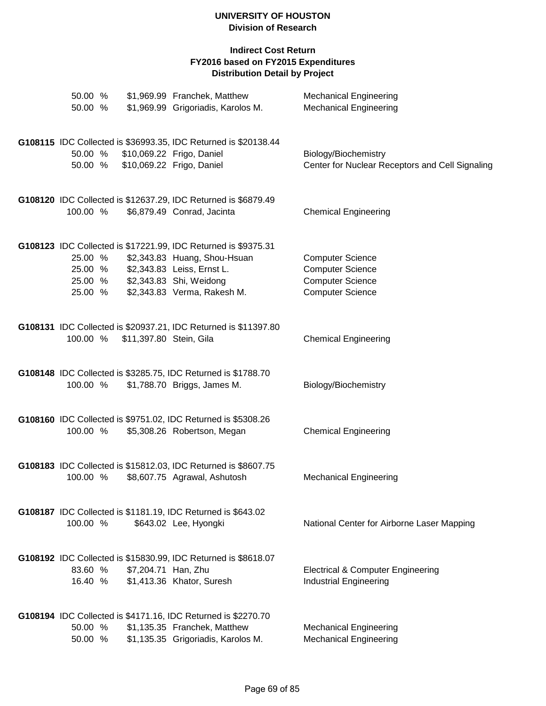| 50.00 %<br>50.00 %                       | \$1,969.99 Franchek, Matthew<br>\$1,969.99 Grigoriadis, Karolos M.                                                                                                                     | <b>Mechanical Engineering</b><br><b>Mechanical Engineering</b>                                           |
|------------------------------------------|----------------------------------------------------------------------------------------------------------------------------------------------------------------------------------------|----------------------------------------------------------------------------------------------------------|
| 50.00 %<br>50.00 %                       | G108115 IDC Collected is \$36993.35, IDC Returned is \$20138.44<br>\$10,069.22 Frigo, Daniel<br>\$10,069.22 Frigo, Daniel                                                              | Biology/Biochemistry<br>Center for Nuclear Receptors and Cell Signaling                                  |
| 100.00 %                                 | G108120 IDC Collected is \$12637.29, IDC Returned is \$6879.49<br>\$6,879.49 Conrad, Jacinta                                                                                           | <b>Chemical Engineering</b>                                                                              |
| 25.00 %<br>25.00 %<br>25.00 %<br>25.00 % | G108123 IDC Collected is \$17221.99, IDC Returned is \$9375.31<br>\$2,343.83 Huang, Shou-Hsuan<br>\$2,343.83 Leiss, Ernst L.<br>\$2,343.83 Shi, Weidong<br>\$2,343.83 Verma, Rakesh M. | <b>Computer Science</b><br><b>Computer Science</b><br><b>Computer Science</b><br><b>Computer Science</b> |
| 100.00 %                                 | G108131 IDC Collected is \$20937.21, IDC Returned is \$11397.80<br>\$11,397.80 Stein, Gila                                                                                             | <b>Chemical Engineering</b>                                                                              |
| 100.00 %                                 | G108148 IDC Collected is \$3285.75, IDC Returned is \$1788.70<br>\$1,788.70 Briggs, James M.                                                                                           | Biology/Biochemistry                                                                                     |
| 100.00 %                                 | G108160 IDC Collected is \$9751.02, IDC Returned is \$5308.26<br>\$5,308.26 Robertson, Megan                                                                                           | <b>Chemical Engineering</b>                                                                              |
| 100.00 %                                 | G108183 IDC Collected is \$15812.03, IDC Returned is \$8607.75<br>\$8,607.75 Agrawal, Ashutosh                                                                                         | <b>Mechanical Engineering</b>                                                                            |
| 100.00 %                                 | G108187 IDC Collected is \$1181.19, IDC Returned is \$643.02<br>\$643.02 Lee, Hyongki                                                                                                  | National Center for Airborne Laser Mapping                                                               |
| 83.60 %<br>16.40 %                       | G108192 IDC Collected is \$15830.99, IDC Returned is \$8618.07<br>\$7,204.71 Han, Zhu<br>\$1,413.36 Khator, Suresh                                                                     | Electrical & Computer Engineering<br><b>Industrial Engineering</b>                                       |
| 50.00 %<br>50.00 %                       | G108194 IDC Collected is \$4171.16, IDC Returned is \$2270.70<br>\$1,135.35 Franchek, Matthew<br>\$1,135.35 Grigoriadis, Karolos M.                                                    | <b>Mechanical Engineering</b><br><b>Mechanical Engineering</b>                                           |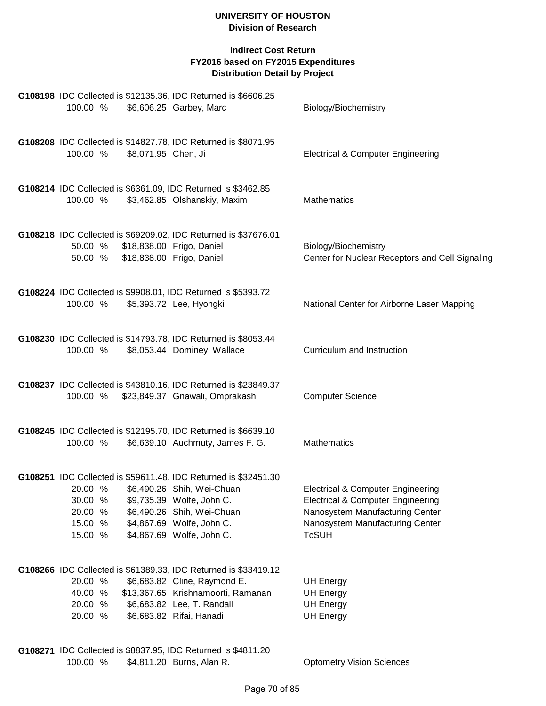| G108198 IDC Collected is \$12135.36, IDC Returned is \$6606.25<br>100.00 %<br>\$6,606.25 Garbey, Marc                                                                                                                                                                     | Biology/Biochemistry                                                                                                                                                               |
|---------------------------------------------------------------------------------------------------------------------------------------------------------------------------------------------------------------------------------------------------------------------------|------------------------------------------------------------------------------------------------------------------------------------------------------------------------------------|
| G108208 IDC Collected is \$14827.78, IDC Returned is \$8071.95<br>\$8,071.95 Chen, Ji<br>100.00 %                                                                                                                                                                         | <b>Electrical &amp; Computer Engineering</b>                                                                                                                                       |
| G108214 IDC Collected is \$6361.09, IDC Returned is \$3462.85<br>100.00 %<br>\$3,462.85 Olshanskiy, Maxim                                                                                                                                                                 | Mathematics                                                                                                                                                                        |
| G108218 IDC Collected is \$69209.02, IDC Returned is \$37676.01<br>50.00 % \$18,838.00 Frigo, Daniel<br>\$18,838.00 Frigo, Daniel<br>50.00 %                                                                                                                              | Biology/Biochemistry<br>Center for Nuclear Receptors and Cell Signaling                                                                                                            |
| G108224 IDC Collected is \$9908.01, IDC Returned is \$5393.72<br>\$5,393.72 Lee, Hyongki<br>100.00 %                                                                                                                                                                      | National Center for Airborne Laser Mapping                                                                                                                                         |
| G108230 IDC Collected is \$14793.78, IDC Returned is \$8053.44<br>100.00 %<br>\$8,053.44 Dominey, Wallace                                                                                                                                                                 | Curriculum and Instruction                                                                                                                                                         |
| G108237 IDC Collected is \$43810.16, IDC Returned is \$23849.37<br>100.00 %<br>\$23,849.37 Gnawali, Omprakash                                                                                                                                                             | <b>Computer Science</b>                                                                                                                                                            |
| G108245 IDC Collected is \$12195.70, IDC Returned is \$6639.10<br>\$6,639.10 Auchmuty, James F. G.<br>100.00 %                                                                                                                                                            | Mathematics                                                                                                                                                                        |
| G108251 IDC Collected is \$59611.48, IDC Returned is \$32451.30<br>\$6,490.26 Shih, Wei-Chuan<br>20.00 %<br>30.00 %<br>\$9,735.39 Wolfe, John C.<br>20.00 %<br>\$6,490.26 Shih, Wei-Chuan<br>\$4,867.69 Wolfe, John C.<br>15.00 %<br>15.00 %<br>\$4,867.69 Wolfe, John C. | <b>Electrical &amp; Computer Engineering</b><br><b>Electrical &amp; Computer Engineering</b><br>Nanosystem Manufacturing Center<br>Nanosystem Manufacturing Center<br><b>TcSUH</b> |
| G108266 IDC Collected is \$61389.33, IDC Returned is \$33419.12<br>20.00 %<br>\$6,683.82 Cline, Raymond E.<br>\$13,367.65 Krishnamoorti, Ramanan<br>40.00 %<br>20.00 %<br>\$6,683.82 Lee, T. Randall<br>20.00 %<br>\$6,683.82 Rifai, Hanadi                               | <b>UH Energy</b><br><b>UH Energy</b><br><b>UH Energy</b><br><b>UH Energy</b>                                                                                                       |
| G108271 IDC Collected is \$8837.95, IDC Returned is \$4811.20<br>\$4,811.20 Burns, Alan R.<br>100.00 %                                                                                                                                                                    | <b>Optometry Vision Sciences</b>                                                                                                                                                   |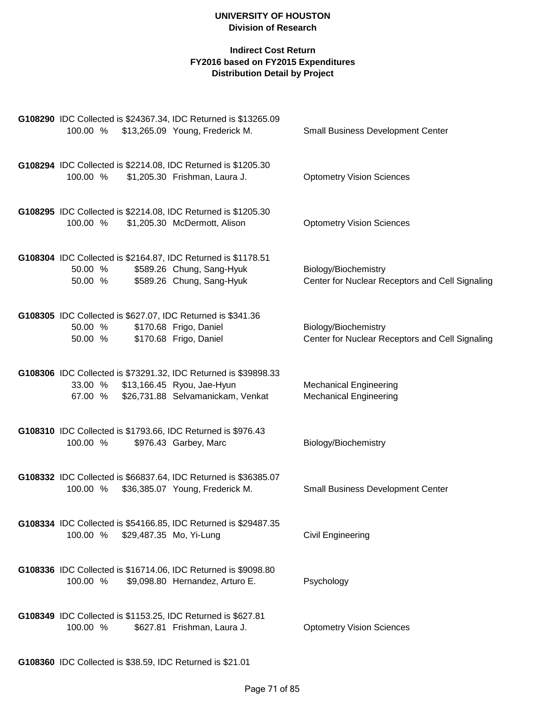# **Indirect Cost Return FY2016 based on FY2015 Expenditures Distribution Detail by Project**

| G108290 IDC Collected is \$24367.34, IDC Returned is \$13265.09<br>\$13,265.09 Young, Frederick M.<br>100.00 %                                        | <b>Small Business Development Center</b>                                |
|-------------------------------------------------------------------------------------------------------------------------------------------------------|-------------------------------------------------------------------------|
| G108294 IDC Collected is \$2214.08, IDC Returned is \$1205.30<br>\$1,205.30 Frishman, Laura J.<br>100.00 %                                            | <b>Optometry Vision Sciences</b>                                        |
| G108295 IDC Collected is \$2214.08, IDC Returned is \$1205.30<br>\$1,205.30 McDermott, Alison<br>100.00 %                                             | <b>Optometry Vision Sciences</b>                                        |
| G108304 IDC Collected is \$2164.87, IDC Returned is \$1178.51<br>\$589.26 Chung, Sang-Hyuk<br>50.00 %<br>\$589.26 Chung, Sang-Hyuk<br>50.00 %         | Biology/Biochemistry<br>Center for Nuclear Receptors and Cell Signaling |
| G108305 IDC Collected is \$627.07, IDC Returned is \$341.36<br>\$170.68 Frigo, Daniel<br>50.00 %<br>\$170.68 Frigo, Daniel<br>50.00 %                 | Biology/Biochemistry<br>Center for Nuclear Receptors and Cell Signaling |
| G108306 IDC Collected is \$73291.32, IDC Returned is \$39898.33<br>33.00 % \$13,166.45 Ryou, Jae-Hyun<br>\$26,731.88 Selvamanickam, Venkat<br>67.00 % | <b>Mechanical Engineering</b><br><b>Mechanical Engineering</b>          |
| G108310 IDC Collected is \$1793.66, IDC Returned is \$976.43<br>100.00 %<br>\$976.43 Garbey, Marc                                                     | Biology/Biochemistry                                                    |
| G108332 IDC Collected is \$66837.64, IDC Returned is \$36385.07<br>\$36,385.07 Young, Frederick M.<br>100.00 %                                        | <b>Small Business Development Center</b>                                |
| G108334 IDC Collected is \$54166.85, IDC Returned is \$29487.35<br>100.00 %<br>\$29,487.35 Mo, Yi-Lung                                                | Civil Engineering                                                       |
| G108336 IDC Collected is \$16714.06, IDC Returned is \$9098.80<br>\$9,098.80 Hernandez, Arturo E.<br>100.00 %                                         | Psychology                                                              |
| G108349 IDC Collected is \$1153.25, IDC Returned is \$627.81<br>100.00 %<br>\$627.81 Frishman, Laura J.                                               | <b>Optometry Vision Sciences</b>                                        |

**G108360** IDC Collected is \$38.59, IDC Returned is \$21.01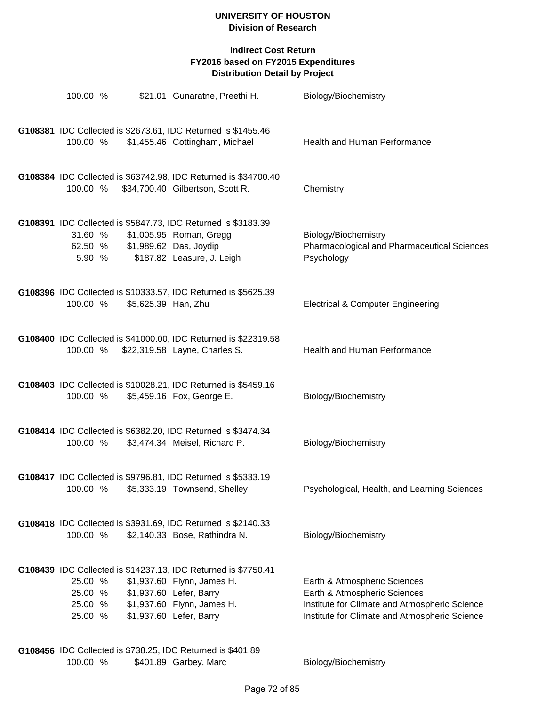# **Indirect Cost Return FY2016 based on FY2015 Expenditures Distribution Detail by Project**

| 100.00 %                                 |                     | \$21.01 Gunaratne, Preethi H.                                                                                                                                                                                                                  | Biology/Biochemistry                                                                                                                                           |
|------------------------------------------|---------------------|------------------------------------------------------------------------------------------------------------------------------------------------------------------------------------------------------------------------------------------------|----------------------------------------------------------------------------------------------------------------------------------------------------------------|
| 100.00 %                                 |                     | G108381 IDC Collected is \$2673.61, IDC Returned is \$1455.46<br>\$1,455.46 Cottingham, Michael                                                                                                                                                | Health and Human Performance                                                                                                                                   |
|                                          |                     | G108384 IDC Collected is \$63742.98, IDC Returned is \$34700.40<br>100.00 % \$34,700.40 Gilbertson, Scott R.                                                                                                                                   | Chemistry                                                                                                                                                      |
| 31.60 %<br>62.50 %<br>5.90 %             |                     | G108391 IDC Collected is \$5847.73, IDC Returned is \$3183.39<br>\$1,005.95 Roman, Gregg<br>\$1,989.62 Das, Joydip<br>\$187.82 Leasure, J. Leigh                                                                                               | Biology/Biochemistry<br>Pharmacological and Pharmaceutical Sciences<br>Psychology                                                                              |
| 100.00 %                                 | \$5,625.39 Han, Zhu | G108396 IDC Collected is \$10333.57, IDC Returned is \$5625.39                                                                                                                                                                                 | <b>Electrical &amp; Computer Engineering</b>                                                                                                                   |
|                                          |                     | G108400 IDC Collected is \$41000.00, IDC Returned is \$22319.58<br>100.00 % \$22,319.58 Layne, Charles S.                                                                                                                                      | Health and Human Performance                                                                                                                                   |
| 100.00 %                                 |                     | G108403 IDC Collected is \$10028.21, IDC Returned is \$5459.16<br>\$5,459.16 Fox, George E.                                                                                                                                                    | Biology/Biochemistry                                                                                                                                           |
| 100.00 %                                 |                     | G108414 IDC Collected is \$6382.20, IDC Returned is \$3474.34<br>\$3,474.34 Meisel, Richard P.                                                                                                                                                 | Biology/Biochemistry                                                                                                                                           |
| 100.00 %                                 |                     | G108417 IDC Collected is \$9796.81, IDC Returned is \$5333.19<br>\$5,333.19 Townsend, Shelley                                                                                                                                                  | Psychological, Health, and Learning Sciences                                                                                                                   |
| 100.00 %                                 |                     | G108418 IDC Collected is \$3931.69, IDC Returned is \$2140.33<br>\$2,140.33 Bose, Rathindra N.                                                                                                                                                 | Biology/Biochemistry                                                                                                                                           |
| 25.00 %<br>25.00 %<br>25.00 %<br>25.00 % |                     | G108439 IDC Collected is \$14237.13, IDC Returned is \$7750.41<br>\$1,937.60 Flynn, James H.<br>\$1,937.60 Lefer, Barry<br>\$1,937.60 Flynn, James H.<br>\$1,937.60 Lefer, Barry<br>G108456 IDC Collected is \$738.25 IDC Returned is \$401.89 | Earth & Atmospheric Sciences<br>Earth & Atmospheric Sciences<br>Institute for Climate and Atmospheric Science<br>Institute for Climate and Atmospheric Science |

**G108456** IDC Collected is \$738.25, IDC Returned is \$401.89 100.00 % \$401.89 Garbey, Marc Biology/Biochemistry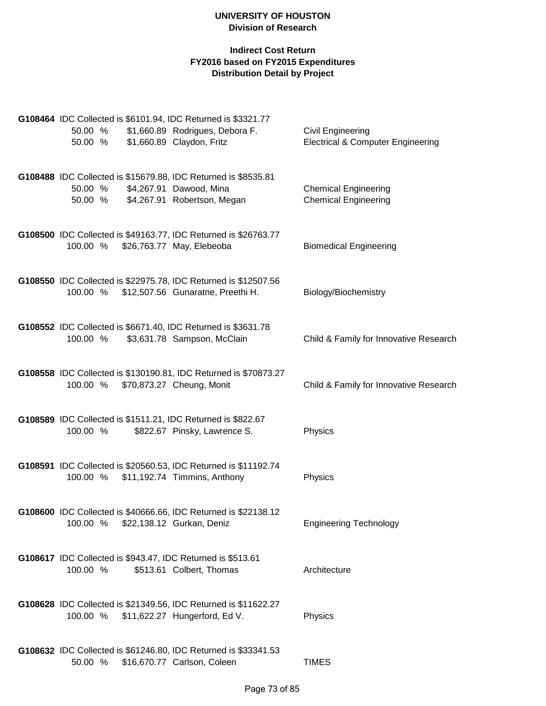| 50.00 %<br>50.00 % | G108464 IDC Collected is \$6101.94, IDC Returned is \$3321.77<br>\$1,660.89 Rodrigues, Debora F.<br>\$1,660.89 Claydon, Fritz | <b>Civil Engineering</b><br><b>Electrical &amp; Computer Engineering</b> |
|--------------------|-------------------------------------------------------------------------------------------------------------------------------|--------------------------------------------------------------------------|
| 50.00 %<br>50.00 % | G108488 IDC Collected is \$15679.88, IDC Returned is \$8535.81<br>\$4,267.91 Dawood, Mina<br>\$4,267.91 Robertson, Megan      | <b>Chemical Engineering</b><br><b>Chemical Engineering</b>               |
| 100.00 %           | G108500 IDC Collected is \$49163.77, IDC Returned is \$26763.77<br>\$26,763.77 May, Elebeoba                                  | <b>Biomedical Engineering</b>                                            |
|                    | G108550 IDC Collected is \$22975.78, IDC Returned is \$12507.56<br>100.00 % \$12,507.56 Gunaratne, Preethi H.                 | Biology/Biochemistry                                                     |
| 100.00 %           | G108552 IDC Collected is \$6671.40, IDC Returned is \$3631.78<br>\$3,631.78 Sampson, McClain                                  | Child & Family for Innovative Research                                   |
| 100.00 %           | G108558 IDC Collected is \$130190.81, IDC Returned is \$70873.27<br>\$70,873.27 Cheung, Monit                                 | Child & Family for Innovative Research                                   |
| 100.00 %           | G108589 IDC Collected is \$1511.21, IDC Returned is \$822.67<br>\$822.67 Pinsky, Lawrence S.                                  | Physics                                                                  |
| 100.00 %           | G108591 IDC Collected is \$20560.53, IDC Returned is \$11192.74<br>\$11,192.74 Timmins, Anthony                               | Physics                                                                  |
|                    | G108600 IDC Collected is \$40666.66, IDC Returned is \$22138.12<br>100.00 % \$22,138.12 Gurkan, Deniz                         | <b>Engineering Technology</b>                                            |
| 100.00 %           | G108617 IDC Collected is \$943.47, IDC Returned is \$513.61<br>\$513.61 Colbert, Thomas                                       | Architecture                                                             |
| 100.00 %           | G108628 IDC Collected is \$21349.56, IDC Returned is \$11622.27<br>\$11,622.27 Hungerford, Ed V.                              | Physics                                                                  |
| 50.00 %            | G108632 IDC Collected is \$61246.80, IDC Returned is \$33341.53<br>\$16,670.77 Carlson, Coleen                                | <b>TIMES</b>                                                             |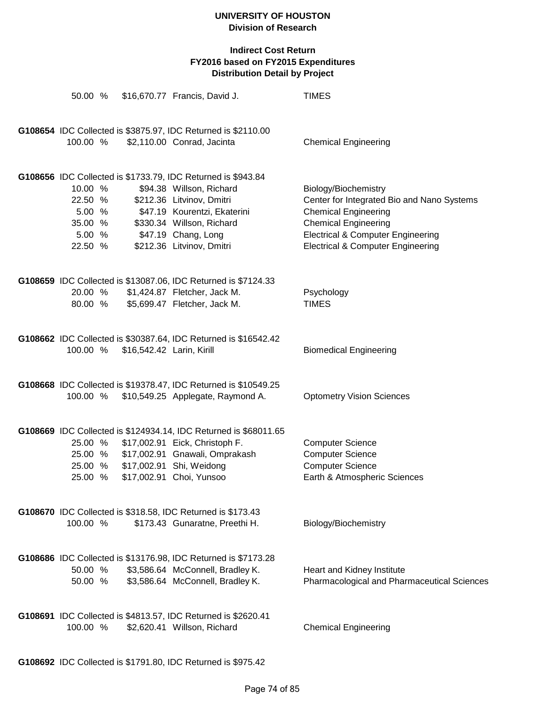| 50.00 %            |                           | \$16,670.77 Francis, David J.                                                                        | <b>TIMES</b>                                                                                 |
|--------------------|---------------------------|------------------------------------------------------------------------------------------------------|----------------------------------------------------------------------------------------------|
|                    |                           |                                                                                                      |                                                                                              |
|                    |                           | G108654 IDC Collected is \$3875.97, IDC Returned is \$2110.00                                        |                                                                                              |
| 100.00 %           |                           | \$2,110.00 Conrad, Jacinta                                                                           | <b>Chemical Engineering</b>                                                                  |
|                    |                           | G108656 IDC Collected is \$1733.79, IDC Returned is \$943.84                                         |                                                                                              |
| 10.00 %            |                           | \$94.38 Willson, Richard                                                                             | Biology/Biochemistry                                                                         |
| 22.50 %            |                           | \$212.36 Litvinov, Dmitri                                                                            | Center for Integrated Bio and Nano Systems                                                   |
| 5.00 %             |                           | \$47.19 Kourentzi, Ekaterini                                                                         | <b>Chemical Engineering</b>                                                                  |
| 35.00 %            |                           | \$330.34 Willson, Richard                                                                            | <b>Chemical Engineering</b>                                                                  |
| 5.00 %<br>22.50 %  |                           | \$47.19 Chang, Long<br>\$212.36 Litvinov, Dmitri                                                     | <b>Electrical &amp; Computer Engineering</b><br><b>Electrical &amp; Computer Engineering</b> |
|                    |                           |                                                                                                      |                                                                                              |
|                    |                           | G108659 IDC Collected is \$13087.06, IDC Returned is \$7124.33                                       |                                                                                              |
| 20.00 %            |                           | \$1,424.87 Fletcher, Jack M.                                                                         | Psychology                                                                                   |
| 80.00 %            |                           | \$5,699.47 Fletcher, Jack M.                                                                         | <b>TIMES</b>                                                                                 |
|                    |                           | G108662 IDC Collected is \$30387.64, IDC Returned is \$16542.42                                      |                                                                                              |
| 100.00 %           | \$16,542.42 Larin, Kirill |                                                                                                      | <b>Biomedical Engineering</b>                                                                |
|                    |                           |                                                                                                      |                                                                                              |
| 100.00 %           |                           | G108668 IDC Collected is \$19378.47, IDC Returned is \$10549.25<br>\$10,549.25 Applegate, Raymond A. | <b>Optometry Vision Sciences</b>                                                             |
|                    |                           |                                                                                                      |                                                                                              |
|                    |                           | G108669 IDC Collected is \$124934.14, IDC Returned is \$68011.65                                     |                                                                                              |
| 25.00 %            |                           | \$17,002.91 Eick, Christoph F.                                                                       | <b>Computer Science</b>                                                                      |
|                    |                           | 25.00 % \$17,002.91 Gnawali, Omprakash                                                               | <b>Computer Science</b>                                                                      |
|                    |                           | 25.00 % \$17,002.91 Shi, Weidong                                                                     | <b>Computer Science</b>                                                                      |
| 25.00 %            |                           | \$17,002.91 Choi, Yunsoo                                                                             | Earth & Atmospheric Sciences                                                                 |
|                    |                           | G108670 IDC Collected is \$318.58, IDC Returned is \$173.43                                          |                                                                                              |
| 100.00 %           |                           | \$173.43 Gunaratne, Preethi H.                                                                       | Biology/Biochemistry                                                                         |
|                    |                           |                                                                                                      |                                                                                              |
|                    |                           | G108686 IDC Collected is \$13176.98, IDC Returned is \$7173.28                                       |                                                                                              |
| 50.00 %<br>50.00 % |                           | \$3,586.64 McConnell, Bradley K.<br>\$3,586.64 McConnell, Bradley K.                                 | Heart and Kidney Institute<br>Pharmacological and Pharmaceutical Sciences                    |
|                    |                           |                                                                                                      |                                                                                              |
|                    |                           | G108691 IDC Collected is \$4813.57, IDC Returned is \$2620.41                                        |                                                                                              |
| 100.00 %           |                           | \$2,620.41 Willson, Richard                                                                          | <b>Chemical Engineering</b>                                                                  |
|                    |                           |                                                                                                      |                                                                                              |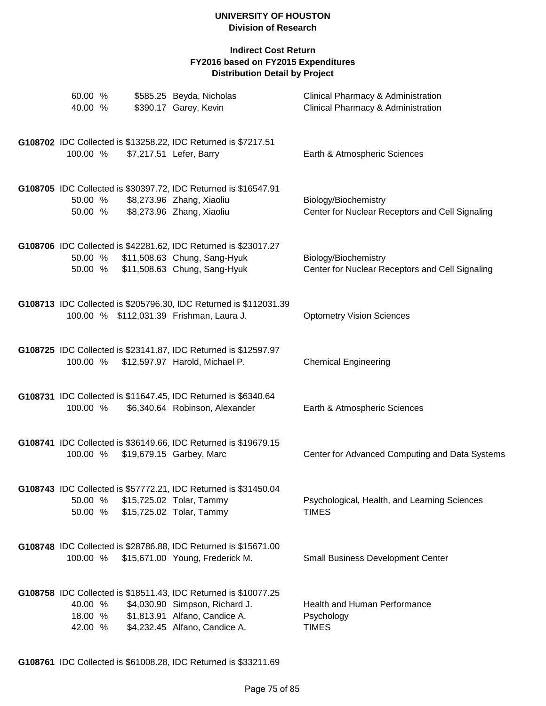## **Indirect Cost Return FY2016 based on FY2015 Expenditures Distribution Detail by Project**

| 60.00 %<br>40.00 %            | \$585.25 Beyda, Nicholas<br>\$390.17 Garey, Kevin                                                                                                                   | Clinical Pharmacy & Administration<br>Clinical Pharmacy & Administration |
|-------------------------------|---------------------------------------------------------------------------------------------------------------------------------------------------------------------|--------------------------------------------------------------------------|
| 100.00 %                      | G108702 IDC Collected is \$13258.22, IDC Returned is \$7217.51<br>\$7,217.51 Lefer, Barry                                                                           | Earth & Atmospheric Sciences                                             |
| 50.00 %<br>50.00 %            | G108705 IDC Collected is \$30397.72, IDC Returned is \$16547.91<br>\$8,273.96 Zhang, Xiaoliu<br>\$8,273.96 Zhang, Xiaoliu                                           | Biology/Biochemistry<br>Center for Nuclear Receptors and Cell Signaling  |
| 50.00 %<br>50.00 %            | G108706 IDC Collected is \$42281.62, IDC Returned is \$23017.27<br>\$11,508.63 Chung, Sang-Hyuk<br>\$11,508.63 Chung, Sang-Hyuk                                     | Biology/Biochemistry<br>Center for Nuclear Receptors and Cell Signaling  |
|                               | G108713 IDC Collected is \$205796.30, IDC Returned is \$112031.39<br>100.00 % \$112,031.39 Frishman, Laura J.                                                       | <b>Optometry Vision Sciences</b>                                         |
| 100.00 %                      | G108725 IDC Collected is \$23141.87, IDC Returned is \$12597.97<br>\$12,597.97 Harold, Michael P.                                                                   | <b>Chemical Engineering</b>                                              |
| 100.00 %                      | G108731 IDC Collected is \$11647.45, IDC Returned is \$6340.64<br>\$6,340.64 Robinson, Alexander                                                                    | Earth & Atmospheric Sciences                                             |
| 100.00 %                      | G108741 IDC Collected is \$36149.66, IDC Returned is \$19679.15<br>\$19,679.15 Garbey, Marc                                                                         | Center for Advanced Computing and Data Systems                           |
| 50.00 %<br>50.00 %            | G108743 IDC Collected is \$57772.21, IDC Returned is \$31450.04<br>\$15,725.02 Tolar, Tammy<br>\$15,725.02 Tolar, Tammy                                             | Psychological, Health, and Learning Sciences<br><b>TIMES</b>             |
| 100.00 %                      | G108748 IDC Collected is \$28786.88, IDC Returned is \$15671.00<br>\$15,671.00 Young, Frederick M.                                                                  | <b>Small Business Development Center</b>                                 |
| 40.00 %<br>18.00 %<br>42.00 % | G108758 IDC Collected is \$18511.43, IDC Returned is \$10077.25<br>\$4,030.90 Simpson, Richard J.<br>\$1,813.91 Alfano, Candice A.<br>\$4,232.45 Alfano, Candice A. | <b>Health and Human Performance</b><br>Psychology<br><b>TIMES</b>        |

**G108761** IDC Collected is \$61008.28, IDC Returned is \$33211.69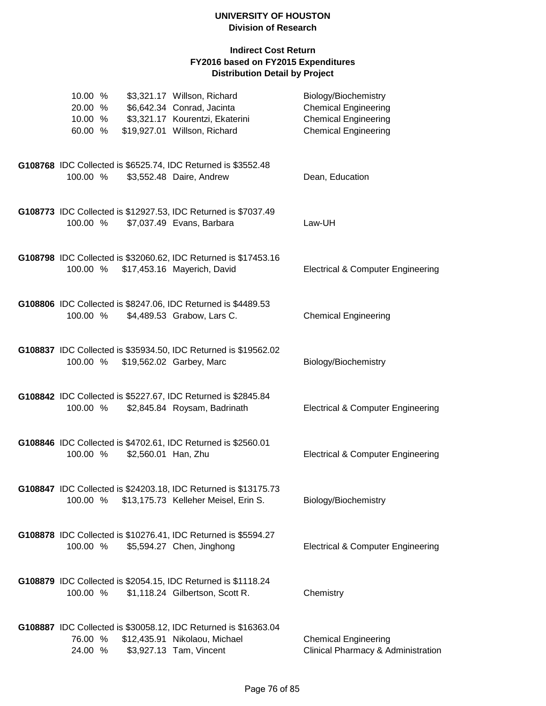| 10.00 %            |                     | \$3,321.17 Willson, Richard                                                                 | Biology/Biochemistry                                       |
|--------------------|---------------------|---------------------------------------------------------------------------------------------|------------------------------------------------------------|
| 20.00 %            |                     | \$6,642.34 Conrad, Jacinta                                                                  | <b>Chemical Engineering</b>                                |
| 10.00 %<br>60.00 % |                     | \$3,321.17 Kourentzi, Ekaterini<br>\$19,927.01 Willson, Richard                             | <b>Chemical Engineering</b><br><b>Chemical Engineering</b> |
|                    |                     |                                                                                             |                                                            |
|                    |                     |                                                                                             |                                                            |
|                    |                     | G108768 IDC Collected is \$6525.74, IDC Returned is \$3552.48                               |                                                            |
| 100.00 %           |                     | \$3,552.48 Daire, Andrew                                                                    | Dean, Education                                            |
|                    |                     |                                                                                             |                                                            |
|                    |                     | G108773 IDC Collected is \$12927.53, IDC Returned is \$7037.49                              |                                                            |
| 100.00 %           |                     | \$7,037.49 Evans, Barbara                                                                   | Law-UH                                                     |
|                    |                     |                                                                                             |                                                            |
|                    |                     |                                                                                             |                                                            |
|                    |                     | G108798 IDC Collected is \$32060.62, IDC Returned is \$17453.16                             | <b>Electrical &amp; Computer Engineering</b>               |
|                    |                     | 100.00 % \$17,453.16 Mayerich, David                                                        |                                                            |
|                    |                     |                                                                                             |                                                            |
|                    |                     | G108806 IDC Collected is \$8247.06, IDC Returned is \$4489.53                               |                                                            |
| 100.00 %           |                     | \$4,489.53 Grabow, Lars C.                                                                  | <b>Chemical Engineering</b>                                |
|                    |                     |                                                                                             |                                                            |
|                    |                     | G108837 IDC Collected is \$35934.50, IDC Returned is \$19562.02                             |                                                            |
| 100.00 %           |                     | \$19,562.02 Garbey, Marc                                                                    | Biology/Biochemistry                                       |
|                    |                     |                                                                                             |                                                            |
|                    |                     |                                                                                             |                                                            |
|                    |                     | G108842 IDC Collected is \$5227.67, IDC Returned is \$2845.84                               |                                                            |
| 100.00 %           |                     | \$2,845.84 Roysam, Badrinath                                                                | <b>Electrical &amp; Computer Engineering</b>               |
|                    |                     |                                                                                             |                                                            |
|                    |                     | G108846 IDC Collected is \$4702.61, IDC Returned is \$2560.01                               |                                                            |
| 100.00 %           | \$2,560.01 Han, Zhu |                                                                                             | <b>Electrical &amp; Computer Engineering</b>               |
|                    |                     |                                                                                             |                                                            |
|                    |                     | G108847 IDC Collected is \$24203.18, IDC Returned is \$13175.73                             |                                                            |
|                    |                     | 100.00 % \$13,175.73 Kelleher Meisel, Erin S.                                               | Biology/Biochemistry                                       |
|                    |                     |                                                                                             |                                                            |
|                    |                     |                                                                                             |                                                            |
| 100.00 %           |                     | G108878 IDC Collected is \$10276.41, IDC Returned is \$5594.27<br>\$5,594.27 Chen, Jinghong | <b>Electrical &amp; Computer Engineering</b>               |
|                    |                     |                                                                                             |                                                            |
|                    |                     |                                                                                             |                                                            |
|                    |                     | G108879 IDC Collected is \$2054.15, IDC Returned is \$1118.24                               |                                                            |
| 100.00 %           |                     | \$1,118.24 Gilbertson, Scott R.                                                             | Chemistry                                                  |
|                    |                     |                                                                                             |                                                            |
|                    |                     | G108887 IDC Collected is \$30058.12, IDC Returned is \$16363.04                             |                                                            |
| 76.00 %            |                     | \$12,435.91 Nikolaou, Michael                                                               | <b>Chemical Engineering</b>                                |
| 24.00 %            |                     | \$3,927.13 Tam, Vincent                                                                     | Clinical Pharmacy & Administration                         |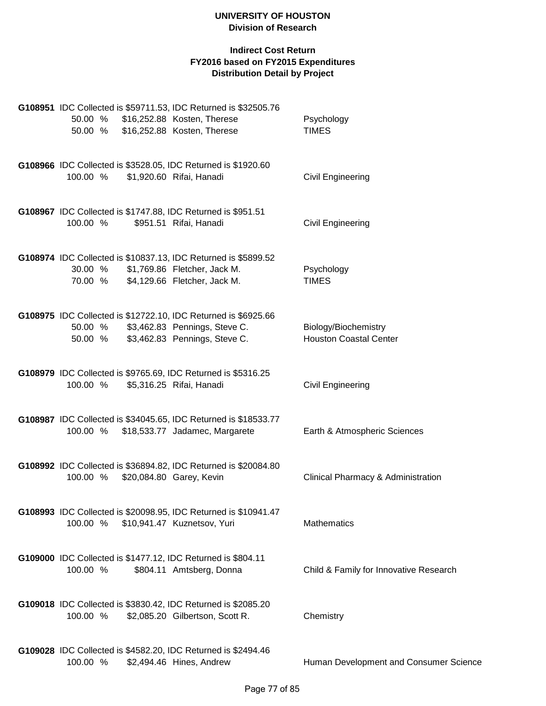|          |  | G108951 IDC Collected is \$59711.53, IDC Returned is \$32505.76                                                                                  |                                                       |
|----------|--|--------------------------------------------------------------------------------------------------------------------------------------------------|-------------------------------------------------------|
|          |  | 50.00 % \$16,252.88 Kosten, Therese<br>50.00 % \$16,252.88 Kosten, Therese                                                                       | Psychology<br><b>TIMES</b>                            |
| 100.00 % |  | G108966 IDC Collected is \$3528.05, IDC Returned is \$1920.60<br>\$1,920.60 Rifai, Hanadi                                                        | <b>Civil Engineering</b>                              |
| 100.00 % |  | G108967 IDC Collected is \$1747.88, IDC Returned is \$951.51<br>\$951.51 Rifai, Hanadi                                                           | <b>Civil Engineering</b>                              |
| 30.00 %  |  | G108974 IDC Collected is \$10837.13, IDC Returned is \$5899.52<br>\$1,769.86 Fletcher, Jack M.<br>70.00 % \$4,129.66 Fletcher, Jack M.           | Psychology<br><b>TIMES</b>                            |
|          |  | G108975 IDC Collected is \$12722.10, IDC Returned is \$6925.66<br>50.00 % \$3,462.83 Pennings, Steve C.<br>50.00 % \$3,462.83 Pennings, Steve C. | Biology/Biochemistry<br><b>Houston Coastal Center</b> |
| 100.00 % |  | G108979 IDC Collected is \$9765.69, IDC Returned is \$5316.25<br>\$5,316.25 Rifai, Hanadi                                                        | <b>Civil Engineering</b>                              |
| 100.00 % |  | G108987 IDC Collected is \$34045.65, IDC Returned is \$18533.77<br>\$18,533.77 Jadamec, Margarete                                                | Earth & Atmospheric Sciences                          |
| 100.00 % |  | G108992 IDC Collected is \$36894.82, IDC Returned is \$20084.80<br>\$20,084.80 Garey, Kevin                                                      | Clinical Pharmacy & Administration                    |
| 100.00 % |  | G108993 IDC Collected is \$20098.95, IDC Returned is \$10941.47<br>\$10,941.47 Kuznetsov, Yuri                                                   | Mathematics                                           |
| 100.00 % |  | G109000 IDC Collected is \$1477.12, IDC Returned is \$804.11<br>\$804.11 Amtsberg, Donna                                                         | Child & Family for Innovative Research                |
| 100.00 % |  | G109018 IDC Collected is \$3830.42, IDC Returned is \$2085.20<br>\$2,085.20 Gilbertson, Scott R.                                                 | Chemistry                                             |
| 100.00 % |  | G109028 IDC Collected is \$4582.20, IDC Returned is \$2494.46<br>\$2,494.46 Hines, Andrew                                                        | Human Development and Consumer Science                |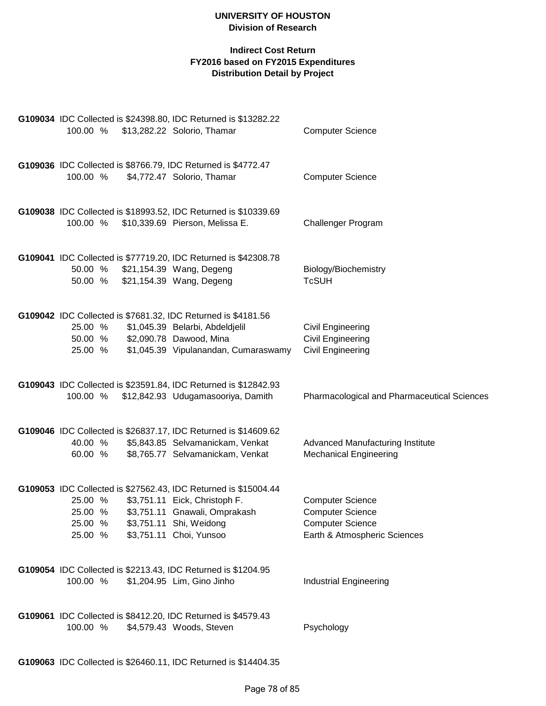## **Indirect Cost Return FY2016 based on FY2015 Expenditures Distribution Detail by Project**

| G109036 IDC Collected is \$8766.79, IDC Returned is \$4772.47<br>100.00 %<br>\$4,772.47 Solorio, Thamar<br><b>Computer Science</b><br>G109038 IDC Collected is \$18993.52, IDC Returned is \$10339.69<br>\$10,339.69 Pierson, Melissa E.<br>Challenger Program<br>100.00 %<br>G109041 IDC Collected is \$77719.20, IDC Returned is \$42308.78<br>50.00 % \$21,154.39 Wang, Degeng<br>Biology/Biochemistry<br><b>TcSUH</b><br>\$21,154.39 Wang, Degeng<br>50.00 %<br>G109042 IDC Collected is \$7681.32, IDC Returned is \$4181.56<br>25.00 %<br>\$1,045.39 Belarbi, Abdeldjelil<br><b>Civil Engineering</b><br>50.00 % \$2,090.78 Dawood, Mina<br><b>Civil Engineering</b><br>\$1,045.39 Vipulanandan, Cumaraswamy<br><b>Civil Engineering</b><br>25.00 %<br>G109043 IDC Collected is \$23591.84, IDC Returned is \$12842.93<br>100.00 %<br>\$12,842.93 Udugamasooriya, Damith<br>G109046 IDC Collected is \$26837.17, IDC Returned is \$14609.62<br>\$5,843.85 Selvamanickam, Venkat<br>Advanced Manufacturing Institute<br>40.00 %<br>\$8,765.77 Selvamanickam, Venkat<br>60.00 %<br><b>Mechanical Engineering</b><br>G109053 IDC Collected is \$27562.43, IDC Returned is \$15004.44<br>\$3,751.11 Eick, Christoph F.<br>25.00 %<br><b>Computer Science</b><br>25.00 %<br>\$3,751.11 Gnawali, Omprakash<br><b>Computer Science</b><br>\$3,751.11 Shi, Weidong<br><b>Computer Science</b><br>25.00 %<br>Earth & Atmospheric Sciences<br>25.00 %<br>\$3,751.11 Choi, Yunsoo<br>G109054 IDC Collected is \$2213.43, IDC Returned is \$1204.95<br>100.00 %<br>\$1,204.95 Lim, Gino Jinho<br><b>Industrial Engineering</b><br>G109061 IDC Collected is \$8412.20, IDC Returned is \$4579.43<br>100.00 %<br>\$4,579.43 Woods, Steven<br>Psychology | 100.00 % | G109034 IDC Collected is \$24398.80, IDC Returned is \$13282.22<br>\$13,282.22 Solorio, Thamar | <b>Computer Science</b>                     |
|-------------------------------------------------------------------------------------------------------------------------------------------------------------------------------------------------------------------------------------------------------------------------------------------------------------------------------------------------------------------------------------------------------------------------------------------------------------------------------------------------------------------------------------------------------------------------------------------------------------------------------------------------------------------------------------------------------------------------------------------------------------------------------------------------------------------------------------------------------------------------------------------------------------------------------------------------------------------------------------------------------------------------------------------------------------------------------------------------------------------------------------------------------------------------------------------------------------------------------------------------------------------------------------------------------------------------------------------------------------------------------------------------------------------------------------------------------------------------------------------------------------------------------------------------------------------------------------------------------------------------------------------------------------------------------------------------------------------------------------------------|----------|------------------------------------------------------------------------------------------------|---------------------------------------------|
|                                                                                                                                                                                                                                                                                                                                                                                                                                                                                                                                                                                                                                                                                                                                                                                                                                                                                                                                                                                                                                                                                                                                                                                                                                                                                                                                                                                                                                                                                                                                                                                                                                                                                                                                                 |          |                                                                                                |                                             |
|                                                                                                                                                                                                                                                                                                                                                                                                                                                                                                                                                                                                                                                                                                                                                                                                                                                                                                                                                                                                                                                                                                                                                                                                                                                                                                                                                                                                                                                                                                                                                                                                                                                                                                                                                 |          |                                                                                                |                                             |
|                                                                                                                                                                                                                                                                                                                                                                                                                                                                                                                                                                                                                                                                                                                                                                                                                                                                                                                                                                                                                                                                                                                                                                                                                                                                                                                                                                                                                                                                                                                                                                                                                                                                                                                                                 |          |                                                                                                |                                             |
|                                                                                                                                                                                                                                                                                                                                                                                                                                                                                                                                                                                                                                                                                                                                                                                                                                                                                                                                                                                                                                                                                                                                                                                                                                                                                                                                                                                                                                                                                                                                                                                                                                                                                                                                                 |          |                                                                                                |                                             |
|                                                                                                                                                                                                                                                                                                                                                                                                                                                                                                                                                                                                                                                                                                                                                                                                                                                                                                                                                                                                                                                                                                                                                                                                                                                                                                                                                                                                                                                                                                                                                                                                                                                                                                                                                 |          |                                                                                                | Pharmacological and Pharmaceutical Sciences |
|                                                                                                                                                                                                                                                                                                                                                                                                                                                                                                                                                                                                                                                                                                                                                                                                                                                                                                                                                                                                                                                                                                                                                                                                                                                                                                                                                                                                                                                                                                                                                                                                                                                                                                                                                 |          |                                                                                                |                                             |
|                                                                                                                                                                                                                                                                                                                                                                                                                                                                                                                                                                                                                                                                                                                                                                                                                                                                                                                                                                                                                                                                                                                                                                                                                                                                                                                                                                                                                                                                                                                                                                                                                                                                                                                                                 |          |                                                                                                |                                             |
|                                                                                                                                                                                                                                                                                                                                                                                                                                                                                                                                                                                                                                                                                                                                                                                                                                                                                                                                                                                                                                                                                                                                                                                                                                                                                                                                                                                                                                                                                                                                                                                                                                                                                                                                                 |          |                                                                                                |                                             |
|                                                                                                                                                                                                                                                                                                                                                                                                                                                                                                                                                                                                                                                                                                                                                                                                                                                                                                                                                                                                                                                                                                                                                                                                                                                                                                                                                                                                                                                                                                                                                                                                                                                                                                                                                 |          |                                                                                                |                                             |

**G109063** IDC Collected is \$26460.11, IDC Returned is \$14404.35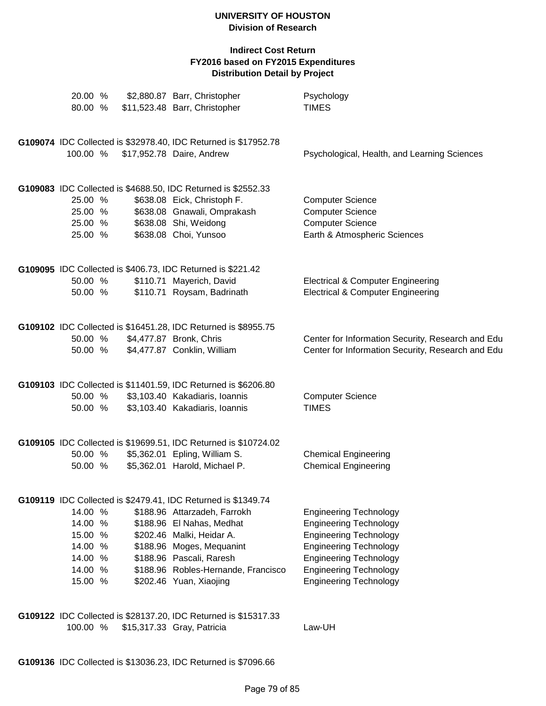| 20.00 %<br>80.00 %                                                        | \$2,880.87 Barr, Christopher<br>\$11,523.48 Barr, Christopher                                                                                                                                                                                                                      | Psychology<br><b>TIMES</b>                                                                                                                                                                                                          |
|---------------------------------------------------------------------------|------------------------------------------------------------------------------------------------------------------------------------------------------------------------------------------------------------------------------------------------------------------------------------|-------------------------------------------------------------------------------------------------------------------------------------------------------------------------------------------------------------------------------------|
| 100.00 %                                                                  | G109074 IDC Collected is \$32978.40, IDC Returned is \$17952.78<br>\$17,952.78 Daire, Andrew                                                                                                                                                                                       | Psychological, Health, and Learning Sciences                                                                                                                                                                                        |
| 25.00 %<br>25.00 %<br>25.00 %<br>25.00 %                                  | G109083 IDC Collected is \$4688.50, IDC Returned is \$2552.33<br>\$638.08 Eick, Christoph F.<br>\$638.08 Gnawali, Omprakash<br>\$638.08 Shi, Weidong<br>\$638.08 Choi, Yunsoo                                                                                                      | <b>Computer Science</b><br><b>Computer Science</b><br><b>Computer Science</b><br>Earth & Atmospheric Sciences                                                                                                                       |
| 50.00 %<br>50.00 %                                                        | G109095 IDC Collected is \$406.73, IDC Returned is \$221.42<br>\$110.71 Mayerich, David<br>\$110.71 Roysam, Badrinath                                                                                                                                                              | <b>Electrical &amp; Computer Engineering</b><br><b>Electrical &amp; Computer Engineering</b>                                                                                                                                        |
| 50.00 %<br>50.00 %                                                        | G109102 IDC Collected is \$16451.28, IDC Returned is \$8955.75<br>\$4,477.87 Bronk, Chris<br>\$4,477.87 Conklin, William                                                                                                                                                           | Center for Information Security, Research and Edu<br>Center for Information Security, Research and Edu                                                                                                                              |
| 50.00 %<br>50.00 %                                                        | G109103 IDC Collected is \$11401.59, IDC Returned is \$6206.80<br>\$3,103.40 Kakadiaris, Ioannis<br>\$3,103.40 Kakadiaris, Ioannis                                                                                                                                                 | <b>Computer Science</b><br><b>TIMES</b>                                                                                                                                                                                             |
| 50.00 %<br>50.00 %                                                        | G109105 IDC Collected is \$19699.51, IDC Returned is \$10724.02<br>\$5,362.01 Epling, William S.<br>\$5,362.01 Harold, Michael P.                                                                                                                                                  | <b>Chemical Engineering</b><br><b>Chemical Engineering</b>                                                                                                                                                                          |
| 14.00 %<br>14.00 %<br>15.00 %<br>14.00 %<br>14.00 %<br>14.00 %<br>15.00 % | G109119 IDC Collected is \$2479.41, IDC Returned is \$1349.74<br>\$188.96 Attarzadeh, Farrokh<br>\$188.96 El Nahas, Medhat<br>\$202.46 Malki, Heidar A.<br>\$188.96 Moges, Mequanint<br>\$188.96 Pascali, Raresh<br>\$188.96 Robles-Hernande, Francisco<br>\$202.46 Yuan, Xiaojing | <b>Engineering Technology</b><br><b>Engineering Technology</b><br><b>Engineering Technology</b><br><b>Engineering Technology</b><br><b>Engineering Technology</b><br><b>Engineering Technology</b><br><b>Engineering Technology</b> |
| 100.00 %                                                                  | G109122 IDC Collected is \$28137.20, IDC Returned is \$15317.33<br>\$15,317.33 Gray, Patricia                                                                                                                                                                                      | Law-UH                                                                                                                                                                                                                              |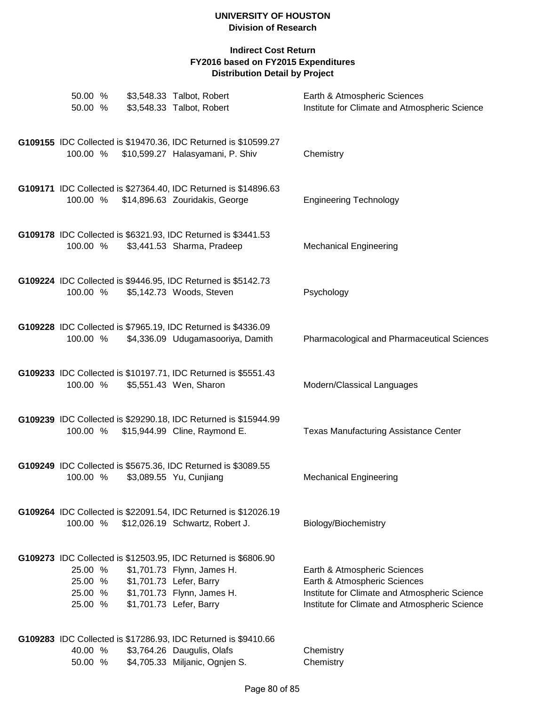| 50.00 %<br>50.00 %                       | \$3,548.33 Talbot, Robert<br>\$3,548.33 Talbot, Robert                                                                                                                           | Earth & Atmospheric Sciences<br>Institute for Climate and Atmospheric Science                                                                                  |
|------------------------------------------|----------------------------------------------------------------------------------------------------------------------------------------------------------------------------------|----------------------------------------------------------------------------------------------------------------------------------------------------------------|
| 100.00 %                                 | G109155 IDC Collected is \$19470.36, IDC Returned is \$10599.27<br>\$10,599.27 Halasyamani, P. Shiv                                                                              | Chemistry                                                                                                                                                      |
| 100.00 %                                 | G109171 IDC Collected is \$27364.40, IDC Returned is \$14896.63<br>\$14,896.63 Zouridakis, George                                                                                | <b>Engineering Technology</b>                                                                                                                                  |
| 100.00 %                                 | G109178 IDC Collected is \$6321.93, IDC Returned is \$3441.53<br>\$3,441.53 Sharma, Pradeep                                                                                      | <b>Mechanical Engineering</b>                                                                                                                                  |
| 100.00 %                                 | G109224 IDC Collected is \$9446.95, IDC Returned is \$5142.73<br>\$5,142.73 Woods, Steven                                                                                        | Psychology                                                                                                                                                     |
| 100.00 %                                 | G109228 IDC Collected is \$7965.19, IDC Returned is \$4336.09<br>\$4,336.09 Udugamasooriya, Damith                                                                               | Pharmacological and Pharmaceutical Sciences                                                                                                                    |
| 100.00 %                                 | G109233 IDC Collected is \$10197.71, IDC Returned is \$5551.43<br>\$5,551.43 Wen, Sharon                                                                                         | Modern/Classical Languages                                                                                                                                     |
| 100.00 %                                 | G109239 IDC Collected is \$29290.18, IDC Returned is \$15944.99<br>\$15,944.99 Cline, Raymond E.                                                                                 | <b>Texas Manufacturing Assistance Center</b>                                                                                                                   |
| 100.00 %                                 | G109249 IDC Collected is \$5675.36, IDC Returned is \$3089.55<br>\$3,089.55 Yu, Cunjiang                                                                                         | <b>Mechanical Engineering</b>                                                                                                                                  |
| 100.00 %                                 | G109264 IDC Collected is \$22091.54, IDC Returned is \$12026.19<br>\$12,026.19 Schwartz, Robert J.                                                                               | Biology/Biochemistry                                                                                                                                           |
| 25.00 %<br>25.00 %<br>25.00 %<br>25.00 % | G109273 IDC Collected is \$12503.95, IDC Returned is \$6806.90<br>\$1,701.73 Flynn, James H.<br>\$1,701.73 Lefer, Barry<br>\$1,701.73 Flynn, James H.<br>\$1,701.73 Lefer, Barry | Earth & Atmospheric Sciences<br>Earth & Atmospheric Sciences<br>Institute for Climate and Atmospheric Science<br>Institute for Climate and Atmospheric Science |
| 40.00 %<br>50.00 %                       | G109283 IDC Collected is \$17286.93, IDC Returned is \$9410.66<br>\$3,764.26 Daugulis, Olafs<br>\$4,705.33 Miljanic, Ognjen S.                                                   | Chemistry<br>Chemistry                                                                                                                                         |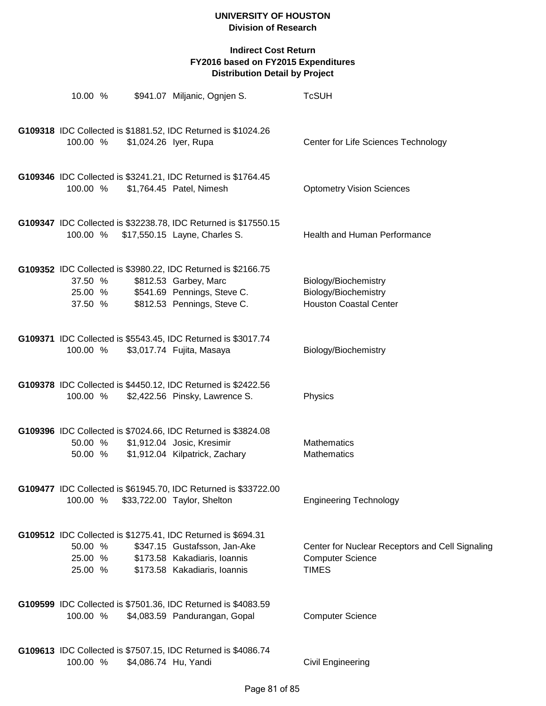| 10.00 %                       | \$941.07 Miljanic, Ognjen S.                                                                                                                                 | <b>TcSUH</b>                                                                               |
|-------------------------------|--------------------------------------------------------------------------------------------------------------------------------------------------------------|--------------------------------------------------------------------------------------------|
| 100.00 %                      | G109318 IDC Collected is \$1881.52, IDC Returned is \$1024.26<br>\$1,024.26 lyer, Rupa                                                                       | Center for Life Sciences Technology                                                        |
| 100.00 %                      | G109346 IDC Collected is \$3241.21, IDC Returned is \$1764.45<br>\$1,764.45 Patel, Nimesh                                                                    | <b>Optometry Vision Sciences</b>                                                           |
|                               | G109347 IDC Collected is \$32238.78, IDC Returned is \$17550.15<br>100.00 % \$17,550.15 Layne, Charles S.                                                    | Health and Human Performance                                                               |
| 37.50 %<br>37.50 %            | G109352 IDC Collected is \$3980.22, IDC Returned is \$2166.75<br>\$812.53 Garbey, Marc<br>25.00 % \$541.69 Pennings, Steve C.<br>\$812.53 Pennings, Steve C. | Biology/Biochemistry<br>Biology/Biochemistry<br><b>Houston Coastal Center</b>              |
| 100.00 %                      | G109371 IDC Collected is \$5543.45, IDC Returned is \$3017.74<br>\$3,017.74 Fujita, Masaya                                                                   | Biology/Biochemistry                                                                       |
| 100.00 %                      | G109378 IDC Collected is \$4450.12, IDC Returned is \$2422.56<br>\$2,422.56 Pinsky, Lawrence S.                                                              | Physics                                                                                    |
| 50.00 %<br>50.00 %            | G109396 IDC Collected is \$7024.66, IDC Returned is \$3824.08<br>\$1,912.04 Josic, Kresimir<br>\$1,912.04 Kilpatrick, Zachary                                | Mathematics<br>Mathematics                                                                 |
| 100.00 %                      | G109477 IDC Collected is \$61945.70, IDC Returned is \$33722.00<br>\$33,722.00 Taylor, Shelton                                                               | <b>Engineering Technology</b>                                                              |
| 50.00 %<br>25.00 %<br>25.00 % | G109512 IDC Collected is \$1275.41, IDC Returned is \$694.31<br>\$347.15 Gustafsson, Jan-Ake<br>\$173.58 Kakadiaris, Ioannis<br>\$173.58 Kakadiaris, Ioannis | Center for Nuclear Receptors and Cell Signaling<br><b>Computer Science</b><br><b>TIMES</b> |
| 100.00 %                      | G109599 IDC Collected is \$7501.36, IDC Returned is \$4083.59<br>\$4,083.59 Pandurangan, Gopal                                                               | <b>Computer Science</b>                                                                    |
| 100.00 %                      | G109613 IDC Collected is \$7507.15, IDC Returned is \$4086.74<br>\$4,086.74 Hu, Yandi                                                                        | <b>Civil Engineering</b>                                                                   |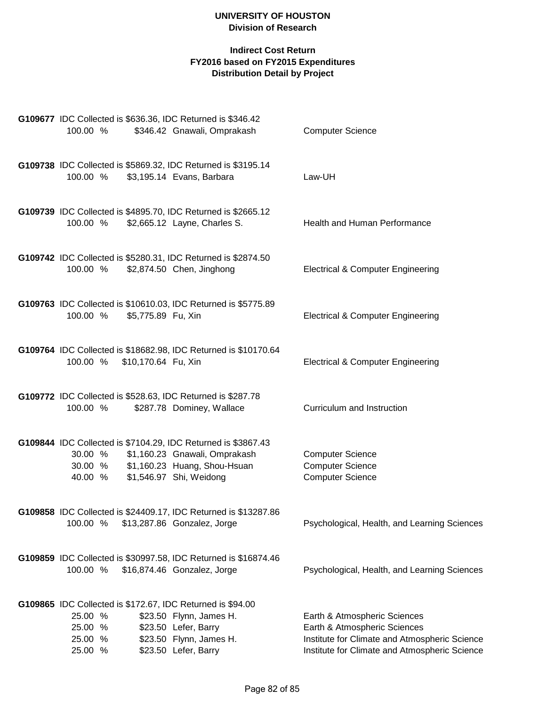| 100.00 %                      |                              | G109677 IDC Collected is \$636.36, IDC Returned is \$346.42<br>\$346.42 Gnawali, Omprakash                                                                | <b>Computer Science</b>                                                       |
|-------------------------------|------------------------------|-----------------------------------------------------------------------------------------------------------------------------------------------------------|-------------------------------------------------------------------------------|
| 100.00 %                      |                              | G109738 IDC Collected is \$5869.32, IDC Returned is \$3195.14<br>\$3,195.14 Evans, Barbara                                                                | Law-UH                                                                        |
| 100.00 %                      |                              | G109739 IDC Collected is \$4895.70, IDC Returned is \$2665.12<br>\$2,665.12 Layne, Charles S.                                                             | Health and Human Performance                                                  |
| 100.00 %                      |                              | G109742 IDC Collected is \$5280.31, IDC Returned is \$2874.50<br>\$2,874.50 Chen, Jinghong                                                                | <b>Electrical &amp; Computer Engineering</b>                                  |
| 100.00 %                      | \$5,775.89 Fu, Xin           | G109763 IDC Collected is \$10610.03, IDC Returned is \$5775.89                                                                                            | <b>Electrical &amp; Computer Engineering</b>                                  |
|                               | 100.00 % \$10,170.64 Fu, Xin | G109764 IDC Collected is \$18682.98, IDC Returned is \$10170.64                                                                                           | <b>Electrical &amp; Computer Engineering</b>                                  |
| 100.00 %                      |                              | G109772 IDC Collected is \$528.63, IDC Returned is \$287.78<br>\$287.78 Dominey, Wallace                                                                  | Curriculum and Instruction                                                    |
| 30.00 %<br>30.00 %<br>40.00 % |                              | G109844 IDC Collected is \$7104.29, IDC Returned is \$3867.43<br>\$1,160.23 Gnawali, Omprakash<br>\$1,160.23 Huang, Shou-Hsuan<br>\$1,546.97 Shi, Weidong | <b>Computer Science</b><br><b>Computer Science</b><br><b>Computer Science</b> |
| 100.00 %                      |                              | G109858 IDC Collected is \$24409.17, IDC Returned is \$13287.86<br>\$13,287.86 Gonzalez, Jorge                                                            | Psychological, Health, and Learning Sciences                                  |
| 100.00 %                      |                              | G109859 IDC Collected is \$30997.58, IDC Returned is \$16874.46<br>\$16,874.46 Gonzalez, Jorge                                                            | Psychological, Health, and Learning Sciences                                  |
|                               |                              | G109865 IDC Collected is \$172.67, IDC Returned is \$94.00                                                                                                |                                                                               |
| 25.00 %                       |                              | \$23.50 Flynn, James H.                                                                                                                                   | Earth & Atmospheric Sciences                                                  |
| 25.00 %                       |                              | \$23.50 Lefer, Barry                                                                                                                                      | Earth & Atmospheric Sciences                                                  |
| 25.00 %                       |                              | \$23.50 Flynn, James H.                                                                                                                                   | Institute for Climate and Atmospheric Science                                 |
| 25.00 %                       |                              | \$23.50 Lefer, Barry                                                                                                                                      | Institute for Climate and Atmospheric Science                                 |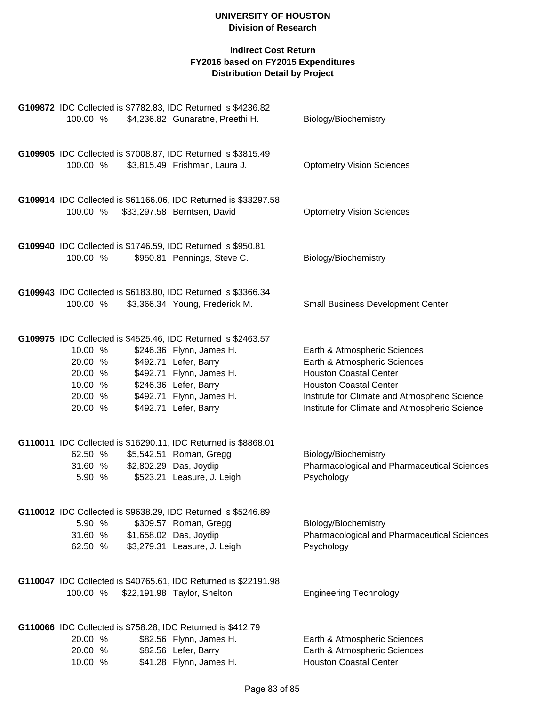|                                                                | G109872 IDC Collected is \$7782.83, IDC Returned is \$4236.82                                                                                                                                                                |                                                                                                                                                                                                                                  |
|----------------------------------------------------------------|------------------------------------------------------------------------------------------------------------------------------------------------------------------------------------------------------------------------------|----------------------------------------------------------------------------------------------------------------------------------------------------------------------------------------------------------------------------------|
| 100.00 %                                                       | \$4,236.82 Gunaratne, Preethi H.                                                                                                                                                                                             | Biology/Biochemistry                                                                                                                                                                                                             |
| 100.00 %                                                       | G109905 IDC Collected is \$7008.87, IDC Returned is \$3815.49<br>\$3,815.49 Frishman, Laura J.                                                                                                                               | <b>Optometry Vision Sciences</b>                                                                                                                                                                                                 |
| 100.00 %                                                       | G109914 IDC Collected is \$61166.06, IDC Returned is \$33297.58<br>\$33,297.58 Berntsen, David                                                                                                                               | <b>Optometry Vision Sciences</b>                                                                                                                                                                                                 |
| 100.00 %                                                       | G109940 IDC Collected is \$1746.59, IDC Returned is \$950.81<br>\$950.81 Pennings, Steve C.                                                                                                                                  | Biology/Biochemistry                                                                                                                                                                                                             |
| 100.00 %                                                       | G109943 IDC Collected is \$6183.80, IDC Returned is \$3366.34<br>\$3,366.34 Young, Frederick M.                                                                                                                              | <b>Small Business Development Center</b>                                                                                                                                                                                         |
| 10.00 %<br>20.00 %<br>20.00 %<br>10.00 %<br>20.00 %<br>20.00 % | G109975 IDC Collected is \$4525.46, IDC Returned is \$2463.57<br>\$246.36 Flynn, James H.<br>\$492.71 Lefer, Barry<br>\$492.71 Flynn, James H.<br>\$246.36 Lefer, Barry<br>\$492.71 Flynn, James H.<br>\$492.71 Lefer, Barry | Earth & Atmospheric Sciences<br>Earth & Atmospheric Sciences<br><b>Houston Coastal Center</b><br><b>Houston Coastal Center</b><br>Institute for Climate and Atmospheric Science<br>Institute for Climate and Atmospheric Science |
| 62.50 %<br>31.60 %<br>5.90 %                                   | G110011 IDC Collected is \$16290.11, IDC Returned is \$8868.01<br>\$5,542.51 Roman, Gregg<br>\$2,802.29 Das, Joydip<br>\$523.21 Leasure, J. Leigh                                                                            | Biology/Biochemistry<br>Pharmacological and Pharmaceutical Sciences<br>Psychology                                                                                                                                                |
| 5.90 %<br>31.60 %<br>62.50 %                                   | G110012 IDC Collected is \$9638.29, IDC Returned is \$5246.89<br>\$309.57 Roman, Gregg<br>\$1,658.02 Das, Joydip<br>\$3,279.31 Leasure, J. Leigh                                                                             | Biology/Biochemistry<br>Pharmacological and Pharmaceutical Sciences<br>Psychology                                                                                                                                                |
| 100.00 %                                                       | G110047 IDC Collected is \$40765.61, IDC Returned is \$22191.98<br>\$22,191.98 Taylor, Shelton                                                                                                                               | <b>Engineering Technology</b>                                                                                                                                                                                                    |
| 20.00 %<br>20.00 %<br>10.00 %                                  | G110066 IDC Collected is \$758.28, IDC Returned is \$412.79<br>\$82.56 Flynn, James H.<br>\$82.56 Lefer, Barry<br>\$41.28 Flynn, James H.                                                                                    | Earth & Atmospheric Sciences<br>Earth & Atmospheric Sciences<br><b>Houston Coastal Center</b>                                                                                                                                    |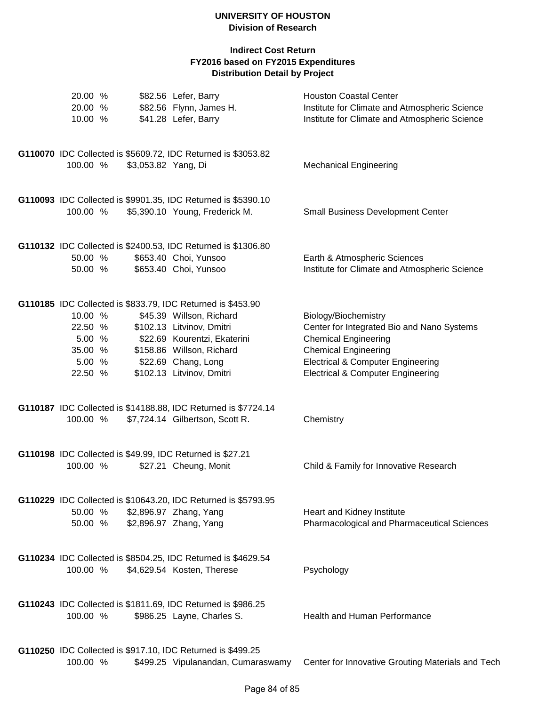| 20.00 %<br>20.00 %<br>10.00 %                               |                     | \$82.56 Lefer, Barry<br>\$82.56 Flynn, James H.<br>\$41.28 Lefer, Barry                                                                                                                                                               | <b>Houston Coastal Center</b><br>Institute for Climate and Atmospheric Science<br>Institute for Climate and Atmospheric Science                                                                                                  |
|-------------------------------------------------------------|---------------------|---------------------------------------------------------------------------------------------------------------------------------------------------------------------------------------------------------------------------------------|----------------------------------------------------------------------------------------------------------------------------------------------------------------------------------------------------------------------------------|
| 100.00 %                                                    | \$3,053.82 Yang, Di | G110070 IDC Collected is \$5609.72, IDC Returned is \$3053.82                                                                                                                                                                         | <b>Mechanical Engineering</b>                                                                                                                                                                                                    |
| 100.00 %                                                    |                     | G110093 IDC Collected is \$9901.35, IDC Returned is \$5390.10<br>\$5,390.10 Young, Frederick M.                                                                                                                                       | <b>Small Business Development Center</b>                                                                                                                                                                                         |
| 50.00 %<br>50.00 %                                          |                     | G110132 IDC Collected is \$2400.53, IDC Returned is \$1306.80<br>\$653.40 Choi, Yunsoo<br>\$653.40 Choi, Yunsoo                                                                                                                       | Earth & Atmospheric Sciences<br>Institute for Climate and Atmospheric Science                                                                                                                                                    |
| 10.00 %<br>22.50 %<br>5.00%<br>35.00 %<br>5.00 %<br>22.50 % |                     | G110185 IDC Collected is \$833.79, IDC Returned is \$453.90<br>\$45.39 Willson, Richard<br>\$102.13 Litvinov, Dmitri<br>\$22.69 Kourentzi, Ekaterini<br>\$158.86 Willson, Richard<br>\$22.69 Chang, Long<br>\$102.13 Litvinov, Dmitri | Biology/Biochemistry<br>Center for Integrated Bio and Nano Systems<br><b>Chemical Engineering</b><br><b>Chemical Engineering</b><br><b>Electrical &amp; Computer Engineering</b><br><b>Electrical &amp; Computer Engineering</b> |
| 100.00 %                                                    |                     | G110187 IDC Collected is \$14188.88, IDC Returned is \$7724.14<br>\$7,724.14 Gilbertson, Scott R.                                                                                                                                     | Chemistry                                                                                                                                                                                                                        |
| 100.00 %                                                    |                     | G110198 IDC Collected is \$49.99, IDC Returned is \$27.21<br>\$27.21 Cheung, Monit                                                                                                                                                    | Child & Family for Innovative Research                                                                                                                                                                                           |
| 50.00 %<br>50.00 %                                          |                     | G110229 IDC Collected is \$10643.20, IDC Returned is \$5793.95<br>\$2,896.97 Zhang, Yang<br>\$2,896.97 Zhang, Yang                                                                                                                    | Heart and Kidney Institute<br>Pharmacological and Pharmaceutical Sciences                                                                                                                                                        |
| 100.00 %                                                    |                     | G110234 IDC Collected is \$8504.25, IDC Returned is \$4629.54<br>\$4,629.54 Kosten, Therese                                                                                                                                           | Psychology                                                                                                                                                                                                                       |
| 100.00 %                                                    |                     | G110243 IDC Collected is \$1811.69, IDC Returned is \$986.25<br>\$986.25 Layne, Charles S.                                                                                                                                            | Health and Human Performance                                                                                                                                                                                                     |
| 100.00 %                                                    |                     | G110250 IDC Collected is \$917.10, IDC Returned is \$499.25<br>\$499.25 Vipulanandan, Cumaraswamy                                                                                                                                     | Center for Innovative Grouting Materials and Tech                                                                                                                                                                                |